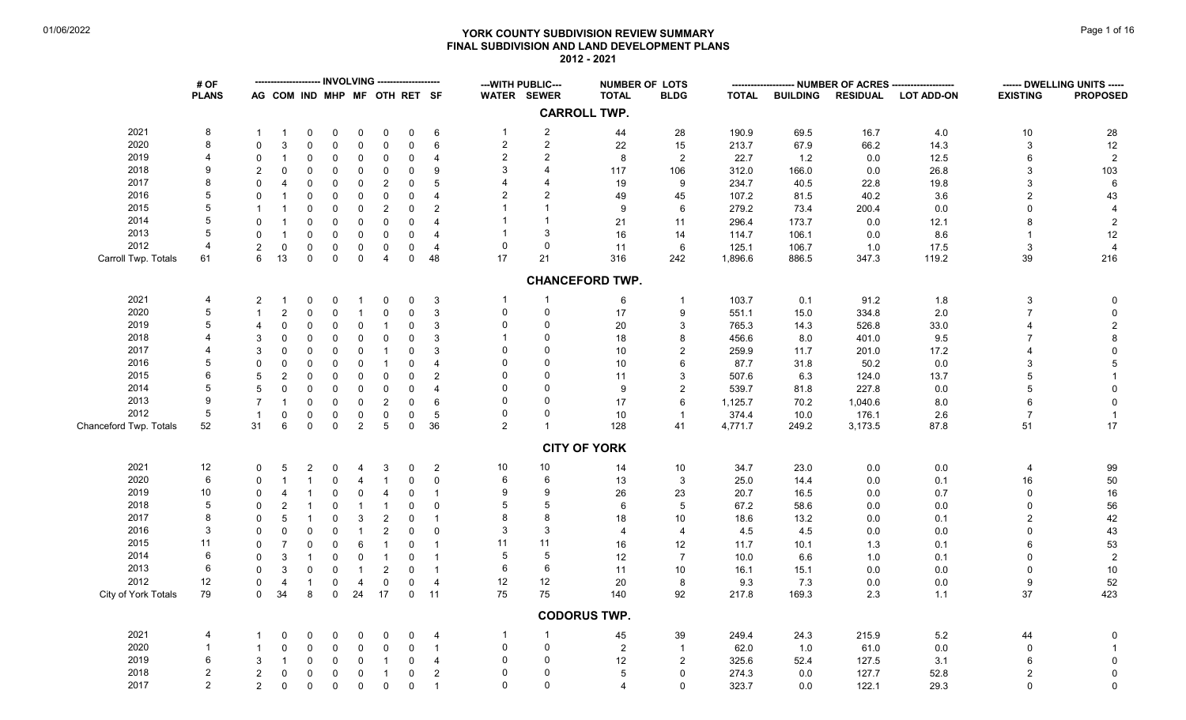# **YORK COUNTY SUBDIVISION REVIEW SUMMARY Page 1 of 16** Page 1 of 16 **FINAL SUBDIVISION AND LAND DEVELOPMENT PLANS 2012 - 2021**

|                        | # OF           |                          |                              |                     |             |                |                         |             |                |                | --- WITH PUBLIC--- |                        | <b>NUMBER OF LOTS</b> |              |                 | -- NUMBER OF ACRES ----- |                   |                 | ------ DWELLING UNITS ----- |
|------------------------|----------------|--------------------------|------------------------------|---------------------|-------------|----------------|-------------------------|-------------|----------------|----------------|--------------------|------------------------|-----------------------|--------------|-----------------|--------------------------|-------------------|-----------------|-----------------------------|
|                        | <b>PLANS</b>   |                          | AG COM IND MHP MF OTH RET SF |                     |             |                |                         |             |                |                | <b>WATER SEWER</b> | <b>TOTAL</b>           | <b>BLDG</b>           | <b>TOTAL</b> | <b>BUILDING</b> | <b>RESIDUAL</b>          | <b>LOT ADD-ON</b> | <b>EXISTING</b> | <b>PROPOSED</b>             |
|                        |                |                          |                              |                     |             |                |                         |             |                |                |                    | <b>CARROLL TWP.</b>    |                       |              |                 |                          |                   |                 |                             |
| 2021                   | 8              |                          | -1                           | $\Omega$            | 0           | 0              | 0                       | $\mathbf 0$ | $\,6\,$        | $\mathbf{1}$   | $\overline{c}$     | 44                     | 28                    | 190.9        | 69.5            | 16.7                     | 4.0               | $10$            | ${\bf 28}$                  |
| 2020                   | 8              | $\Omega$                 | $\mathbf{3}$                 | $\mathbf 0$         | 0           | $\pmb{0}$      | $\mathbf 0$             | $\mathbf 0$ | 6              | $\overline{2}$ | $\overline{2}$     | 22                     | 15                    | 213.7        | 67.9            | 66.2                     | 14.3              | 3               | $12\,$                      |
| 2019                   | $\overline{4}$ | $\Omega$                 | $\overline{1}$               | $\mathbf 0$         | 0           | $\mathbf 0$    | $\mathbf 0$             | $\pmb{0}$   | $\overline{4}$ | $\overline{2}$ | $\overline{2}$     | 8                      | $\overline{c}$        | 22.7         | 1.2             | 0.0                      | 12.5              | 6               | $\overline{2}$              |
| 2018                   | 9              | $\mathcal{P}$            | $\Omega$                     | $\Omega$            | 0           | $\mathbf 0$    | $\Omega$                | $\pmb{0}$   | 9              | 3              | 4                  | 117                    | 106                   | 312.0        | 166.0           | 0.0                      | 26.8              | 3               | 103                         |
| 2017                   | 8              | $\Omega$                 | $\overline{4}$               | $\mathbf 0$         | 0           | $\mathbf 0$    | $\overline{c}$          | $\pmb{0}$   | 5              |                |                    | 19                     | 9                     | 234.7        | 40.5            | 22.8                     | 19.8              | 3               | $\,6\,$                     |
| 2016                   | 5              | $\Omega$                 |                              | $\Omega$            | $\Omega$    | $\pmb{0}$      | $\Omega$                | $\pmb{0}$   | $\overline{4}$ |                | $\overline{2}$     | 49                     | 45                    | 107.2        | 81.5            | 40.2                     | 3.6               | $\overline{2}$  | 43                          |
| 2015                   | 5              | $\overline{\phantom{a}}$ | $\overline{1}$               | $\mathbf 0$         | 0           | $\pmb{0}$      | 2                       | $\mathbf 0$ | $\overline{c}$ |                |                    | 9                      | $\,6$                 | 279.2        | 73.4            | 200.4                    | 0.0               | $\Omega$        | $\overline{4}$              |
| 2014                   | 5              | $\Omega$                 | $\overline{1}$               | $\mathbf 0$         | $\mathbf 0$ | $\pmb{0}$      | $\mathbf 0$             | $\pmb{0}$   | $\overline{4}$ |                |                    | 21                     | 11                    | 296.4        | 173.7           | 0.0                      | 12.1              |                 | $\overline{2}$              |
| 2013                   | 5              | $\Omega$                 | $\overline{1}$               | $\mathbf 0$         | $\mathbf 0$ | $\mathbf 0$    | $\mathbf 0$             | $\pmb{0}$   | $\overline{4}$ |                | 3                  | 16                     | 14                    | 114.7        | 106.1           | 0.0                      | 8.6               |                 | $12\,$                      |
| 2012                   |                |                          | $\mathbf 0$                  | $\mathbf 0$         | $\mathbf 0$ | $\mathbf 0$    | $\mathbf 0$             | $\mathbf 0$ | $\overline{4}$ | $\Omega$       | $\mathbf 0$        | 11                     | 6                     | 125.1        | 106.7           | 1.0                      | 17.5              | 3               | $\overline{4}$              |
| Carroll Twp. Totals    | 61             | 6                        | 13                           | $\mathbf 0$         | $\mathbf 0$ | $\pmb{0}$      | $\overline{\mathbf{4}}$ | $\pmb{0}$   | 48             | 17             | 21                 | 316                    | 242                   | 1,896.6      | 886.5           | 347.3                    | 119.2             | 39              | 216                         |
|                        |                |                          |                              |                     |             |                |                         |             |                |                |                    | <b>CHANCEFORD TWP.</b> |                       |              |                 |                          |                   |                 |                             |
|                        |                |                          |                              |                     |             |                |                         |             |                |                |                    |                        |                       |              |                 |                          |                   |                 |                             |
| 2021                   | 4              | 2                        |                              | 0                   | 0           | -1             | 0                       | 0           | $\mathbf{3}$   | -1             | -1                 | 6                      |                       | 103.7        | 0.1             | 91.2                     | 1.8               | $\mathbf{3}$    | 0                           |
| 2020                   | 5              | $\mathbf 1$              | $\overline{2}$               | $\Omega$            | $\Omega$    | $\mathbf{1}$   | $\mathbf 0$             | $\pmb{0}$   | $\mathbf{3}$   | $\Omega$       | $\mathbf 0$        | 17                     | 9                     | 551.1        | 15.0            | 334.8                    | 2.0               | $\overline{7}$  | $\mathbf 0$                 |
| 2019                   | 5              | 4                        | $\Omega$                     | 0                   | $\mathbf 0$ | $\mathbf 0$    | $\mathbf 1$             | $\mathbf 0$ | 3              | 0              | $\mathbf 0$        | $20\,$                 | 3                     | 765.3        | 14.3            | 526.8                    | 33.0              |                 | $\sqrt{2}$                  |
| 2018                   |                | 3                        | $\Omega$                     | $\mathbf 0$         | 0           | $\pmb{0}$      | $\mathbf 0$             | $\pmb{0}$   | 3              |                | $\Omega$           | 18                     | 8                     | 456.6        | 8.0             | 401.0                    | 9.5               |                 | $\bf 8$                     |
| 2017                   |                | 3                        | $\Omega$                     | $\Omega$            | 0           | $\mathbf 0$    | $\mathbf{1}$            | $\mathbf 0$ | 3              |                | $\Omega$           | 10                     | $\overline{2}$        | 259.9        | 11.7            | 201.0                    | 17.2              |                 | $\mathbf 0$                 |
| 2016                   | 5              | $\Omega$                 | $\Omega$                     | $\Omega$            | $\Omega$    | $\mathbf 0$    | $\mathbf{1}$            | $\mathbf 0$ | $\overline{4}$ |                | $\Omega$           | 10                     | 6                     | 87.7         | 31.8            | 50.2                     | 0.0               | 3               | $\sqrt{5}$                  |
| 2015                   | 6              | 5                        | $\overline{2}$               | $\Omega$            | $\Omega$    | $\mathbf 0$    | $\Omega$                | $\pmb{0}$   | $\overline{2}$ |                | $\Omega$           | 11                     | 3                     | 507.6        | 6.3             | 124.0                    | 13.7              | 5               |                             |
| 2014                   | 5              | 5                        | $\Omega$                     | $\Omega$            | $\Omega$    | $\mathbf 0$    | $\Omega$                | $\mathbf 0$ | $\overline{4}$ |                | $\Omega$           | 9                      | $\overline{c}$        | 539.7        | 81.8            | 227.8                    | 0.0               |                 | $\mathbf 0$                 |
| 2013                   | 9              | $\overline{7}$           | $\overline{1}$               | $\Omega$            | 0           | $\pmb{0}$      | $\overline{c}$          | $\mathbf 0$ | 6              | $\Omega$       | $\Omega$           | 17                     | 6                     | 1,125.7      | 70.2            | 1,040.6                  | 8.0               |                 | $\mathbf 0$                 |
| 2012                   | 5              | $\overline{1}$           | $\mathbf 0$                  | $\mathbf 0$         | 0           | $\pmb{0}$      | $\mathbf 0$             | $\pmb{0}$   | $\sqrt{5}$     | $\Omega$       | $\mathbf 0$        | 10                     | $\mathbf{1}$          | 374.4        | 10.0            | 176.1                    | 2.6               | $\overline{7}$  | $\overline{1}$              |
| Chanceford Twp. Totals | 52             | 31                       | $\,6\,$                      | $\mathsf{O}\xspace$ | $\mathsf 0$ | $\mathbf{2}$   | $\,$ 5 $\,$             | $\pmb{0}$   | 36             | $\overline{2}$ | $\overline{1}$     | 128                    | 41                    | 4,771.7      | 249.2           | 3,173.5                  | 87.8              | 51              | $17$                        |
|                        |                |                          |                              |                     |             |                |                         |             |                |                |                    | <b>CITY OF YORK</b>    |                       |              |                 |                          |                   |                 |                             |
| 2021                   | 12             | $\mathbf 0$              | -5                           | 2                   | 0           | 4              | 3                       | $\mathbf 0$ | $\overline{2}$ | 10             | 10                 | 14                     | $10\,$                | 34.7         | 23.0            | $0.0\,$                  | $0.0\,$           | 4               | 99                          |
| 2020                   | 6              | $\Omega$                 | $\overline{1}$               | $\mathbf{1}$        | 0           | $\overline{4}$ | $\mathbf{1}$            | $\pmb{0}$   | $\mathsf 0$    | 6              | $\,6$              | 13                     | $\mathbf{3}$          | 25.0         | 14.4            | 0.0                      | 0.1               | 16              | 50                          |
| 2019                   | 10             | $\Omega$                 | $\overline{4}$               | -1                  | $\Omega$    | $\mathbf 0$    | $\overline{4}$          | $\mathbf 0$ | $\mathbf{1}$   | 9              | 9                  | 26                     | 23                    | 20.7         | 16.5            | 0.0                      | 0.7               | $\Omega$        | $16\,$                      |
| 2018                   | 5              | $\Omega$                 | $\overline{2}$               | $\mathbf{1}$        | 0           | $\mathbf{1}$   | $\overline{1}$          | $\pmb{0}$   | $\mathbf 0$    |                | 5                  | 6                      | 5                     | 67.2         | 58.6            | 0.0                      | 0.0               | $\Omega$        | 56                          |
| 2017                   | 8              | $\Omega$                 | 5                            | $\overline{1}$      | 0           | $\mathbf{3}$   | 2                       | $\pmb{0}$   | $\overline{1}$ |                | 8                  | 18                     | 10                    | 18.6         | 13.2            | 0.0                      | 0.1               | $\overline{2}$  | 42                          |
| 2016                   | 3              | $\Omega$                 | $\Omega$                     | $\mathbf 0$         | 0           | $\mathbf{1}$   | 2                       | $\mathbf 0$ | $\mathbf 0$    | 3              | 3                  | 4                      | $\overline{4}$        | 4.5          | 4.5             | 0.0                      | 0.0               | $\Omega$        | 43                          |
| 2015                   | 11             | $\Omega$                 | $\overline{7}$               | $\mathbf 0$         | $\Omega$    | 6              | $\mathbf{1}$            | $\mathbf 0$ | $\overline{1}$ | 11             | 11                 | 16                     | 12                    | 11.7         | 10.1            | 1.3                      | 0.1               | 6               | 53                          |
| 2014                   | 6              | $\Omega$                 | $\mathbf{3}$                 | $\mathbf{1}$        | $\Omega$    | $\pmb{0}$      | $\overline{1}$          | $\mathbf 0$ | $\overline{1}$ | 5              | $\sqrt{5}$         | 12                     | $\overline{7}$        | 10.0         | 6.6             | 1.0                      | 0.1               | $\Omega$        | $\sqrt{2}$                  |
| 2013                   | 6              | $\Omega$                 | $\mathbf{3}$                 | 0                   | 0           | $\mathbf{1}$   | $\overline{c}$          | $\pmb{0}$   | $\overline{1}$ | 6              | 6                  | 11                     | 10                    | 16.1         | 15.1            | 0.0                      | 0.0               | $\Omega$        | $10\,$                      |
| 2012                   | 12             | $\mathbf 0$              | $\overline{4}$               | $\overline{1}$      | $\Omega$    | $\overline{4}$ | $\mathbf 0$             | $\pmb{0}$   | $\overline{4}$ | 12             | 12                 | 20                     | 8                     | 9.3          | 7.3             | 0.0                      | 0.0               | 9               | $52\,$                      |
| City of York Totals    | 79             | $\Omega$                 | 34                           | 8                   | 0           | 24             | 17                      | $\mathbf 0$ | 11             | 75             | 75                 | 140                    | 92                    | 217.8        | 169.3           | 2.3                      | 1.1               | 37              | 423                         |
|                        |                |                          |                              |                     |             |                |                         |             |                |                |                    | <b>CODORUS TWP.</b>    |                       |              |                 |                          |                   |                 |                             |
| 2021                   | 4              |                          | $\Omega$                     | 0                   | 0           | 0              | 0                       | $\mathbf 0$ | $\overline{4}$ | -1             | -1                 | 45                     | 39                    | 249.4        | 24.3            | 215.9                    | $5.2\,$           | 44              | $\mathbf 0$                 |
| 2020                   | $\overline{1}$ |                          | $\Omega$                     | $\mathbf 0$         | 0           | $\pmb{0}$      | $\mathbf 0$             | $\pmb{0}$   | $\overline{1}$ | $\Omega$       | $\Omega$           | $\overline{2}$         | $\overline{1}$        | 62.0         | 1.0             | 61.0                     | 0.0               | $\mathbf 0$     | $\overline{1}$              |
| 2019                   | 6              | 3                        | $\mathbf 1$                  | $\mathbf 0$         | 0           | $\mathbf 0$    | $\mathbf{1}$            | $\mathbf 0$ | $\overline{4}$ | $\Omega$       | $\Omega$           | 12                     | $\overline{c}$        | 325.6        | 52.4            | 127.5                    | 3.1               | 6               | $\mathbf 0$                 |
| 2018                   | $\overline{2}$ | $\overline{2}$           | $\mathbf 0$                  | $\mathbf 0$         | $\mathbf 0$ | $\mathbf 0$    | $\overline{1}$          | $\pmb{0}$   | $\sqrt{2}$     | $\Omega$       | $\Omega$           | 5                      | $\mathbf 0$           | 274.3        | 0.0             | 127.7                    | 52.8              | $\overline{2}$  | $\mathbf 0$                 |
| 2017                   | 2              | 2                        | $\Omega$                     | $\mathbf 0$         | $\mathbf 0$ | $\mathbf{0}$   | $\mathbf{0}$            | $\Omega$    | $\overline{1}$ | $\Omega$       | $\Omega$           | $\Delta$               | $\Omega$              | 323.7        | 0.0             | 122.1                    | 29.3              | $\Omega$        | $\mathbf 0$                 |
|                        |                |                          |                              |                     |             |                |                         |             |                |                |                    |                        |                       |              |                 |                          |                   |                 |                             |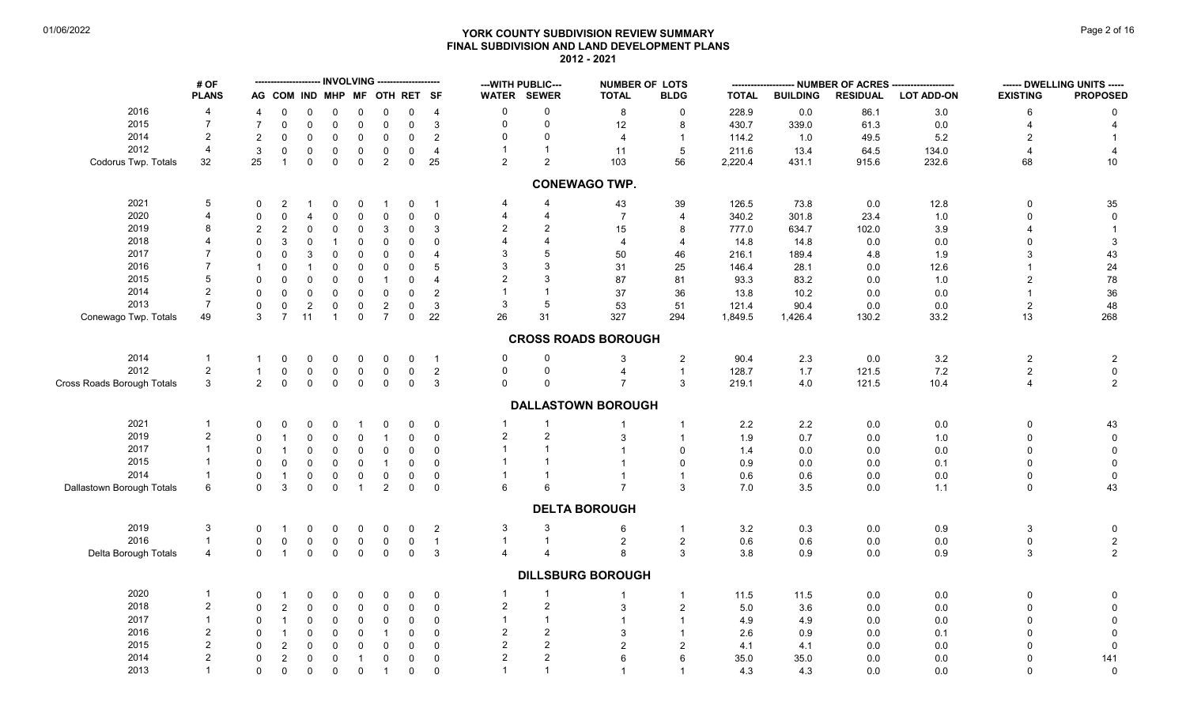# **YORK COUNTY SUBDIVISION REVIEW SUMMARY Page 2 of 16** Page 2 of 16 **FINAL SUBDIVISION AND LAND DEVELOPMENT PLANS 2012 - 2021**

|                            | # OF           |                |                              |                     |                |                |                |             |                          |                | --- WITH PUBLIC---    | <b>NUMBER OF LOTS</b>      |                |              |                 | ---- NUMBER OF ACRES ------ |                   |                     | ------ DWELLING UNITS ----- |
|----------------------------|----------------|----------------|------------------------------|---------------------|----------------|----------------|----------------|-------------|--------------------------|----------------|-----------------------|----------------------------|----------------|--------------|-----------------|-----------------------------|-------------------|---------------------|-----------------------------|
|                            | <b>PLANS</b>   |                | AG COM IND MHP MF OTH RET SF |                     |                |                |                |             |                          |                | <b>WATER SEWER</b>    | <b>TOTAL</b>               | <b>BLDG</b>    | <b>TOTAL</b> | <b>BUILDING</b> | <b>RESIDUAL</b>             | <b>LOT ADD-ON</b> | <b>EXISTING</b>     | <b>PROPOSED</b>             |
| 2016                       | $\overline{4}$ | 4              | $\Omega$                     | $\Omega$            | $\mathbf 0$    | $\mathbf 0$    | $\mathbf 0$    | $\mathbf 0$ | $\overline{4}$           | $\mathbf 0$    | $\mathbf 0$           | 8                          | $\mathbf 0$    | 228.9        | 0.0             | 86.1                        | 3.0               | 6                   | $\Omega$                    |
| 2015                       | $\overline{7}$ | $\overline{7}$ | $\mathbf 0$                  | $\mathbf 0$         | $\mathbf 0$    | $\mathsf 0$    | 0              | $\mathbf 0$ | $\mathbf{3}$             | $\mathbf 0$    | $\mathbf 0$           | 12                         | 8              | 430.7        | 339.0           | 61.3                        | 0.0               |                     |                             |
| 2014                       | $\overline{2}$ | $\overline{c}$ | $\Omega$                     | $\mathbf 0$         | $\mathbf 0$    | $\mathbf 0$    | $\mathbf 0$    | $\pmb{0}$   | $\overline{2}$           | $\mathbf 0$    | $\Omega$              | $\overline{4}$             | $\mathbf{1}$   | 114.2        | 1.0             | 49.5                        | $5.2\,$           |                     |                             |
| 2012                       | $\overline{4}$ | $\mathbf{3}$   | 0                            | 0                   | 0              | $\mathbf 0$    | 0              | $\mathbf 0$ | $\overline{4}$           | $\overline{1}$ | $\mathbf{1}$          | 11                         | $\sqrt{5}$     | 211.6        | 13.4            | 64.5                        | 134.0             |                     |                             |
| Codorus Twp. Totals        | 32             | 25             | $\mathbf{1}$                 | $\mathbf 0$         | $\mathbf 0$    | $\mathbf 0$    | $\overline{2}$ | $\mathsf 0$ | 25                       | 2              | 2                     | 103                        | 56             | 2,220.4      | 431.1           | 915.6                       | 232.6             | 68                  | $10\,$                      |
|                            |                |                |                              |                     |                |                |                |             |                          |                |                       | <b>CONEWAGO TWP.</b>       |                |              |                 |                             |                   |                     |                             |
| 2021                       | 5              | $\mathbf 0$    | 2                            | -1                  | $\mathbf 0$    | $\mathbf 0$    | $\overline{1}$ | $\mathbf 0$ | $\overline{1}$           | 4              | $\overline{4}$        | 43                         | 39             | 126.5        | 73.8            | 0.0                         | 12.8              | $\Omega$            | 35                          |
| 2020                       | 4              | $\mathbf 0$    | $\Omega$                     | $\overline{4}$      | 0              | $\mathbf 0$    | $\mathbf 0$    | $\mathbf 0$ | $\mathbf 0$              | 4              | $\overline{4}$        | $\overline{7}$             | $\overline{4}$ | 340.2        | 301.8           | 23.4                        | 1.0               |                     |                             |
| 2019                       | 8              | $\overline{2}$ | $\overline{2}$               | $\mathbf 0$         | $\mathbf 0$    | $\mathbf 0$    | 3              | $\mathbf 0$ | 3                        | $\overline{c}$ | 2                     | 15                         | 8              | 777.0        | 634.7           | 102.0                       | 3.9               |                     |                             |
| 2018                       |                | $\mathbf 0$    |                              | $\mathbf 0$         | $\overline{1}$ | $\mathbf 0$    | $\mathbf{0}$   | $\mathbf 0$ | $\Omega$                 | $\overline{A}$ | $\boldsymbol{\Delta}$ | $\overline{4}$             | $\overline{4}$ | 14.8         | 14.8            | 0.0                         | $0.0\,$           |                     | 3                           |
| 2017                       |                | $\mathbf 0$    | $\Omega$                     | 3                   | $\Omega$       | $\mathbf 0$    | $\Omega$       | $\mathbf 0$ | $\overline{\mathcal{A}}$ | 3              | 5                     | 50                         | 46             | 216.1        | 189.4           |                             |                   |                     |                             |
| 2016                       | $\overline{7}$ |                |                              |                     |                |                |                |             |                          | 3              | 3                     |                            |                |              |                 | 4.8                         | 1.9               |                     | 43                          |
|                            |                |                | $\Omega$                     | $\mathbf{1}$        | $\mathbf 0$    | $\mathsf 0$    | $\mathbf 0$    | $\mathsf 0$ | 5                        |                |                       | 31                         | 25             | 146.4        | 28.1            | 0.0                         | 12.6              |                     | 24                          |
| 2015                       | 5              | $\mathbf 0$    | $\Omega$                     | $\mathbf 0$         | 0              | $\mathbf 0$    |                | $\mathbf 0$ | $\overline{\mathcal{A}}$ | $\overline{2}$ | 3                     | 87                         | 81             | 93.3         | 83.2            | 0.0                         | 1.0               |                     | 78                          |
| 2014                       | $\overline{2}$ | $\mathsf 0$    | $\Omega$                     | $\mathsf{O}\xspace$ | $\mathbf 0$    | $\mathsf 0$    | $\mathbf{0}$   | $\pmb{0}$   | $\overline{2}$           |                | $\overline{1}$        | 37                         | 36             | 13.8         | 10.2            | $0.0\,$                     | $0.0\,$           |                     | $36\,$                      |
| 2013                       | $\overline{7}$ | 0              | 0                            | $\sqrt{2}$          | $\mathbf 0$    | $\mathsf 0$    | $\overline{c}$ | $\mathbf 0$ | 3                        | 3              | 5                     | 53                         | 51             | 121.4        | 90.4            | 0.0                         | 0.0               | $\overline{2}$      | 48                          |
| Conewago Twp. Totals       | 49             | 3              | $\overline{7}$               | 11                  | $\overline{1}$ | $\mathbf 0$    | $\overline{7}$ | $\mathbf 0$ | 22                       | 26             | 31                    | 327                        | 294            | 1,849.5      | 1,426.4         | 130.2                       | 33.2              | 13                  | 268                         |
|                            |                |                |                              |                     |                |                |                |             |                          |                |                       | <b>CROSS ROADS BOROUGH</b> |                |              |                 |                             |                   |                     |                             |
| 2014                       | $\mathbf{1}$   | $\mathbf 1$    | 0                            | 0                   | 0              | $\mathbf 0$    | 0              | $\mathbf 0$ | $\overline{1}$           | 0              | $\Omega$              | 3                          | $\overline{c}$ | 90.4         | $2.3\,$         | 0.0                         | $3.2\,$           | $\overline{2}$      | $\overline{2}$              |
| 2012                       | $\overline{2}$ | $\mathbf{1}$   | $\mathbf 0$                  | $\mathbf 0$         | 0              | $\mathbf 0$    | $\mathbf 0$    | $\mathbf 0$ | $\overline{2}$           | $\pmb{0}$      | $\mathbf 0$           | $\overline{4}$             | $\mathbf{1}$   | 128.7        | 1.7             | 121.5                       | 7.2               | $\overline{2}$      | $\pmb{0}$                   |
| Cross Roads Borough Totals | $\mathbf{3}$   | $\overline{2}$ | $\mathbf 0$                  | $\mathbf 0$         | $\mathbf 0$    | $\mathbf 0$    | $\mathbf 0$    | $\mathbf 0$ | $\mathbf{3}$             | $\Omega$       | $\Omega$              | $\overline{7}$             | 3              | 219.1        | $4.0\,$         | 121.5                       | 10.4              | $\overline{4}$      | $\overline{2}$              |
|                            |                |                |                              |                     |                |                |                |             |                          |                |                       | <b>DALLASTOWN BOROUGH</b>  |                |              |                 |                             |                   |                     |                             |
|                            |                |                |                              |                     |                |                |                |             |                          |                |                       |                            |                |              |                 |                             |                   |                     |                             |
| 2021                       | $\mathbf{1}$   | $\Omega$       | $\Omega$                     | 0                   | 0              | -1             | 0              | 0           | $\mathbf 0$              |                | -1                    |                            | $\mathbf{1}$   | 2.2          | $2.2\,$         | $0.0\,$                     | $0.0\,$           | $\Omega$            | 43                          |
| 2019                       | $\overline{a}$ | $\mathbf 0$    | $\mathbf{1}$                 | $\mathbf 0$         | $\mathbf 0$    | $\mathbf 0$    | $\overline{1}$ | $\mathbf 0$ | $\mathbf 0$              | $\overline{c}$ | $\overline{2}$        | 3                          | $\mathbf{1}$   | 1.9          | 0.7             | $0.0\,$                     | 1.0               | $\Omega$            | $\mathbf 0$                 |
| 2017                       |                | $\Omega$       |                              | $\mathsf{O}\xspace$ | $\mathbf 0$    | $\mathsf 0$    | $\mathbf{0}$   | $\mathbf 0$ | $\mathbf 0$              |                |                       |                            | $\Omega$       | 1.4          | 0.0             | 0.0                         | $0.0\,$           | $\Omega$            | $\mathbf 0$                 |
| 2015                       |                | $\mathbf 0$    | $\mathbf 0$                  | $\mathbf 0$         | 0              | $\mathbf 0$    | $\overline{1}$ | $\mathbf 0$ | $\mathbf 0$              | $\overline{1}$ |                       |                            | $\mathbf 0$    | 0.9          | $0.0\,$         | 0.0                         | 0.1               |                     | $\Omega$                    |
| 2014                       | $\mathbf{1}$   | $\mathbf 0$    | $\mathbf{1}$                 | $\pmb{0}$           | $\mathbf 0$    | $\mathbf 0$    | $\mathbf 0$    | $\pmb{0}$   | $\mathbf 0$              |                | $\mathbf{1}$          | $\mathbf{1}$               | $\mathbf{1}$   | 0.6          | 0.6             | 0.0                         | $0.0\,$           | $\mathbf 0$         | $\,0\,$                     |
| Dallastown Borough Totals  | 6              | $\Omega$       | 3                            | $\mathbf 0$         | $\mathsf 0$    | $\mathbf{1}$   | $\overline{2}$ | $\mathbf 0$ | $\mathbf 0$              | 6              | 6                     | $\overline{7}$             | 3              | 7.0          | 3.5             | 0.0                         | 1.1               | $\Omega$            | 43                          |
|                            |                |                |                              |                     |                |                |                |             |                          |                |                       | <b>DELTA BOROUGH</b>       |                |              |                 |                             |                   |                     |                             |
| 2019                       | 3              | 0              |                              | 0                   | 0              | $\mathbf 0$    | 0              | $\mathbf 0$ | $\overline{2}$           | 3              | 3                     | 6                          | $\mathbf{1}$   | 3.2          | 0.3             | 0.0                         | $0.9\,$           | 3                   | 0                           |
| 2016                       | $\mathbf{1}$   | $\mathbf 0$    | $\overline{0}$               | $\mathsf{O}\xspace$ | $\mathbf 0$    | $\mathbf 0$    | $\mathbf 0$    | $\mathsf 0$ | $\overline{1}$           | $\mathbf{1}$   | $\overline{1}$        | $\overline{2}$             | $\overline{2}$ | 0.6          | $0.6\,$         | $0.0\,$                     | $0.0\,$           | $\mathsf{O}\xspace$ | $\sqrt{2}$                  |
| Delta Borough Totals       | $\overline{4}$ | $\Omega$       | $\mathbf{1}$                 | $\mathbf{0}$        | $\mathbf 0$    | $\mathsf 0$    | $\mathbf 0$    | $\mathsf 0$ | $\mathbf{3}$             | $\overline{4}$ | $\boldsymbol{\Delta}$ | 8                          | 3              | 3.8          | 0.9             | 0.0                         | 0.9               | 3                   | $\overline{2}$              |
|                            |                |                |                              |                     |                |                |                |             |                          |                |                       |                            |                |              |                 |                             |                   |                     |                             |
|                            |                |                |                              |                     |                |                |                |             |                          |                |                       | <b>DILLSBURG BOROUGH</b>   |                |              |                 |                             |                   |                     |                             |
| 2020                       | $\mathbf 1$    | 0              |                              | 0                   | 0              | 0              | 0              | $\mathbf 0$ | 0                        | $\mathbf{1}$   | $\mathbf{1}$          | $\mathbf{1}$               | $\mathbf{1}$   | 11.5         | 11.5            | 0.0                         | $0.0\,$           | $\mathbf 0$         | 0                           |
| 2018                       | $\overline{2}$ | $\mathbf 0$    | $\overline{2}$               | $\pmb{0}$           | $\mathbf 0$    | $\mathbf 0$    | $\mathbf 0$    | $\pmb{0}$   | $\mathbf 0$              | $\overline{c}$ | $\sqrt{2}$            | 3                          | $\mathbf{2}$   | 5.0          | 3.6             | 0.0                         | $0.0\,$           | $\Omega$            |                             |
| 2017                       | $\mathbf{1}$   | 0              | $\mathbf{1}$                 | $\mathbf 0$         | 0              | $\mathbf 0$    | 0              | $\mathbf 0$ | $\mathbf 0$              | $\overline{1}$ | $\mathbf{1}$          | $\overline{1}$             | $\mathbf{1}$   | 4.9          | 4.9             | 0.0                         | 0.0               | $\Omega$            |                             |
| 2016                       | 2              | $\Omega$       |                              | $\mathbf 0$         | 0              | $\mathbf 0$    | $\overline{1}$ | $\mathbf 0$ | $\mathbf 0$              | $\overline{2}$ | $\overline{2}$        | 3                          | $\mathbf{1}$   | 2.6          | 0.9             | 0.0                         | 0.1               |                     | $\Omega$                    |
| 2015                       | $\overline{2}$ | $\mathbf 0$    | 2                            | $\mathbf 0$         | $\mathbf 0$    | $\mathbf 0$    | $\mathbf 0$    | $\mathbf 0$ | $\mathbf 0$              | $\overline{2}$ | $\overline{2}$        | $\overline{2}$             | 2              | 4.1          | 4.1             | 0.0                         | 0.0               |                     | 0                           |
| 2014                       | $\overline{2}$ | $\mathbf 0$    | $\overline{2}$               | $\mathbf 0$         | $\mathbf 0$    | $\overline{1}$ | $\mathbf 0$    | $\mathbf 0$ | $\mathbf 0$              | 2              | 2                     | 6                          | 6              | 35.0         | 35.0            | 0.0                         | $0.0\,$           |                     | 141                         |
| 2013                       | $\mathbf{1}$   | $\mathbf 0$    | $\mathbf 0$                  | $\mathbf 0$         | $\mathbf 0$    | $\mathbf 0$    | $\overline{1}$ | $\mathsf 0$ | $\mathbf 0$              | $\overline{1}$ | $\mathbf{1}$          |                            | $\mathbf 1$    | 4.3          | 4.3             | 0.0                         | 0.0               | $\Omega$            | $\mathsf 0$                 |
|                            |                |                |                              |                     |                |                |                |             |                          |                |                       |                            |                |              |                 |                             |                   |                     |                             |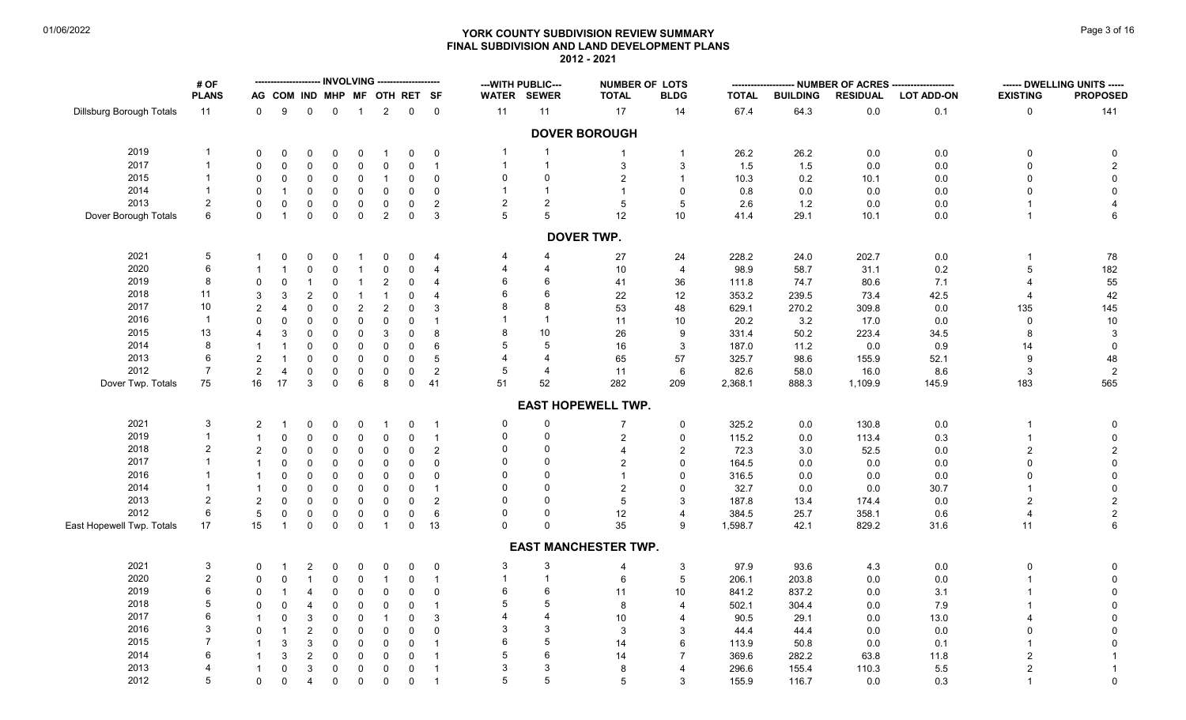# **YORK COUNTY SUBDIVISION REVIEW SUMMARY Page 1 and the COUNTY SUBDIVISION REVIEW SUMMARY FINAL SUBDIVISION AND LAND DEVELOPMENT PLANS 2012 - 2021**

|                           | # OF            |                |                              |                     |             |                |                |                     |                         |                | --- WITH PUBLIC---       | <b>NUMBER OF LOTS</b>       |                          |              |                 |                 | -------------------- NUMBER OF ACRES -------------------- |                 | ------ DWELLING UNITS ----- |
|---------------------------|-----------------|----------------|------------------------------|---------------------|-------------|----------------|----------------|---------------------|-------------------------|----------------|--------------------------|-----------------------------|--------------------------|--------------|-----------------|-----------------|-----------------------------------------------------------|-----------------|-----------------------------|
|                           | <b>PLANS</b>    |                | AG COM IND MHP MF OTH RET SF |                     |             |                |                |                     |                         |                | WATER SEWER              | <b>TOTAL</b>                | <b>BLDG</b>              | <b>TOTAL</b> | <b>BUILDING</b> | <b>RESIDUAL</b> | <b>LOT ADD-ON</b>                                         | <b>EXISTING</b> | <b>PROPOSED</b>             |
| Dillsburg Borough Totals  | 11              | 0              | 9                            | $\mathbf 0$         | $\mathbf 0$ | $\overline{1}$ | $\overline{2}$ | $\mathbf 0$         | $\overline{0}$          | 11             | 11                       | 17                          | 14                       | 67.4         | 64.3            | $0.0\,$         | 0.1                                                       | 0               | 141                         |
|                           |                 |                |                              |                     |             |                |                |                     |                         |                |                          | <b>DOVER BOROUGH</b>        |                          |              |                 |                 |                                                           |                 |                             |
| 2019                      |                 | 0              | 0                            | 0                   | 0           | 0              |                | $\Omega$            | $\mathbf 0$             | - 1            | $\overline{1}$           |                             | $\mathbf 1$              | 26.2         | 26.2            | 0.0             | $0.0\,$                                                   | $\Omega$        |                             |
| 2017                      | $\mathbf 1$     | $\Omega$       | $\Omega$                     | $\mathbf 0$         | $\Omega$    | $\mathbf 0$    | $\Omega$       | $\Omega$            | $\overline{1}$          | $\overline{1}$ | $\overline{1}$           | 3                           | 3                        | 1.5          | 1.5             | 0.0             | $0.0\,$                                                   | $\Omega$        | $\overline{2}$              |
| 2015                      |                 | 0              | 0                            | 0                   | $\mathbf 0$ | $\overline{0}$ | $\mathbf{1}$   | $\Omega$            | $\mathbf 0$             | 0              | $\mathbf 0$              | $\overline{2}$              |                          | 10.3         | 0.2             | 10.1            | 0.0                                                       | $\Omega$        | $\mathbf 0$                 |
| 2014                      |                 | $\Omega$       |                              | $\mathbf 0$         | $\Omega$    | $\mathbf 0$    | $\mathbf 0$    | $\Omega$            | $\mathbf 0$             | $\overline{1}$ | $\overline{1}$           | $\overline{1}$              | $\mathbf{0}$             | 0.8          | 0.0             | 0.0             | $0.0\,$                                                   |                 | $\mathbf 0$                 |
| 2013                      | 2               | $\Omega$       | $\mathbf 0$                  | $\mathbf 0$         | $\mathbf 0$ | $\mathbf 0$    | 0              | $\mathbf 0$         | $\overline{2}$          | 2              | $\overline{2}$           | 5                           | 5                        | 2.6          | 1.2             | 0.0             | $0.0\,$                                                   |                 |                             |
| Dover Borough Totals      | 6               | $\Omega$       | $\mathbf{1}$                 | $\mathbf 0$         | $\mathbf 0$ | $\overline{0}$ | $\overline{2}$ | $\mathbf 0$         | 3                       | 5              | 5                        | 12                          | 10                       | 41.4         | 29.1            | 10.1            | 0.0                                                       |                 | 6                           |
|                           |                 |                |                              |                     |             |                |                |                     |                         |                |                          | <b>DOVER TWP.</b>           |                          |              |                 |                 |                                                           |                 |                             |
| 2021                      | $\sqrt{5}$      | -1             | 0                            | 0                   | 0           | $\overline{1}$ | 0              | 0                   | 4                       | 4              | 4                        | 27                          | 24                       | 228.2        | 24.0            | 202.7           | $0.0\,$                                                   |                 | 78                          |
| 2020                      | 6               |                | $\mathbf{1}$                 | $\mathsf 0$         | $\mathbf 0$ | $\overline{1}$ | 0              | $\Omega$            | $\overline{4}$          | 4              | 4                        | 10                          | $\overline{4}$           | 98.9         | 58.7            | 31.1            | 0.2                                                       | 5               | 182                         |
| 2019                      | 8               | 0              | 0                            | $\mathbf{1}$        | $\mathbf 0$ | $\overline{1}$ | $\overline{2}$ | $\Omega$            | $\overline{\mathbf{4}}$ | 6              | 6                        | 41                          | 36                       | 111.8        | 74.7            | 80.6            | 7.1                                                       |                 | 55                          |
| 2018                      | 11              | 3              | 3                            | $\sqrt{2}$          | $\Omega$    | $\overline{1}$ | $\mathbf{1}$   | $\Omega$            | $\overline{4}$          | 6              | 6                        | 22                          | 12                       | 353.2        | 239.5           | 73.4            | 42.5                                                      |                 | 42                          |
| 2017                      | 10              | $\overline{c}$ |                              | $\mathsf{O}\xspace$ | $\mathbf 0$ | $\overline{2}$ | $\overline{c}$ | $\mathbf 0$         | $\mathbf{3}$            | 8              | 8                        | 53                          | 48                       | 629.1        | 270.2           | 309.8           | $0.0\,$                                                   | 135             | 145                         |
| 2016                      | $\overline{1}$  | $\Omega$       | $\Omega$                     | $\mathsf{O}\xspace$ | $\Omega$    | $\mathbf 0$    | 0              | $\Omega$            | $\mathbf{1}$            |                | $\overline{1}$           | 11                          | 10                       | 20.2         | 3.2             | 17.0            | 0.0                                                       | $\Omega$        | $10$                        |
| 2015                      | 13              | 4              | 3                            | $\mathsf{O}\xspace$ | $\Omega$    | $\mathbf 0$    | 3              | $\mathbf 0$         | 8                       | 8              | 10                       | 26                          | 9                        | 331.4        | 50.2            | 223.4           | 34.5                                                      |                 | 3                           |
| 2014                      | 8               | -1             | 1                            | $\mathsf{O}\xspace$ | $\mathbf 0$ | $\mathsf 0$    | 0              | $\Omega$            | 6                       | 5              | 5                        | 16                          | 3                        | 187.0        | 11.2            | 0.0             | 0.9                                                       | 14              | $\mathbf 0$                 |
| 2013                      | 6               | $\overline{2}$ | $\mathbf 1$                  | $\mathbf 0$         | $\mathbf 0$ | $\mathbf 0$    | 0              | $\mathbf 0$         | 5                       | 4              | $\overline{4}$           | 65                          | 57                       | 325.7        | 98.6            | 155.9           | 52.1                                                      | 9               | 48                          |
| 2012                      | $\overline{7}$  | $\overline{c}$ | 4                            | $\mathsf{O}\xspace$ | $\mathbf 0$ | $\mathbf 0$    | $\mathbf 0$    | $\mathbf 0$         | $\sqrt{2}$              | 5              | 4                        | 11                          | 6                        | 82.6         | 58.0            | 16.0            | 8.6                                                       | 3               | $\overline{2}$              |
| Dover Twp. Totals         | 75              | 16             | 17                           | 3                   | $\Omega$    | 6              | 8              | $\mathbf 0$         | 41                      | 51             | 52                       | 282                         | 209                      | 2,368.1      | 888.3           | 1,109.9         | 145.9                                                     | 183             | 565                         |
|                           |                 |                |                              |                     |             |                |                |                     |                         |                |                          | <b>EAST HOPEWELL TWP.</b>   |                          |              |                 |                 |                                                           |                 |                             |
| 2021                      | 3               | 2              |                              | 0                   | 0           | $\mathbf 0$    | -1             | $\mathbf 0$         | $\overline{1}$          | 0              | 0                        | $\overline{7}$              | 0                        | 325.2        | $0.0\,$         | 130.8           | $0.0\,$                                                   |                 | $\mathbf 0$                 |
| 2019                      |                 | $\mathbf{1}$   | $\Omega$                     | $\mathbf 0$         | $\mathbf 0$ | $\mathbf 0$    | $\mathbf 0$    | $\Omega$            | $\overline{1}$          | $\mathbf 0$    | $\mathbf 0$              | 2                           | $\mathbf 0$              | 115.2        | 0.0             | 113.4           | $0.3\,$                                                   |                 | $\mathbf 0$                 |
| 2018                      | $\overline{2}$  | $\overline{2}$ | $\Omega$                     | $\mathbf 0$         | $\Omega$    | $\mathbf 0$    | 0              | $\Omega$            | $\sqrt{2}$              | $\Omega$       | $\Omega$                 |                             | 2                        | 72.3         | 3.0             | 52.5            | 0.0                                                       | $\overline{2}$  | $\overline{c}$              |
| 2017                      | $\mathbf{1}$    | $\overline{1}$ | $\Omega$                     | $\mathbf 0$         | $\Omega$    | $\mathbf 0$    | 0              | $\Omega$            | $\mathbf 0$             | 0              | $\Omega$                 | $\overline{2}$              | $\mathbf{0}$             | 164.5        | 0.0             | 0.0             | 0.0                                                       |                 | $\pmb{0}$                   |
| 2016                      |                 | $\mathbf{1}$   | $\Omega$                     | $\mathbf 0$         | $\Omega$    | $\mathbf 0$    | $\mathbf 0$    | $\Omega$            | $\mathbf 0$             | $\Omega$       | $\Omega$                 |                             | $\Omega$                 | 316.5        | 0.0             | 0.0             | 0.0                                                       |                 | 0                           |
| 2014                      |                 | $\overline{1}$ | $\mathbf 0$                  | $\mathbf 0$         | $\Omega$    | $\mathbf 0$    | $\mathbf 0$    | $\Omega$            | $\mathbf{1}$            | $\Omega$       | $\Omega$                 | $\overline{2}$              | $\Omega$                 | 32.7         | 0.0             | 0.0             | 30.7                                                      |                 | $\mathbf 0$                 |
| 2013                      | $\overline{2}$  | $\overline{2}$ | $\Omega$                     | $\mathbf 0$         | $\mathbf 0$ | $\mathbf 0$    | $\Omega$       | $\Omega$            | $\overline{c}$          | $\Omega$       | $\Omega$                 | 5                           | 3                        | 187.8        | 13.4            | 174.4           | 0.0                                                       |                 | $\overline{2}$              |
| 2012                      | 6               | 5              | 0                            | $\mathbf 0$         | $\mathbf 0$ | $\mathbf 0$    | 0              | 0                   | 6                       | 0              | $\Omega$                 | 12                          | 4                        | 384.5        | 25.7            | 358.1           | 0.6                                                       |                 | $\overline{c}$              |
| East Hopewell Twp. Totals | 17              | 15             | $\mathbf{1}$                 | $\mathbf 0$         | $\mathbf 0$ | $\mathbf 0$    | $\mathbf{1}$   | $\mathsf{O}\xspace$ | 13                      | $\Omega$       | $\Omega$                 | 35                          | 9                        | 1,598.7      | 42.1            | 829.2           | 31.6                                                      | 11              | 6                           |
|                           |                 |                |                              |                     |             |                |                |                     |                         |                |                          | <b>EAST MANCHESTER TWP.</b> |                          |              |                 |                 |                                                           |                 |                             |
| 2021                      | 3               | 0              |                              | $\overline{2}$      | 0           | 0              | 0              | $\Omega$            | $\mathbf 0$             | 3              | 3                        | $\overline{4}$              | 3                        | 97.9         | 93.6            | 4.3             | $0.0\,$                                                   | $\Omega$        |                             |
| 2020                      | $\sqrt{2}$      | 0              | 0                            | $\mathbf{1}$        | $\mathbf 0$ | $\mathbf 0$    | $\mathbf{1}$   | 0                   | $\overline{1}$          | $\overline{1}$ | $\overline{1}$           | 6                           | $\,$ 5 $\,$              | 206.1        | 203.8           | 0.0             | 0.0                                                       |                 | 0                           |
| 2019                      | $6\phantom{1}6$ | 0              |                              | 4                   | $\mathbf 0$ | $\mathbf 0$    | $\mathbf 0$    | 0                   | $\mathbf 0$             | 6              | 6                        | 11                          | 10 <sup>1</sup>          | 841.2        | 837.2           | 0.0             | 3.1                                                       |                 | 0                           |
| 2018                      | 5               | $\Omega$       | 0                            | 4                   | $\mathbf 0$ | $\mathbf 0$    | $\mathbf 0$    | $\Omega$            | $\mathbf{1}$            | 5              | 5                        | 8                           | $\overline{\mathcal{A}}$ | 502.1        | 304.4           | 0.0             | 7.9                                                       |                 | $\mathbf 0$                 |
| 2017                      | 6               |                | 0                            | $\mathbf{3}$        | $\mathbf 0$ | $\mathbf 0$    |                | $\Omega$            | 3                       |                | $\overline{\mathcal{A}}$ | 10                          |                          | 90.5         | 29.1            | 0.0             | 13.0                                                      |                 | $\mathbf 0$                 |
| 2016                      | 3               | 0              | -1                           | $\overline{2}$      | $\mathbf 0$ | $\mathbf 0$    | $\mathbf 0$    | $\Omega$            | $\mathbf 0$             | 3              | 3                        | 3                           | 3                        | 44.4         | 44.4            | 0.0             | 0.0                                                       |                 | $\mathbf 0$                 |
| 2015                      |                 | -1             | 3                            | $\sqrt{3}$          | $\mathbf 0$ | $\mathbf 0$    | $\mathbf 0$    | $\mathbf 0$         | $\mathbf{1}$            | 6              | 5                        | 14                          | 6                        | 113.9        | 50.8            | 0.0             | 0.1                                                       |                 |                             |
| 2014                      | 6               |                | 3                            | $\sqrt{2}$          | $\mathbf 0$ | $\mathbf 0$    | $\mathbf 0$    | $\Omega$            | $\mathbf{1}$            | 5              | 6                        | 14                          |                          | 369.6        | 282.2           | 63.8            | 11.8                                                      |                 | $\mathbf{1}$                |
| 2013                      | 4               | -1             | 0                            | 3                   | $\mathbf 0$ | $\mathbf 0$    | $\mathbf 0$    | 0                   | $\overline{1}$          | 3              | 3                        | 8                           |                          | 296.6        | 155.4           | 110.3           | 5.5                                                       |                 | $\overline{1}$              |
| 2012                      | 5               | $\mathbf 0$    | 0                            | $\overline{4}$      | $\mathbf 0$ | $\mathbf 0$    | 0              | $\mathbf 0$         | $\overline{1}$          | 5              | 5                        | $\overline{5}$              | 3                        | 155.9        | 116.7           | 0.0             | 0.3                                                       |                 | $\pmb{0}$                   |
|                           |                 |                |                              |                     |             |                |                |                     |                         |                |                          |                             |                          |              |                 |                 |                                                           |                 |                             |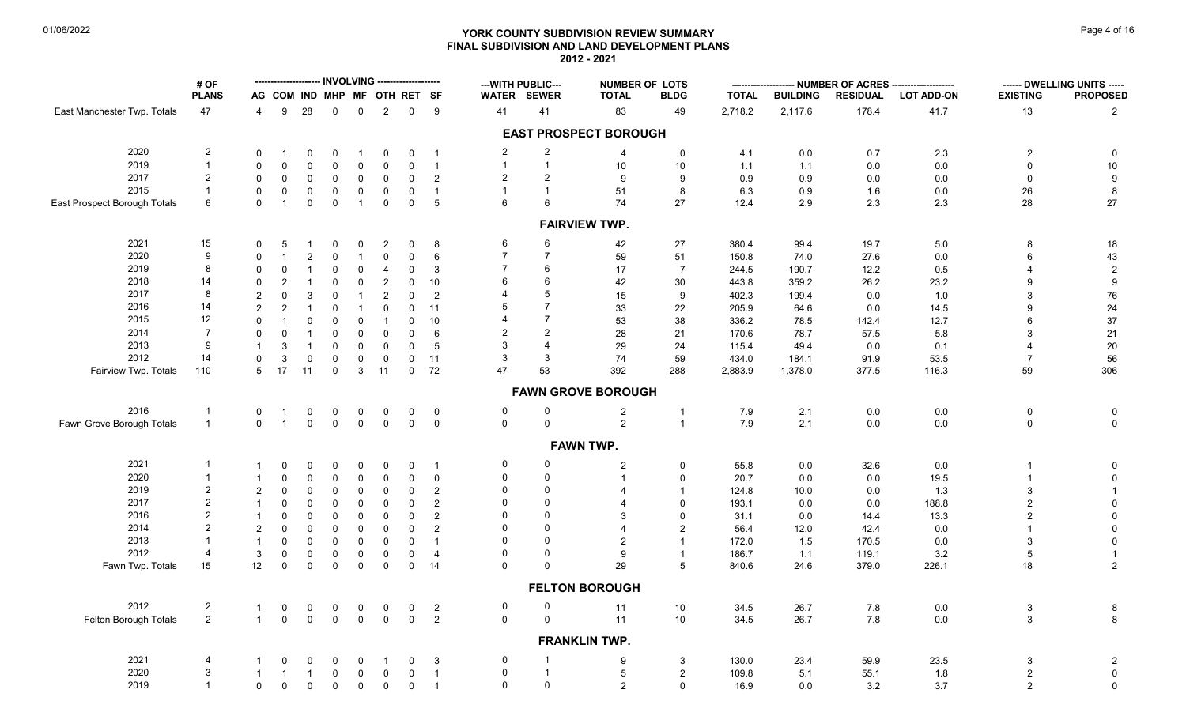# **YORK COUNTY SUBDIVISION REVIEW SUMMARY Page 4 of 16** Page 4 of 16 **FINAL SUBDIVISION AND LAND DEVELOPMENT PLANS 2012 - 2021**

| <b>NUMBER OF LOTS</b><br><b>PLANS</b><br><b>TOTAL</b><br>AG COM IND MHP MF<br>OTH RET SF<br>WATER SEWER<br><b>TOTAL</b><br><b>BLDG</b><br><b>BUILDING</b><br><b>RESIDUAL</b><br><b>LOT ADD-ON</b>                                                              | <b>PROPOSED</b><br><b>EXISTING</b>                |
|----------------------------------------------------------------------------------------------------------------------------------------------------------------------------------------------------------------------------------------------------------------|---------------------------------------------------|
|                                                                                                                                                                                                                                                                |                                                   |
| 47<br>28<br>$\overline{2}$<br>$\mathsf 0$<br>9<br>41<br>83<br>49<br>2,718.2<br>2,117.6<br>178.4<br>East Manchester Twp. Totals<br>9<br>$\mathbf 0$<br>$\mathbf 0$<br>41<br>$\overline{4}$                                                                      | 41.7<br>13<br>$\overline{2}$                      |
| <b>EAST PROSPECT BOROUGH</b>                                                                                                                                                                                                                                   |                                                   |
| $\overline{2}$<br>2020<br>$\overline{a}$<br>$\overline{2}$<br>0.0<br>$\mathbf 0$<br>$\mathbf 0$<br>4.1<br>0.7<br>0<br>0<br>$\Omega$<br>$\overline{1}$<br>-1<br>0<br>-4<br>-1                                                                                   | 2.3<br>$\overline{2}$<br>$\mathbf 0$              |
| 2019<br>$\mathbf{1}$<br>$\mathbf{1}$<br>$\mathbf{1}$<br>$\mathbf 0$<br>10<br>1.1<br>0.0<br>$\Omega$<br>$\Omega$<br>$\Omega$<br>$\overline{1}$<br>10<br>1.1<br>$\Omega$<br>0<br>$\Omega$                                                                        | $0.0\,$<br>$\mathbf 0$<br>$10\,$                  |
| 2017<br>$\overline{2}$<br>$\overline{2}$<br>$\overline{2}$<br>$\mathbf 0$<br>2<br>0.9<br>0.9<br>$\mathbf 0$<br>$\Omega$<br>$\mathbf 0$<br>$\mathbf 0$<br>0<br>9<br>9<br>0.0<br>0                                                                               | $\mathbf 0$<br>9<br>0.0                           |
| 2015<br>$\mathbf{1}$<br>$\mathbf{1}$<br>$\mathbf 1$<br>51<br>$\mathbf 0$<br>$\mathbf 0$<br>$\mathbf 0$<br>$\mathbf 0$<br>$\mathbf 0$<br>8<br>6.3<br>0.9<br>1.6<br>$\mathbf 0$<br>$\mathbf 0$<br>$\overline{1}$                                                 | $\boldsymbol{8}$<br>0.0<br>26                     |
| $\mathbf 0$<br>$5\phantom{.0}$<br>6<br>6<br>74<br>27<br>East Prospect Borough Totals<br>6<br>$\mathbf 0$<br>$\overline{1}$<br>0<br>$\mathbf 0$<br>2.9<br>2.3<br>$\overline{1}$<br>0<br>12.4                                                                    | 28<br>27<br>2.3                                   |
| <b>FAIRVIEW TWP.</b>                                                                                                                                                                                                                                           |                                                   |
| 2021<br>15<br>6<br>6<br>42<br>$\mathbf 0$<br>8<br>27<br>380.4<br>99.4<br>19.7<br>0<br>5<br>0<br>0<br>2<br>-1                                                                                                                                                   | 18<br>5.0<br>8                                    |
| $\boldsymbol{9}$<br>$\overline{7}$<br>$\overline{7}$<br>2020<br>$\overline{c}$<br>51<br>$\Omega$<br>$\mathbf 0$<br>$\mathbf 0$<br>6<br>59<br>150.8<br>74.0<br>27.6<br>$\overline{1}$<br>$\Omega$<br>$\overline{1}$                                             | 43<br>0.0<br>6                                    |
| 2019<br>8<br>$\overline{7}$<br>6<br>$\mathbf 0$<br>$\mathbf 0$<br>3<br>17<br>$\overline{7}$<br>244.5<br>190.7<br>12.2<br>$\mathbf 0$<br>$\mathbf 0$<br>$\overline{1}$<br>0<br>4                                                                                | 0.5<br>$\overline{c}$<br>4                        |
| 6<br>2018<br>14<br>6<br>$\mathbf 0$<br>10<br>30<br>$\Omega$                                                                                                                                                                                                    | 9                                                 |
| $\overline{c}$<br>42<br>359.2<br>$\mathbf 0$<br>$\overline{2}$<br>$\mathbf 0$<br>443.8<br>26.2<br>5<br>8<br>4                                                                                                                                                  | $9\,$<br>23.2                                     |
| 2017<br>3<br>$\mathsf{O}\xspace$<br>$\overline{2}$<br>$\overline{c}$<br>$\mathbf 0$<br>$\mathbf 0$<br>$\overline{2}$<br>15<br>402.3<br>199.4<br>0.0<br>$\overline{1}$<br>9                                                                                     | ${\bf 76}$<br>1.0<br>3                            |
| $\overline{7}$<br>2016<br>5<br>14<br>$\overline{2}$<br>$\mathbf 0$<br>11<br>33<br>22<br>$\overline{2}$<br>$\mathbf 0$<br>205.9<br>64.6<br>0.0<br>$\Omega$<br>$\overline{1}$                                                                                    | 24<br>14.5<br>9                                   |
| $\overline{7}$<br>12<br>2015<br>10<br>53<br>38<br>$\mathbf 0$<br>$\Omega$<br>$\mathbf{0}$<br>$\mathbf 0$<br>$\mathbf 0$<br>336.2<br>78.5<br>142.4<br>-1                                                                                                        | $37\,$<br>12.7<br>6                               |
| $\overline{2}$<br>2014<br>$\overline{7}$<br>2<br>$\mathbf 0$<br>28<br>$\mathbf 0$<br>$\mathbf 0$<br>$\mathbf{1}$<br>$\Omega$<br>$\mathbf 0$<br>0<br>6<br>21<br>170.6<br>78.7<br>57.5                                                                           | 21<br>5.8<br>3                                    |
| 2013<br>9<br>3<br>$\overline{4}$<br>3<br>$\mathbf 0$<br>$\mathbf 0$<br>$\mathbf 0$<br>5<br>29<br>24<br>49.4<br>0.0<br>$\overline{1}$<br>$\mathbf 0$<br>115.4                                                                                                   | $20\,$<br>0.1<br>4                                |
| 2012<br>14<br>3<br>3<br>3<br>$\mathsf{O}\xspace$<br>$\mathsf{O}\phantom{0}$<br>11<br>74<br>59<br>$\mathbf 0$<br>0<br>0<br>0<br>434.0<br>184.1<br>91.9                                                                                                          | 56<br>53.5<br>$\overline{7}$                      |
| 17<br>11<br>$\mathbf{3}$<br>11<br>$\mathsf 0$<br>72<br>47<br>53<br>392<br>288<br>Fairview Twp. Totals<br>110<br>5<br>$\mathbf 0$<br>2,883.9<br>1,378.0<br>377.5                                                                                                | 59<br>306<br>116.3                                |
| <b>FAWN GROVE BOROUGH</b>                                                                                                                                                                                                                                      |                                                   |
| 2016<br>0<br>$\mathbf 0$<br>$\overline{c}$<br>7.9<br>2.1<br>0.0<br>$\mathbf 1$<br>0<br>0<br>$\mathbf 0$<br>0<br>$\mathbf 0$<br>$\overline{0}$<br>$\overline{1}$<br>$\mathbf 0$<br>$\overline{1}$                                                               | $0.0\,$<br>$\mathsf 0$<br>$\mathbf 0$             |
| $\overline{2}$<br>$\mathbf 0$<br>$\mathbf 0$<br>$\mathsf 0$<br>$\mathsf{O}\xspace$<br>$\mathbf 0$<br>Fawn Grove Borough Totals<br>$\overline{1}$<br>$\mathbf 0$<br>$\overline{1}$<br>$\mathsf 0$<br>$\overline{0}$<br>0<br>$\overline{1}$<br>7.9<br>2.1<br>0.0 | $\mathsf 0$<br>0.0<br>$\mathbf 0$                 |
| <b>FAWN TWP.</b>                                                                                                                                                                                                                                               |                                                   |
| 2021<br>0<br>0<br>$\overline{2}$<br>55.8<br>0.0<br>32.6<br>$\mathbf 1$<br>$\Omega$<br>$\mathbf 0$<br>$\Omega$<br>$\Omega$<br>$\Omega$<br>$\Omega$<br>0<br>$\overline{1}$                                                                                       | $0.0\,$<br>0<br>-1                                |
| 2020<br>$\mathbf{1}$<br>$\mathbf 0$<br>$\mathbf 0$<br>0<br>$\mathbf 0$<br>$\overline{1}$<br>20.7<br>0.0<br>0.0<br>$\Omega$<br>$\Omega$<br>$\Omega$<br>0<br>0<br>$\Omega$                                                                                       | 19.5<br>$\overline{1}$<br>$\mathbf 0$             |
| 2019<br>$\mathbf 0$<br>$\overline{2}$<br>$\mathbf 0$<br>$\Omega$<br>$\mathbf 0$<br>2<br>124.8<br>$\overline{2}$<br>$\Omega$<br>0<br>0<br>0<br>$\overline{4}$<br>10.0<br>0.0                                                                                    | 3<br>1.3<br>$\overline{1}$                        |
| 2<br>2017<br>$\Omega$<br>$\Omega$<br>$\mathsf{O}$<br>2<br>0.0<br>$\Omega$<br>$\Omega$<br>$\Omega$<br>0<br>0<br>$\overline{4}$<br>$\Omega$<br>193.1<br>0.0<br>$\mathbf{1}$                                                                                      | $\overline{2}$<br>$\mathsf 0$<br>188.8            |
| $\overline{2}$<br>$\Omega$<br>2016<br>$\mathbf 0$<br>2<br>$\Omega$<br>$\mathbf 0$<br>0<br>0<br>0<br>0<br>3<br>$\Omega$<br>31.1<br>0.0<br>14.4                                                                                                                  | 13.3<br>$\overline{2}$<br>$\mathbf 0$             |
| $\overline{2}$<br>2014<br>$\overline{2}$<br>$\mathbf 0$<br>$\overline{2}$<br>$\Omega$<br>$\Omega$<br>$\overline{0}$<br>0<br>$\mathbf 0$<br>$\mathbf 0$<br>0<br>$\overline{2}$<br>56.4<br>12.0<br>42.4<br>$\Delta$                                              | $\mathsf 0$<br>0.0                                |
| 2013<br>$\Omega$<br>0<br>$\mathbf 0$<br>$\mathbf 0$<br>$\Omega$<br>$\overline{2}$<br>172.0<br>$\mathbf{1}$<br>$\mathbf 0$<br>$\mathbf 0$<br>0<br>$\overline{1}$<br>1.5<br>170.5                                                                                | $\mathsf{O}\xspace$<br>0.0<br>3                   |
| 2012<br>0<br>$\mathbf{3}$<br>$\Omega$<br>$\overline{\mathcal{A}}$<br>$\mathbf 0$<br>$\mathsf{O}$<br>$\mathsf{O}\xspace$<br>9<br>$\mathbf 0$<br>$\mathbf 0$<br>0<br>$\overline{4}$<br>186.7<br>119.1<br>$\overline{1}$<br>1.1                                   | 3.2<br>$5\,$<br>$\overline{1}$                    |
| $\Omega$<br>29<br>Fawn Twp. Totals<br>15<br>12<br>$\mathbf 0$<br>$\mathbf 0$<br>$\mathbf 0$<br>$\mathbf 0$<br>$\mathbf 0$<br>$\mathsf{O}$<br>14<br>$\Omega$<br>5<br>840.6<br>24.6<br>379.0                                                                     | $\overline{2}$<br>226.1<br>18                     |
|                                                                                                                                                                                                                                                                |                                                   |
| <b>FELTON BOROUGH</b>                                                                                                                                                                                                                                          |                                                   |
| 2012<br>$\mathbf 0$<br>$\mathbf 0$<br>$\overline{2}$<br>11<br>10<br>34.5<br>26.7<br>7.8<br>0<br>0<br>0<br>0<br>0<br>$\mathbf 0$<br>$\overline{2}$<br>-1                                                                                                        | 0.0<br>3<br>$\begin{array}{c} 8 \\ 8 \end{array}$ |
| $\overline{2}$<br>$\mathsf 0$<br>$\mathsf 0$<br>$\mathsf{O}\xspace$<br>$\mathbf{1}$<br>$\mathbf 0$<br>$\mathbf 0$<br>$\mathbf 0$<br>$\mathbf 0$<br>$\overline{2}$<br>$\mathsf{O}\xspace$<br>11<br>10<br>34.5<br>26.7<br>7.8<br>Felton Borough Totals           | 0.0<br>$\mathbf{3}$                               |
| <b>FRANKLIN TWP.</b>                                                                                                                                                                                                                                           |                                                   |
| 2021<br>0<br>130.0<br>23.4<br>4<br>3<br>9<br>3<br>59.9<br>$\mathbf 0$<br>0<br>-1<br>$\Omega$<br>0<br>$\Omega$<br>-1                                                                                                                                            | 23.5<br>3<br>$\overline{a}$                       |
| 2020<br>3<br>0<br>$\mathbf 0$<br>$\overline{1}$<br>5<br>5.1<br>$\mathbf{1}$<br>$\mathsf{O}$<br>$\mathbf 0$<br>$\mathbf 0$<br>2<br>109.8<br>55.1<br>$\overline{1}$<br>-1<br>-1                                                                                  | $\overline{2}$<br>$\mathbf 0$<br>1.8              |
| 2019<br>$\mathsf 0$<br>$\mathbf 0$<br>$\mathbf{1}$<br>$\mathbf 0$<br>$\mathbf 0$<br>$\mathbf 0$<br>$\overline{2}$<br>$\mathbf 0$<br>$\mathbf 0$<br>$\mathbf 0$<br>$\mathbf 0$<br>$\overline{1}$<br>$\Omega$<br>3.2<br>16.9<br>0.0                              | $\overline{2}$<br>$\mathbf 0$<br>3.7              |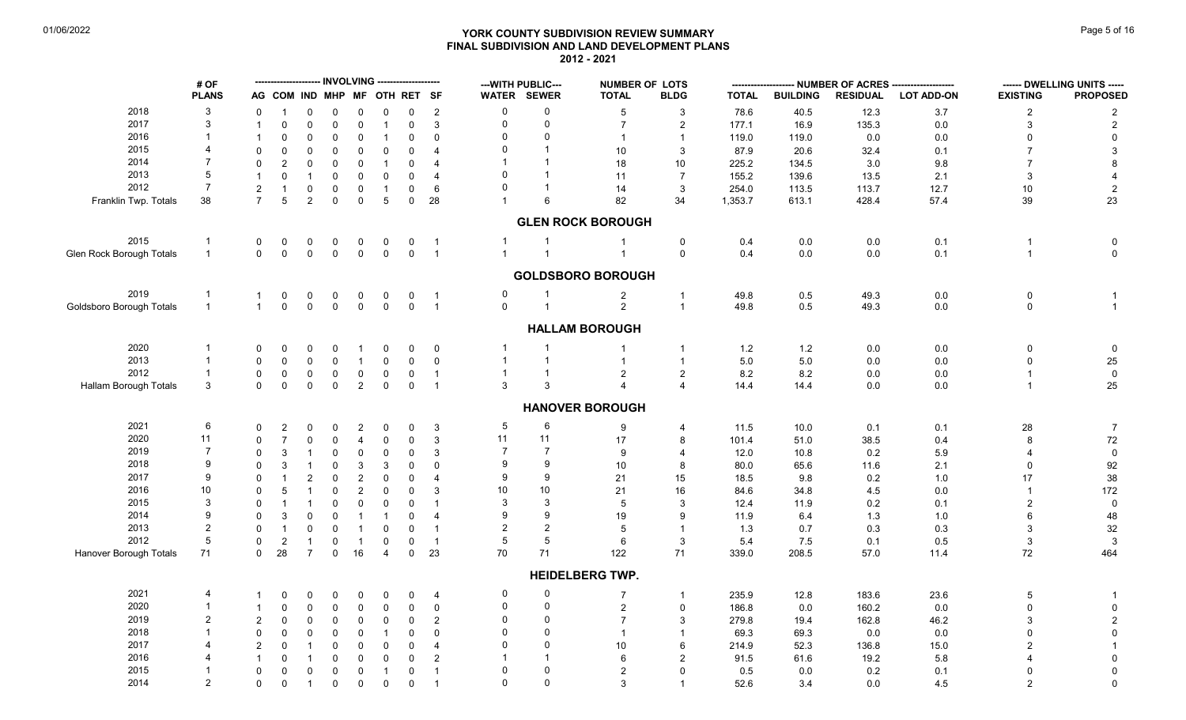# **YORK COUNTY SUBDIVISION REVIEW SUMMARY Page 16 of 16** Page 5 of 16 **FINAL SUBDIVISION AND LAND DEVELOPMENT PLANS 2012 - 2021**

|                          | # OF           |                |                              |                     |                         | -- INVOLVING ------------------- |                     |                |                            |                | --- WITH PUBLIC--- | <b>NUMBER OF LOTS</b>    |                         |              |                 | NUMBER OF ACRES - |                   |                  | ------ DWELLING UNITS ----- |
|--------------------------|----------------|----------------|------------------------------|---------------------|-------------------------|----------------------------------|---------------------|----------------|----------------------------|----------------|--------------------|--------------------------|-------------------------|--------------|-----------------|-------------------|-------------------|------------------|-----------------------------|
|                          | <b>PLANS</b>   |                | AG COM IND MHP MF OTH RET SF |                     |                         |                                  |                     |                |                            |                | WATER SEWER        | <b>TOTAL</b>             | <b>BLDG</b>             | <b>TOTAL</b> | <b>BUILDING</b> | <b>RESIDUAL</b>   | <b>LOT ADD-ON</b> | <b>EXISTING</b>  | <b>PROPOSED</b>             |
| 2018                     | 3              | $\Omega$       |                              | $\Omega$            | 0                       | 0                                | 0                   | 0              | $\overline{c}$             | 0              | $\Omega$           | 5                        | $\mathbf{3}$            | 78.6         | 40.5            | 12.3              | $3.7$             | $\boldsymbol{2}$ | $\overline{c}$              |
| 2017                     | 3              |                | $\Omega$                     | $\Omega$            | $\mathbf 0$             | 0                                | $\mathbf{1}$        | $\Omega$       | $\mathbf 3$                | $\mathbf 0$    | $\mathbf 0$        | $\overline{7}$           | $\overline{\mathbf{c}}$ | 177.1        | 16.9            | 135.3             | $0.0\,$           | $\mathbf{3}$     | $\sqrt{2}$                  |
| 2016                     | $\mathbf{1}$   |                | $\Omega$                     | $\mathbf 0$         | $\mathbf 0$             | $\mathbf 0$                      | $\mathbf{1}$        | $\mathbf 0$    | $\mathbf 0$                | $\Omega$       | $\Omega$           | $\overline{1}$           | $\overline{1}$          | 119.0        | 119.0           | 0.0               | 0.0               |                  | 0                           |
| 2015                     | 4              | $\Omega$       | $\Omega$                     | $\Omega$            | 0                       | $\Omega$                         | $\mathbf 0$         | $\Omega$       | $\overline{\mathbf{4}}$    | $\Omega$       |                    | 10                       | 3                       | 87.9         | 20.6            | 32.4              | 0.1               |                  | 3                           |
| 2014                     | $\overline{7}$ | $\Omega$       |                              | $\mathbf 0$         | 0                       | $\mathbf 0$                      | $\mathbf{1}$        | $\Omega$       | $\overline{4}$             |                |                    | 18                       | 10                      | 225.2        | 134.5           | 3.0               | 9.8               |                  | 8                           |
| 2013                     | 5              | $\mathbf{1}$   | 0                            | $\overline{1}$      | 0                       | 0                                | $\mathbf 0$         | $\Omega$       | $\overline{4}$             | $\Omega$       |                    | 11                       | $\overline{7}$          | 155.2        | 139.6           | 13.5              | 2.1               | 3                |                             |
| 2012                     | $\overline{7}$ | $\sqrt{2}$     |                              | $\mathbf 0$         | $\mathsf{O}\xspace$     | $\mathbf 0$                      | $\mathbf{1}$        | $\mathbf 0$    | 6                          | $\Omega$       |                    | 14                       | 3                       | 254.0        | 113.5           | 113.7             | 12.7              | $10\,$           | $\overline{2}$              |
| Franklin Twp. Totals     | 38             | $\overline{7}$ | 5                            | $\overline{2}$      | $\mathbf 0$             | $\mathbf 0$                      | 5                   | $\mathbf 0$    | 28                         |                | 6                  | 82                       | 34                      | 1,353.7      | 613.1           | 428.4             | 57.4              | 39               | 23                          |
|                          |                |                |                              |                     |                         |                                  |                     |                |                            |                |                    | <b>GLEN ROCK BOROUGH</b> |                         |              |                 |                   |                   |                  |                             |
| 2015                     | $\mathbf{1}$   | 0              | 0                            | $\mathbf 0$         | $\mathbf 0$             | 0                                | 0                   | 0              | $\overline{1}$             |                | $\mathbf{1}$       | -1                       | 0                       | 0.4          | 0.0             | 0.0               | 0.1               | $\mathbf{1}$     | $\mathbf 0$                 |
| Glen Rock Borough Totals | $\mathbf{1}$   | $\Omega$       | $\mathsf 0$                  | $\pmb{0}$           | $\mathsf{O}\xspace$     | $\mathbf 0$                      | $\mathsf{O}\xspace$ | $\overline{0}$ | $\overline{1}$             | $\overline{1}$ | $\overline{1}$     | $\overline{1}$           | $\mathbf 0$             | 0.4          | 0.0             | 0.0               | 0.1               | $\mathbf{1}$     | $\mathbf 0$                 |
|                          |                |                |                              |                     |                         |                                  |                     |                |                            |                |                    | <b>GOLDSBORO BOROUGH</b> |                         |              |                 |                   |                   |                  |                             |
| 2019                     | $\mathbf 1$    | $\mathbf{1}$   | 0                            | $\pmb{0}$           | $\mathbf 0$             | $\overline{0}$                   | 0                   | $\mathbf 0$    | $\overline{1}$             | 0              | -1                 | $\overline{a}$           | $\overline{1}$          | 49.8         | $0.5\,$         | 49.3              | $0.0\,$           | 0                | -1                          |
| Goldsboro Borough Totals | $\mathbf{1}$   | $\mathbf{1}$   | $\mathsf 0$                  | $\mathsf{O}\xspace$ | $\mathbf 0$             | $\mathsf 0$                      | $\mathsf{O}\xspace$ | $\mathbf 0$    | $\overline{\phantom{a}}$ 1 | $\mathbf 0$    | $\overline{1}$     | $\overline{2}$           | $\overline{1}$          | 49.8         | 0.5             | 49.3              | $0.0\,$           | $\mathbf 0$      | $\overline{1}$              |
|                          |                |                |                              |                     |                         |                                  |                     |                |                            |                |                    | <b>HALLAM BOROUGH</b>    |                         |              |                 |                   |                   |                  |                             |
| 2020                     | 1              | 0              | $\Omega$                     | $\mathbf 0$         | 0                       | -1                               | 0                   | $\Omega$       | $\mathbf 0$                |                |                    |                          | $\overline{1}$          | 1.2          | 1.2             | 0.0               | $0.0\,$           | $\mathbf 0$      | $\mathbf 0$                 |
| 2013                     | $\mathbf{1}$   | $\Omega$       | $\Omega$                     | $\Omega$            | $\mathbf 0$             | $\overline{1}$                   | $\pmb{0}$           |                | $\mathbf 0$                | $\overline{1}$ | $\overline{1}$     | $\mathbf{1}$             | $\mathbf{1}$            | $5.0$        | $5.0\,$         | 0.0               | $0.0\,$           | $\mathbf{0}$     | 25                          |
| 2012                     | $\mathbf{1}$   | 0              | 0                            | $\mathbf 0$         | 0                       | $\mathbf 0$                      | 0                   | 0              | $\mathbf{1}$               | $\overline{1}$ | $\mathbf{1}$       | $\overline{2}$           | $\overline{2}$          | 8.2          | $8.2\,$         | 0.0               | 0.0               | $\mathbf{1}$     | $\overline{\mathbf{0}}$     |
| Hallam Borough Totals    | 3              | $\Omega$       | $\mathbf 0$                  | $\pmb{0}$           | $\mathbf 0$             | $\overline{2}$                   | $\mathbf 0$         | $\mathbf 0$    | $\overline{1}$             | 3              | 3                  | $\overline{A}$           | $\overline{4}$          | 14.4         | 14.4            | 0.0               | $0.0\,$           | $\mathbf{1}$     | 25                          |
|                          |                |                |                              |                     |                         |                                  |                     |                |                            |                |                    | <b>HANOVER BOROUGH</b>   |                         |              |                 |                   |                   |                  |                             |
| 2021                     | 6              | $\Omega$       | $\overline{2}$               | $\mathbf 0$         | 0                       | $\overline{2}$                   | 0                   | $\Omega$       | $\mathbf{3}$               | 5              | 6                  | 9                        | 4                       | 11.5         | 10.0            | 0.1               | 0.1               | 28               | $\overline{7}$              |
| 2020                     | 11             | $\Omega$       |                              | $\mathbf 0$         | $\Omega$                | $\overline{4}$                   | $\pmb{0}$           | $\Omega$       | $\ensuremath{\mathsf{3}}$  | 11             | 11                 | 17                       | 8                       | 101.4        | 51.0            | 38.5              | 0.4               | 8                | $72\,$                      |
| 2019                     | $\overline{7}$ | $\Omega$       | 3                            | $\overline{1}$      | 0                       | $\mathbf 0$                      | $\mathbf 0$         | $\Omega$       | $\mathbf{3}$               | $\overline{7}$ | $\overline{7}$     | 9                        | $\overline{\mathbf{A}}$ | 12.0         | 10.8            | 0.2               | $5.9\,$           |                  | $\mathbf 0$                 |
| 2018                     | 9              | <sup>0</sup>   | 3                            | -1                  | 0                       | 3                                | $\mathbf{3}$        | 0              | $\Omega$                   | 9              | 9                  | 10                       | 8                       | 80.0         | 65.6            | 11.6              | 2.1               | $\mathbf 0$      | 92                          |
| 2017                     | 9              | $\Omega$       |                              | $\overline{2}$      | 0                       | $\overline{2}$                   | $\mathbf 0$         | $\Omega$       | $\overline{4}$             | 9              | 9                  | 21                       | 15                      | 18.5         | 9.8             | 0.2               | 1.0               | 17               | 38                          |
| 2016                     | 10             |                | 5                            | $\overline{1}$      | 0                       | $\overline{2}$                   | $\mathbf 0$         | $\Omega$       | 3                          | 10             | 10                 | 21                       | 16                      | 84.6         | 34.8            | 4.5               | 0.0               |                  | 172                         |
| 2015                     | 3              | $\Omega$       |                              | $\overline{1}$      | 0                       | $\Omega$                         | $\mathbf 0$         | $\Omega$       | $\mathbf{1}$               | 3              | 3                  | 5                        | 3                       | 12.4         | 11.9            | 0.2               | 0.1               | $\overline{2}$   | $\mathbf 0$                 |
| 2014                     | 9              | $\Omega$       | 3                            | $\Omega$            | 0                       | - 1                              | $\mathbf{1}$        | $\Omega$       | $\overline{4}$             | 9              | 9                  | 19                       | 9                       | 11.9         | 6.4             | 1.3               | 1.0               | 6                | 48                          |
| 2013                     | $\sqrt{2}$     | $\Omega$       |                              | $\mathbf 0$         | $\Omega$                | $\overline{\mathbf{1}}$          | $\mathbf 0$         | $\Omega$       | $\overline{1}$             | $\overline{c}$ | $\overline{2}$     | 5                        |                         | 1.3          | 0.7             | 0.3               | 0.3               | 3                | $32\,$                      |
| 2012                     | $\,$ 5 $\,$    | $\mathbf 0$    | $\overline{c}$               | $\mathbf{1}$        | $\mathbf 0$             | $\overline{1}$                   | $\mathbf 0$         | $\Omega$       | $\overline{1}$             | 5              | 5                  | 6                        | 3                       | 5.4          |                 | 0.1               | 0.5               | 3                | $\mathbf{3}$                |
| Hanover Borough Totals   | 71             | $\mathbf 0$    | 28                           | $\overline{7}$      | $\mathsf{O}\phantom{0}$ | 16                               | $\overline{4}$      | $\mathbf 0$    | 23                         | 70             | 71                 | 122                      | 71                      | 339.0        | 7.5<br>208.5    | 57.0              | 11.4              | 72               | 464                         |
|                          |                |                |                              |                     |                         |                                  |                     |                |                            |                |                    | <b>HEIDELBERG TWP.</b>   |                         |              |                 |                   |                   |                  |                             |
| 2021                     | 4              |                | $\Omega$                     | $\mathbf 0$         | 0                       | 0                                | 0                   | $\Omega$       | 4                          | $\mathbf 0$    | 0                  | $\overline{7}$           | $\mathbf{1}$            | 235.9        | 12.8            | 183.6             | 23.6              | 5                | -1                          |
| 2020                     | $\mathbf{1}$   |                | $\mathbf{0}$                 | $\pmb{0}$           | 0                       | 0                                | $\pmb{0}$           | $\Omega$       | $\mathbf 0$                | 0              | $\Omega$           | $\overline{2}$           | $\mathbf 0$             | 186.8        | 0.0             | 160.2             | 0.0               | $\Omega$         | $\mathbf 0$                 |
| 2019                     | $\overline{2}$ | $\overline{2}$ | $\mathbf 0$                  | $\mathbf 0$         | 0                       | $\mathbf 0$                      | $\pmb{0}$           | 0              | $\overline{c}$             | $\mathbf 0$    | $\mathbf{0}$       | $\overline{7}$           | 3                       | 279.8        | 19.4            | 162.8             | 46.2              | 3                | $\overline{c}$              |
| 2018                     | $\mathbf{1}$   | $\Omega$       | $\Omega$                     | $\mathbf 0$         | $\mathbf 0$             | $\mathbf 0$                      | $\mathbf{1}$        | $\mathbf 0$    | $\Omega$                   | $\Omega$       | $\Omega$           | $\overline{1}$           | $\overline{1}$          | 69.3         | 69.3            | 0.0               | 0.0               | $\Omega$         | $\mathbf 0$                 |
| 2017                     |                |                |                              |                     |                         |                                  |                     |                |                            | $\Omega$       | $\Omega$           |                          |                         |              |                 |                   |                   |                  | -1                          |
|                          | 4              | 2              | 0                            | $\mathbf{1}$        | $\mathbf 0$             | $\mathbf 0$                      | $\mathbf 0$         | $\mathbf 0$    | $\overline{4}$             |                | $\mathbf{1}$       | 10                       | 6                       | 214.9        | 52.3            | 136.8             | 15.0              |                  |                             |
| 2016                     |                | $\mathbf{1}$   | 0                            | -1                  | 0                       | $\mathbf 0$                      | $\mathbf 0$         | $\Omega$       | $\overline{2}$             |                |                    | 6                        | $\overline{2}$          | 91.5         | 61.6            | 19.2              | 5.8               |                  | $\mathbf 0$                 |
| 2015                     |                | $\Omega$       | 0                            | $\mathbf 0$         | 0                       | 0                                | $\mathbf{1}$        | 0              | $\overline{1}$             | 0              | $\mathbf{0}$       | $\overline{2}$           | $\Omega$                | 0.5          | 0.0             | 0.2               | 0.1               |                  | $\mathbf 0$                 |
| 2014                     | $\overline{2}$ | $\mathbf 0$    | $\mathbf 0$                  | $\overline{1}$      | $\mathbf 0$             | $\mathbf 0$                      | $\mathbf 0$         | 0              | $\overline{1}$             | $\mathbf 0$    | $\mathbf 0$        | 3                        |                         | 52.6         | 3.4             | 0.0               | 4.5               | $\overline{2}$   | $\mathsf{O}\xspace$         |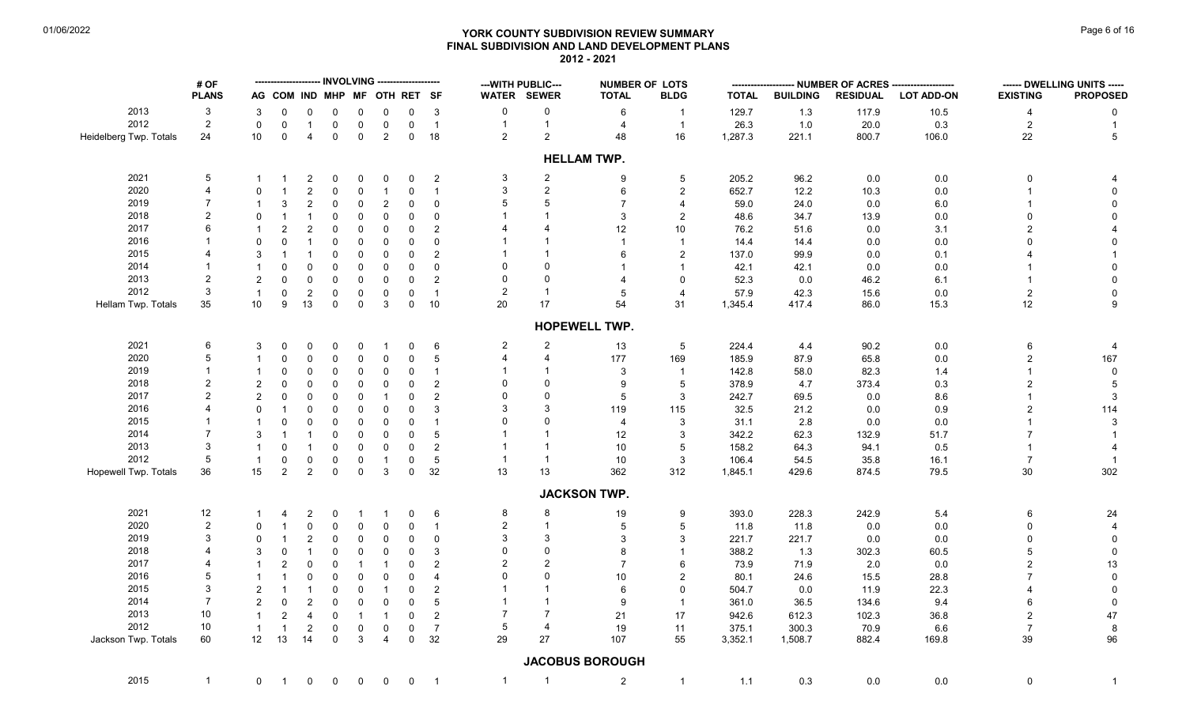# **YORK COUNTY SUBDIVISION REVIEW SUMMARY Page 6 of 16** Page 6 of 16 **FINAL SUBDIVISION AND LAND DEVELOPMENT PLANS 2012 - 2021**

|                        | # OF           |                | -------------------- INVOLVING  |                   |                  |              |                              | -------------------- |                 |                          | --- WITH PUBLIC--- | <b>NUMBER OF LOTS</b>  |                         |                  |                 |                 | -- NUMBER OF ACRES -------------------- |                          | ------ DWELLING UNITS ----- |
|------------------------|----------------|----------------|---------------------------------|-------------------|------------------|--------------|------------------------------|----------------------|-----------------|--------------------------|--------------------|------------------------|-------------------------|------------------|-----------------|-----------------|-----------------------------------------|--------------------------|-----------------------------|
|                        | <b>PLANS</b>   |                |                                 |                   |                  |              | AG COM IND MHP MF OTH RET SF |                      |                 |                          | WATER SEWER        | <b>TOTAL</b>           | <b>BLDG</b>             | <b>TOTAL</b>     | <b>BUILDING</b> | <b>RESIDUAL</b> | <b>LOT ADD-ON</b>                       | <b>EXISTING</b>          | <b>PROPOSED</b>             |
| 2013                   | 3              | 3              | 0                               | 0                 | 0                | 0            | 0                            | 0                    | 3               | $\mathbf 0$              | $\pmb{0}$          | 6                      | $\mathbf{1}$            | 129.7            | 1.3             | 117.9           | 10.5                                    | 4                        | 0                           |
| 2012                   | $\sqrt{2}$     | $\mathbf 0$    | $\mathbf 0$                     | $\mathbf{1}$      | $\mathbf 0$      | $\mathsf 0$  | $\mathbf 0$                  | $\mathbf 0$          | $\overline{1}$  | $\overline{1}$           | $\mathbf{1}$       | 4                      | $\mathbf{1}$            | 26.3             | 1.0             | 20.0            | 0.3                                     | $\overline{2}$           | $\mathbf{1}$                |
| Heidelberg Twp. Totals | 24             | 10             | $\mathbf 0$                     | $\overline{4}$    | 0                | $\mathbf 0$  | $\overline{2}$               | $\mathbf 0$          | 18              | 2                        | $\overline{2}$     | 48                     | 16                      | 1,287.3          | 221.1           | 800.7           | 106.0                                   | 22                       | 5                           |
|                        |                |                |                                 |                   |                  |              |                              |                      |                 |                          |                    | <b>HELLAM TWP.</b>     |                         |                  |                 |                 |                                         |                          |                             |
| 2021                   | 5              |                |                                 | 2                 | 0                | $\Omega$     | 0                            | 0                    | $\overline{2}$  | 3                        | $\overline{2}$     | 9                      | 5                       | 205.2            | 96.2            | 0.0             | 0.0                                     | 0                        | 4                           |
| 2020                   | $\overline{4}$ | $\Omega$       | $\mathbf 1$                     | $\overline{c}$    | $\Omega$         | $\mathbf 0$  | $\mathbf{1}$                 | $\mathbf 0$          | $\overline{1}$  | 3                        | $\overline{2}$     | 6                      | $\sqrt{2}$              | 652.7            | 12.2            | 10.3            | 0.0                                     | $\overline{\phantom{a}}$ | $\mathbf 0$                 |
| 2019                   | $\overline{7}$ |                | 3                               | $\overline{c}$    | 0                | $\mathbf 0$  | $\sqrt{2}$                   | $\mathbf 0$          | 0               |                          | 5                  | 7                      | 4                       | 59.0             | 24.0            | 0.0             | 6.0                                     |                          | 0                           |
| 2018                   | $\mathfrak{p}$ | $\Omega$       | -1                              | $\mathbf 1$       | $\Omega$         | $\Omega$     | $\mathbf 0$                  | $\mathbf 0$          | 0               |                          |                    | 3                      | $\overline{2}$          | 48.6             | 34.7            | 13.9            | 0.0                                     | $\Omega$                 | $\Omega$                    |
| 2017                   | 6              |                | $\overline{2}$                  | $\overline{c}$    | 0                | $\mathbf 0$  | $\mathbf 0$                  | $\overline{0}$       | $\overline{c}$  |                          |                    | 12                     | 10                      | 76.2             | 51.6            | 0.0             | 3.1                                     | 2                        |                             |
| 2016                   |                | $\Omega$       | $\mathbf 0$                     | $\mathbf{1}$      | $\Omega$         | $\mathbf 0$  | $\mathbf 0$                  | $\mathbf 0$          | 0               |                          |                    |                        | $\mathbf{1}$            | 14.4             | 14.4            | 0.0             | 0.0                                     | $\Omega$                 | $\Omega$                    |
| 2015                   |                | 3              |                                 | $\mathbf 1$       | $\Omega$         | $\mathbf 0$  | $\mathbf 0$                  | $\mathbf 0$          | $\overline{2}$  |                          |                    | 6                      | 2                       | 137.0            | 99.9            | 0.0             | 0.1                                     |                          |                             |
| 2014                   |                | $\mathbf{1}$   | $\Omega$                        | 0                 | $\mathbf 0$      | $\mathbf 0$  | $\mathbf 0$                  | $\mathbf 0$          | $\mathbf 0$     |                          | $\Omega$           |                        | $\overline{1}$          | 42.1             | 42.1            | 0.0             | 0.0                                     |                          | $\mathbf 0$                 |
| 2013                   | $\overline{2}$ | 2              | $\Omega$                        | $\mathbf 0$       | $\mathbf 0$      | 0            | $\mathbf 0$                  | $\mathbf 0$          | $\overline{c}$  | $\Omega$                 | $\Omega$           |                        | $\mathbf 0$             | 52.3             | 0.0             | 46.2            | 6.1                                     | -1                       | $\mathbf 0$                 |
| 2012                   | 3              | $\mathbf{1}$   |                                 | $\mathbf{2}$      |                  | $\mathsf 0$  |                              |                      | $\overline{1}$  | 2                        | $\overline{1}$     | 5                      | $\overline{4}$          | 57.9             |                 | 15.6            | 0.0                                     | $\overline{2}$           | $\mathbf 0$                 |
|                        | 35             | 10             | $\mathbf 0$<br>$\boldsymbol{9}$ | 13                | 0<br>$\mathbf 0$ | $\mathsf 0$  | $\mathbf 0$<br>$\mathbf{3}$  | $\mathbf 0$          | $10\,$          | 20                       | 17                 | 54                     | 31                      |                  | 42.3            |                 |                                         | $12$                     | 9                           |
| Hellam Twp. Totals     |                |                |                                 |                   |                  |              |                              | $\mathbf 0$          |                 |                          |                    |                        |                         | 1,345.4          | 417.4           | 86.0            | 15.3                                    |                          |                             |
|                        |                |                |                                 |                   |                  |              |                              |                      |                 |                          |                    | <b>HOPEWELL TWP.</b>   |                         |                  |                 |                 |                                         |                          |                             |
| 2021                   | 6              | 3              | 0                               | 0                 | $\Omega$         | 0            | -1                           | 0                    | 6               | $\overline{2}$           | $\overline{2}$     | 13                     | 5                       | 224.4            | 4.4             | 90.2            | 0.0                                     | 6                        | 4                           |
| 2020                   | 5              |                | $\mathbf 0$                     | 0                 | 0                | $\mathsf 0$  | $\mathbf 0$                  | $\mathbf 0$          | $5\phantom{.0}$ | $\overline{\mathcal{A}}$ | $\overline{4}$     | 177                    | 169                     | 185.9            | 87.9            | 65.8            | 0.0                                     | $\overline{2}$           | 167                         |
| 2019                   | $\overline{1}$ |                | $\Omega$                        | 0                 | 0                | 0            | 0                            | $\mathbf 0$          | $\overline{1}$  |                          |                    | 3                      | $\overline{\mathbf{1}}$ | 142.8            | 58.0            | 82.3            | 1.4                                     | $\mathbf 1$              | 0                           |
| 2018                   | $\overline{2}$ | 2              | $\Omega$                        | 0                 | 0                | $\Omega$     | $\Omega$                     | $\Omega$             | $\overline{c}$  |                          | $\Omega$           | 9                      | 5                       | 378.9            | 4.7             | 373.4           | 0.3                                     | $\overline{2}$           | 5                           |
| 2017                   | $\overline{2}$ | 2              | $\mathbf 0$                     | $\mathbf 0$       | $\Omega$         | $\Omega$     | $\mathbf 1$                  | $\mathbf 0$          | $\overline{2}$  |                          | 0                  | 5                      | $\mathbf{3}$            | 242.7            | 69.5            | 0.0             | 8.6                                     | $\overline{1}$           | 3                           |
| 2016                   | 4              | $\Omega$       | -1                              | 0                 | 0                | $\Omega$     | $\mathbf 0$                  | $\overline{0}$       | 3               |                          | 3                  | 119                    | 115                     | 32.5             | 21.2            | 0.0             | 0.9                                     | $\overline{2}$           | 114                         |
| 2015                   |                | $\mathbf 1$    | 0                               | 0                 | 0                | $\mathbf 0$  | $\mathbf 0$                  | $\mathbf 0$          | $\overline{1}$  |                          | $\Omega$           | 4                      | 3                       | 31.1             | 2.8             | 0.0             | 0.0                                     |                          | 3                           |
| 2014                   | $\overline{7}$ | 3              |                                 | -1                | $\mathbf 0$      | $\mathbf 0$  | $\mathbf 0$                  | $\mathbf 0$          | $5\phantom{.0}$ |                          |                    | 12                     | 3                       | 342.2            | 62.3            | 132.9           | 51.7                                    | 7                        |                             |
| 2013                   | 3              | $\overline{1}$ | $\mathbf 0$                     | $\mathbf{1}$      | 0                | $\mathbf 0$  | $\mathbf 0$                  | $\mathbf 0$          | $\overline{2}$  |                          |                    | 10                     | 5                       | 158.2            | 64.3            | 94.1            | 0.5                                     | -1                       |                             |
| 2012                   | 5              | $\overline{1}$ | $\mathbf 0$                     |                   | 0                | 0            | $\overline{1}$               | $\mathbf 0$          | $\,$ 5 $\,$     | $\overline{1}$           | $\overline{1}$     | 10                     | 3                       |                  |                 | 35.8            | 16.1                                    | $\overline{7}$           | $\overline{1}$              |
| Hopewell Twp. Totals   | 36             | 15             | $\sqrt{2}$                      | 0<br>$\mathbf{2}$ | $\mathbf 0$      | $\mathbf 0$  | $\mathbf{3}$                 | $\mathbf 0$          | 32              | 13                       | 13                 | 362                    | 312                     | 106.4<br>1,845.1 | 54.5<br>429.6   | 874.5           | 79.5                                    | $30\,$                   | 302                         |
|                        |                |                |                                 |                   |                  |              |                              |                      |                 |                          |                    | <b>JACKSON TWP.</b>    |                         |                  |                 |                 |                                         |                          |                             |
| 2021                   | 12             |                | 4                               | 2                 | 0                | -1           |                              | $\Omega$             | 6               | 8                        | 8                  | 19                     | 9                       | 393.0            | 228.3           | 242.9           | 5.4                                     | 6                        | 24                          |
| 2020                   | $\overline{2}$ | $\Omega$       |                                 | $\mathbf{0}$      | $\Omega$         | $\mathbf 0$  | $\Omega$                     | 0                    | $\overline{1}$  | 2                        | $\overline{1}$     | 5                      | 5                       | 11.8             | 11.8            | 0.0             | 0.0                                     | $\Omega$                 | 4                           |
| 2019                   | 3              | $\Omega$       | -1                              | $\overline{2}$    | 0                | $\mathbf 0$  | $\mathbf 0$                  | $\mathbf 0$          | 0               | 3                        | 3                  | 3                      | 3                       | 221.7            | 221.7           | 0.0             | 0.0                                     | $\mathbf 0$              | 0                           |
| 2018                   |                | 3              | $\Omega$                        | $\mathbf 1$       | $\Omega$         | $\mathbf 0$  | $\mathbf 0$                  | $\mathbf 0$          | 3               |                          | $\Omega$           | 8                      | 1                       | 388.2            | 1.3             | 302.3           | 60.5                                    | 5                        | $\mathbf 0$                 |
| 2017                   |                |                | $\overline{2}$                  | $\Omega$          | 0                | $\mathbf{1}$ | -1                           | $\Omega$             | $\overline{2}$  | 2                        | $\overline{2}$     | 7                      | 6                       | 73.9             | 71.9            | 2.0             | 0.0                                     | $\overline{2}$           | 13                          |
| 2016                   | 5              |                |                                 | $\mathbf{0}$      | $\Omega$         | $\Omega$     | $\Omega$                     | $\mathbf 0$          | $\overline{4}$  |                          | 0                  | 10                     | 2                       | 80.1             | 24.6            | 15.5            | 28.8                                    | $\overline{7}$           | $\mathbf 0$                 |
| 2015                   | 3              |                | $\overline{1}$                  | $\mathbf{1}$      |                  |              |                              |                      |                 |                          |                    |                        | $\Omega$                |                  |                 |                 |                                         | 4                        |                             |
|                        | $\overline{7}$ | $\overline{2}$ |                                 |                   | 0                | $\mathbf 0$  | $\mathbf{1}$                 | $\Omega$             | $\overline{2}$  |                          |                    | 6                      |                         | 504.7            | 0.0             | 11.9            | 22.3                                    |                          | $\mathbf{0}$                |
| 2014                   |                | 2              | $\mathbf 0$                     | $\overline{2}$    | $\Omega$         | $\Omega$     | $\Omega$                     | $\mathbf 0$          | 5               |                          |                    | 9                      | $\overline{1}$          | 361.0            | 36.5            | 134.6           | 9.4                                     | 6                        | $\mathbf{0}$                |
| 2013                   | 10             | $\mathbf{1}$   | $\overline{2}$                  | $\overline{4}$    | 0                | $\mathbf{1}$ | $\overline{1}$               | $\mathbf 0$          | $\overline{2}$  | 7                        | $\overline{7}$     | 21                     | 17                      | 942.6            | 612.3           | 102.3           | 36.8                                    | $\overline{2}$           | 47                          |
| 2012                   | 10             | $\mathbf{1}$   | $\overline{1}$                  | $\sqrt{2}$        | 0                | $\mathbf 0$  | $\mathbf 0$                  | 0                    | $\overline{7}$  | 5                        | $\overline{4}$     | 19                     | 11                      | 375.1            | 300.3           | 70.9            | 6.6                                     | $\overline{7}$           | 8                           |
| Jackson Twp. Totals    | 60             | 12             | 13                              | 14                | $\mathbf 0$      | 3            | $\overline{4}$               | $\mathbf 0$          | 32              | 29                       | 27                 | 107                    | 55                      | 3,352.1          | 1,508.7         | 882.4           | 169.8                                   | 39                       | 96                          |
|                        |                |                |                                 |                   |                  |              |                              |                      |                 |                          |                    | <b>JACOBUS BOROUGH</b> |                         |                  |                 |                 |                                         |                          |                             |
| 2015                   | $\mathbf{1}$   | $\mathbf{0}$   | $\mathbf 1$                     | 0                 | $\mathbf 0$      | $\mathbf 0$  | $\mathbf 0$                  | $\mathsf{O}$         | $\overline{1}$  | $\mathbf{1}$             |                    | $\overline{c}$         | $\mathbf{1}$            | 1.1              | 0.3             | 0.0             | $0.0\,$                                 | 0                        | $\mathbf{1}$                |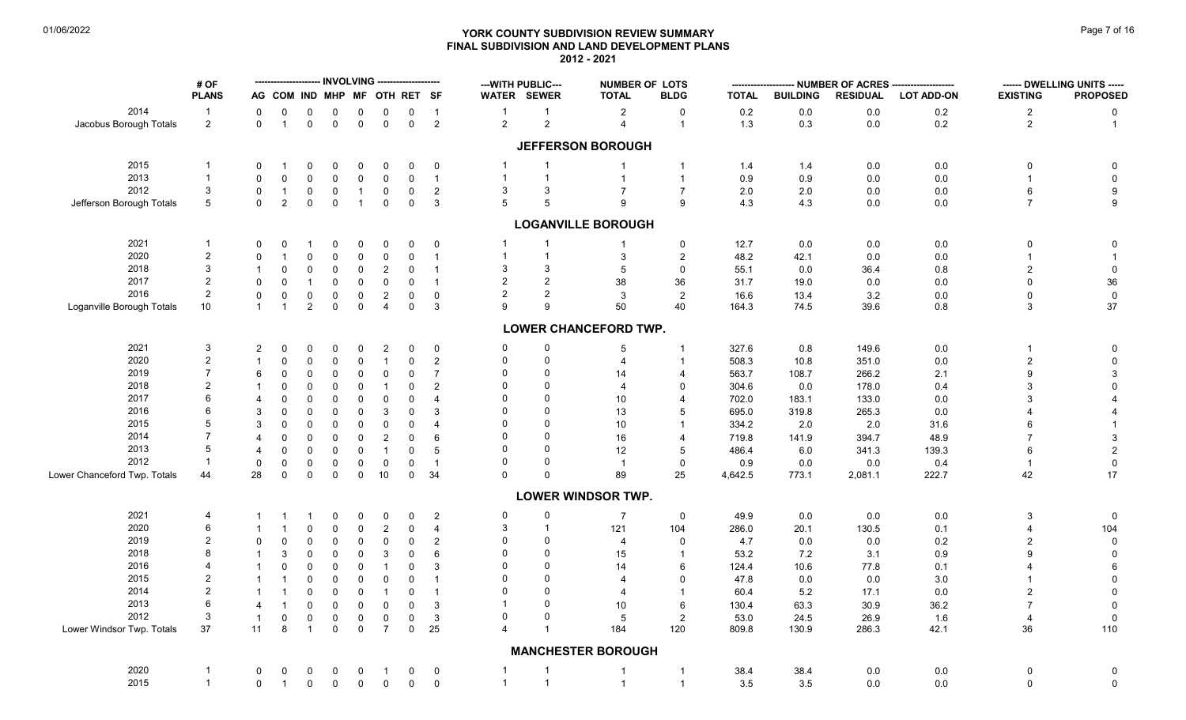# **YORK COUNTY SUBDIVISION REVIEW SUMMARY Page 7 of 16** Page 7 of 16 **FINAL SUBDIVISION AND LAND DEVELOPMENT PLANS 2012 - 2021**

|                              | # OF               |                      |                |                   |                  |                  | --------------------- INVOLVING -------------------- |                          |                          | --- WITH PUBLIC---           |                    | <b>NUMBER OF LOTS</b>        |                       |               |                 | NUMBER OF ACRES |                   |                 | ------ DWELLING UNITS ----- |
|------------------------------|--------------------|----------------------|----------------|-------------------|------------------|------------------|------------------------------------------------------|--------------------------|--------------------------|------------------------------|--------------------|------------------------------|-----------------------|---------------|-----------------|-----------------|-------------------|-----------------|-----------------------------|
|                              | <b>PLANS</b>       |                      | AG COM IND MHP |                   |                  |                  | MF OTH RET SF                                        |                          |                          | WATER SEWER                  |                    | <b>TOTAL</b>                 | <b>BLDG</b>           | <b>TOTAL</b>  | <b>BUILDING</b> | <b>RESIDUAL</b> | <b>LOT ADD-ON</b> | <b>EXISTING</b> | <b>PROPOSED</b>             |
| 2014                         | $\overline{1}$     | 0                    | 0              | 0                 | 0                | 0                | 0                                                    | 0                        | $\overline{1}$           | $\mathbf{1}$                 | $\mathbf{1}$       | $\overline{2}$               | 0                     | $0.2\,$       | 0.0             | 0.0             | $0.2\,$           | $\overline{2}$  | 0                           |
| Jacobus Borough Totals       | $\overline{2}$     | $\mathbf 0$          | $\overline{1}$ | $\mathbf 0$       | $\mathbf 0$      | $\mathbf 0$      | $\mathsf 0$                                          | $\mathbf 0$              | $\overline{2}$           | $\overline{c}$               | $\overline{a}$     | $\overline{4}$               | $\overline{1}$        | 1.3           | 0.3             | 0.0             | 0.2               | $\overline{2}$  | $\mathbf{1}$                |
|                              |                    |                      |                |                   |                  |                  |                                                      |                          |                          |                              |                    | <b>JEFFERSON BOROUGH</b>     |                       |               |                 |                 |                   |                 |                             |
| 2015                         | $\mathbf 1$        | $\Omega$             | 1              | 0                 | 0                | 0                | $\Omega$                                             | 0                        | 0                        | $\mathbf{1}$                 | -1                 | -1                           |                       | 1.4           | 1.4             | 0.0             | 0.0               | 0               | 0                           |
| 2013                         | $\mathbf{1}$       | 0                    | $\Omega$       | $\Omega$          | $\Omega$         | 0                | $\mathbf 0$                                          | $\mathbf 0$              | $\overline{1}$           | $\overline{1}$               | $\mathbf{1}$       | $\overline{\mathbf{1}}$      |                       | 0.9           | 0.9             | 0.0             | 0.0               | $\overline{1}$  | $\mathbf 0$                 |
| 2012                         | 3                  | $\mathbf 0$          | $\overline{1}$ | 0                 | $\mathbf 0$      | $\overline{1}$   | $\mathbf 0$                                          | $\mathbf 0$              | 2                        | 3                            | 3                  | $\overline{7}$               | $\overline{7}$        | 2.0           | 2.0             | 0.0             | 0.0               | 6               | $\boldsymbol{9}$            |
| Jefferson Borough Totals     | 5                  | $\mathbf 0$          | $\overline{2}$ | 0                 | $\mathbf 0$      | $\overline{1}$   | $\mathbf 0$                                          | $\mathbf 0$              | 3                        | 5                            | 5                  | 9                            | 9                     | 4.3           | 4.3             | 0.0             | 0.0               | $\overline{7}$  | $\boldsymbol{9}$            |
|                              |                    |                      |                |                   |                  |                  |                                                      |                          |                          |                              |                    | <b>LOGANVILLE BOROUGH</b>    |                       |               |                 |                 |                   |                 |                             |
| 2021                         | -1                 | 0                    | $\Omega$       | -1                | $\Omega$         | 0                | 0                                                    | $\mathbf 0$              | $\mathbf 0$              | $\mathbf{1}$                 | $\mathbf{1}$       | -1                           | 0                     | 12.7          | 0.0             | 0.0             | 0.0               | 0               | 0                           |
| 2020                         | $\overline{2}$     | $\Omega$             | -1             | $\Omega$          | $\Omega$         | 0                | 0                                                    | $\mathbf 0$              | $\overline{1}$           | $\overline{1}$               | $\mathbf{1}$       | 3                            | $\overline{2}$        | 48.2          | 42.1            | 0.0             | 0.0               | $\overline{1}$  |                             |
| 2018                         | 3                  |                      | $\Omega$       | $\Omega$          | $\mathbf 0$      | 0                | $\overline{c}$                                       | $\mathbf 0$              | -1                       | 3                            | 3                  | 5                            | $\mathbf 0$           | 55.1          | 0.0             | 36.4            | 0.8               | $\overline{c}$  | $\pmb{0}$                   |
| 2017                         | $\overline{2}$     | $\mathbf 0$          | $\mathbf 0$    | $\overline{1}$    | $\mathbf 0$      | 0                | $\mathbf 0$                                          | $\mathbf 0$              | $\overline{1}$           | 2                            | $\overline{2}$     | 38                           | 36                    | 31.7          | 19.0            | 0.0             | 0.0               | $\mathbf 0$     | $36\,$                      |
| 2016                         | 2                  | 0                    | $\mathbf 0$    | 0                 | 0                | 0                | $\sqrt{2}$                                           | $\mathbf 0$              | $\mathbf 0$              | 2                            | $\overline{a}$     | 3                            | $\sqrt{2}$            | 16.6          | 13.4            | 3.2             | $0.0\,$           | $\mathbf 0$     | $\mathbf 0$                 |
| Loganville Borough Totals    | 10                 | $\mathbf{1}$         | $\overline{1}$ | $\overline{a}$    | $\mathbf 0$      | $\mathbf 0$      | $\overline{4}$                                       | $\mathbf 0$              | $\mathbf{3}$             | g                            | 9                  | 50                           | 40                    | 164.3         | 74.5            | 39.6            | 0.8               | 3               | 37                          |
|                              |                    |                      |                |                   |                  |                  |                                                      |                          |                          |                              |                    | <b>LOWER CHANCEFORD TWP.</b> |                       |               |                 |                 |                   |                 |                             |
| 2021                         | 3                  | 2                    | 0              | 0                 | 0                | 0                | $\overline{c}$                                       | $\mathbf 0$              | $\mathbf 0$              | 0                            | $\pmb{0}$          | 5                            |                       | 327.6         | 0.8             | 149.6           | $0.0\,$           | -1              | $\pmb{0}$                   |
| 2020                         | $\overline{2}$     |                      | 0              | $\Omega$          | 0                | $\mathbf 0$      | $\mathbf{1}$                                         | $\mathbf 0$              | 2                        | $\mathbf 0$                  | 0                  | 4                            |                       | 508.3         | 10.8            | 351.0           | $0.0\,$           | $\overline{c}$  | $\pmb{0}$                   |
| 2019                         | $\overline{7}$     | 6                    | $\Omega$       | $\Omega$          | $\Omega$         | 0                | $\mathbf 0$                                          | $\mathbf 0$              | $\overline{7}$           | $\Omega$                     | $\Omega$           | 14                           | 4                     | 563.7         | 108.7           | 266.2           | 2.1               | 9               | 3                           |
| 2018                         | $\overline{2}$     | $\mathbf 1$          | $\Omega$       | $\Omega$          | $\mathbf 0$      | 0                | $\mathbf{1}$                                         | 0                        | 2                        | $\Omega$                     | $\Omega$           | 4                            | $\Omega$              | 304.6         | 0.0             | 178.0           | 0.4               | 3               | $\mathbf 0$                 |
| 2017                         | 6                  |                      | $\Omega$       | $\Omega$          | $\Omega$         |                  |                                                      | $\mathbf 0$              | $\overline{\mathcal{A}}$ | $\Omega$                     | $\Omega$           | 10 <sup>°</sup>              | $\overline{4}$        | 702.0         | 183.1           | 133.0           |                   | 3               |                             |
| 2016                         | 6                  | 4                    |                |                   |                  | 0                | 0                                                    |                          |                          | $\Omega$                     | $\Omega$           |                              | 5                     |               |                 |                 | 0.0               | 4               |                             |
|                              |                    | 3                    |                | $\Omega$          | $\Omega$         | 0                | 3                                                    | $\mathbf 0$              | 3                        |                              |                    | 13                           |                       | 695.0         | 319.8           | 265.3           | 0.0               |                 | 4                           |
| 2015                         | 5                  | 3                    | $\Omega$       | $\Omega$          | $\Omega$         | 0                | $\mathbf 0$                                          | $\mathbf 0$              | $\boldsymbol{\Delta}$    | $\Omega$                     | $\Omega$           | 10                           |                       | 334.2         | 2.0             | 2.0             | 31.6              | 6               |                             |
| 2014                         | $\overline{7}$     | 4                    | $\Omega$       | $\Omega$          | $\Omega$         | $\mathbf 0$      | 2                                                    | $\mathbf 0$              | 6                        | $\Omega$                     | $\Omega$           | 16                           | $\boldsymbol{\Delta}$ | 719.8         | 141.9           | 394.7           | 48.9              | $\overline{7}$  | 3                           |
| 2013                         | 5                  | $\overline{4}$       | $\Omega$       | $\Omega$          | $\Omega$         | 0                | $\mathbf{1}$                                         | $\mathbf 0$              | 5                        | $\Omega$                     | $\Omega$           | 12                           | 5                     | 486.4         | 6.0             | 341.3           | 139.3             | 6               | $\overline{c}$              |
| 2012                         | $\overline{1}$     | $\mathbf 0$          | $\mathbf 0$    | 0                 | 0                | 0                | $\mathbf 0$                                          | $\mathbf 0$              | $\overline{1}$           | $\Omega$                     | 0                  | $\overline{1}$               | $\mathbf 0$           | 0.9           | 0.0             | 0.0             | 0.4               | $\overline{1}$  | $\pmb{0}$                   |
| Lower Chanceford Twp. Totals | 44                 | 28                   | $\mathbf 0$    | 0                 | $\mathbf 0$      | $\mathbf 0$      | $10$                                                 | $\mathbf 0$              | 34                       | $\Omega$                     | $\Omega$           | 89                           | 25                    | 4,642.5       | 773.1           | 2,081.1         | 222.7             | 42              | 17                          |
|                              |                    |                      |                |                   |                  |                  |                                                      |                          |                          |                              |                    | <b>LOWER WINDSOR TWP.</b>    |                       |               |                 |                 |                   |                 |                             |
| 2021                         | 4                  |                      |                |                   | 0                | 0                | 0                                                    | 0                        | 2                        | 0                            | 0                  | $\overline{7}$               | $\mathbf 0$           | 49.9          | 0.0             | 0.0             | $0.0\,$           | 3               | 0                           |
| 2020                         | 6                  |                      |                | $\Omega$          | $\Omega$         | 0                | $\overline{c}$                                       | $\mathbf 0$              | $\overline{4}$           | 3                            | $\mathbf{1}$       | 121                          | 104                   | 286.0         | 20.1            | 130.5           | 0.1               | $\overline{4}$  | 104                         |
| 2019                         | $\overline{2}$     | 0                    | $\Omega$       | $\Omega$          | 0                | 0                | 0                                                    | $\mathbf 0$              | $\overline{c}$           | $\Omega$                     | $\Omega$           | $\overline{4}$               | $\Omega$              | 4.7           | 0.0             | 0.0             | 0.2               | $\overline{c}$  | $\mathbf 0$                 |
| 2018                         | 8                  |                      | 3              | $\Omega$          | $\Omega$         | 0                | 3                                                    | $\mathbf 0$              | 6                        | $\Omega$                     | $\Omega$           | 15                           |                       | 53.2          | 7.2             | 3.1             | 0.9               | 9               | $\pmb{0}$                   |
| 2016                         |                    |                      | $\Omega$       | 0                 | 0                | $\mathbf 0$      | $\mathbf{1}$                                         | $\mathsf{O}\xspace$      | 3                        | $\Omega$                     | $\Omega$           | 14                           | 6                     | 124.4         | 10.6            | 77.8            | 0.1               | Δ               | $\,6\,$                     |
| 2015                         | $\overline{2}$     |                      |                | $\Omega$          | $\Omega$         | 0                | 0                                                    | $\mathbf 0$              | -1                       | $\Omega$                     | $\Omega$           | $\overline{4}$               | $\Omega$              | 47.8          | 0.0             | 0.0             | 3.0               | $\mathbf 1$     | $\pmb{0}$                   |
| 2014                         | $\overline{2}$     |                      | $\overline{1}$ | $\Omega$          | $\Omega$         | $\mathbf 0$      | $\mathbf{1}$                                         | $\mathbf 0$              | $\overline{1}$           | $\Omega$                     | U                  | 4                            | $\overline{1}$        | 60.4          | 5.2             | 17.1            | 0.0               | $\overline{2}$  | $\mathbf 0$                 |
| 2013                         | 6                  | $\overline{4}$       |                | $\Omega$          | 0                | $\mathbf 0$      | $\mathbf 0$                                          | $\mathbf 0$              | 3                        | $\mathbf 1$                  | 0                  | 10 <sup>°</sup>              | 6                     | 130.4         | 63.3            | 30.9            | 36.2              | $\overline{7}$  | $\mathbf 0$                 |
| 2012                         | 3                  |                      |                |                   |                  |                  |                                                      |                          |                          | $\Omega$                     | $\Omega$           |                              |                       |               |                 |                 |                   |                 |                             |
| Lower Windsor Twp. Totals    | 37                 | $\overline{1}$<br>11 | $\Omega$<br>8  | 0<br>$\mathbf{1}$ | 0<br>$\mathbf 0$ | 0<br>$\mathbf 0$ | $\pmb{0}$<br>$\overline{7}$                          | $\pmb{0}$<br>$\mathbf 0$ | 3<br>25                  | $\overline{4}$               | $\overline{1}$     | $\sqrt{5}$<br>184            | $\overline{c}$<br>120 | 53.0<br>809.8 | 24.5<br>130.9   | 26.9<br>286.3   | 1.6<br>42.1       | 4<br>36         | $\mathbf 0$<br>110          |
|                              |                    |                      |                |                   |                  |                  |                                                      |                          |                          |                              |                    | <b>MANCHESTER BOROUGH</b>    |                       |               |                 |                 |                   |                 |                             |
|                              |                    |                      |                |                   |                  |                  |                                                      |                          |                          |                              |                    |                              |                       |               |                 |                 |                   |                 |                             |
| 2020<br>2015                 | -1<br>$\mathbf{1}$ | 0                    | 0              | 0                 | 0                | 0                | $\mathbf{1}$                                         | 0                        | $\mathbf 0$              | $\mathbf{1}$<br>$\mathbf{1}$ | -1<br>$\mathbf{1}$ | $\overline{1}$               | $\overline{1}$        | 38.4          | 38.4            | 0.0             | 0.0               | 0               | 0                           |
|                              |                    | 0                    | $\overline{1}$ | 0                 | $\mathbf 0$      | $\mathbf 0$      | $\mathbf 0$                                          | $\mathsf{O}\xspace$      | $\mathbf 0$              |                              |                    | $\overline{1}$               | $\overline{1}$        | 3.5           | 3.5             | 0.0             | 0.0               | 0               | $\pmb{0}$                   |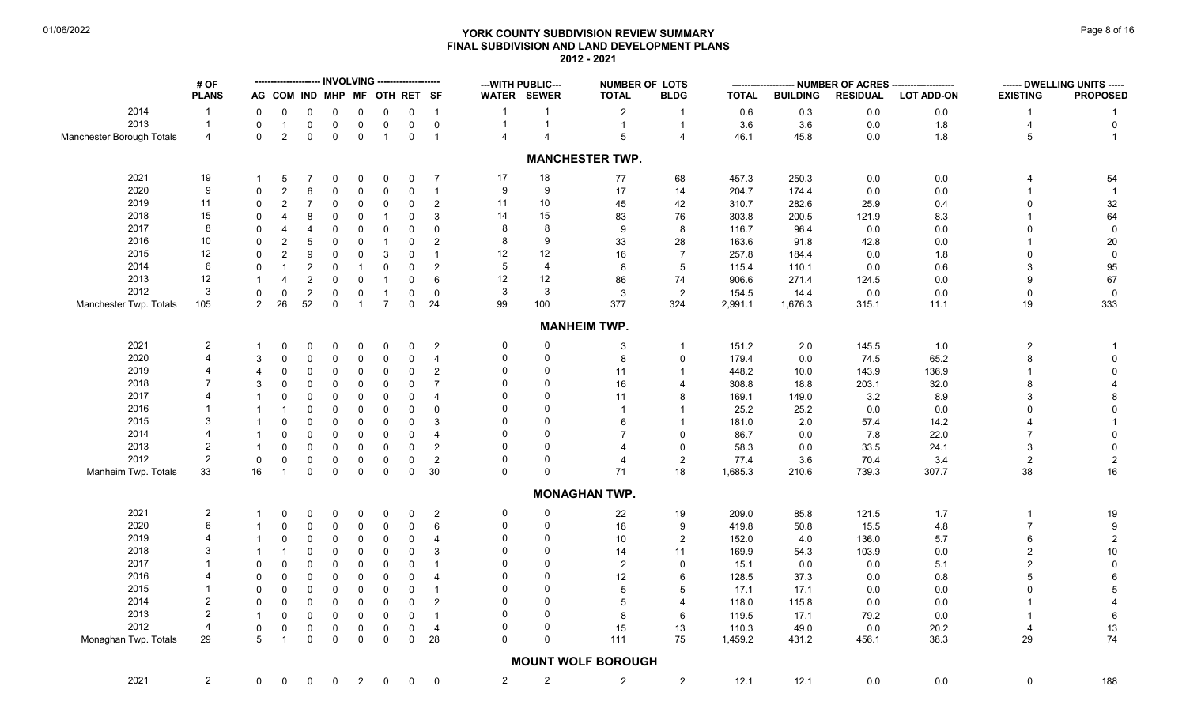# **YORK COUNTY SUBDIVISION REVIEW SUMMARY Page 8 of 16** Page 8 of 16 **FINAL SUBDIVISION AND LAND DEVELOPMENT PLANS 2012 - 2021**

|                           | # OF           |                |                              |                         |              |                |                |                     |                          | --- WITH PUBLIC---      |                         | <b>NUMBER OF LOTS</b>     |                         |              |                 |                 | -------------------- NUMBER OF ACRES -------------------- |                 | ------ DWELLING UNITS ----- |
|---------------------------|----------------|----------------|------------------------------|-------------------------|--------------|----------------|----------------|---------------------|--------------------------|-------------------------|-------------------------|---------------------------|-------------------------|--------------|-----------------|-----------------|-----------------------------------------------------------|-----------------|-----------------------------|
|                           | <b>PLANS</b>   |                | AG COM IND MHP MF OTH RET SF |                         |              |                |                |                     |                          | WATER SEWER             |                         | <b>TOTAL</b>              | <b>BLDG</b>             | <b>TOTAL</b> | <b>BUILDING</b> | <b>RESIDUAL</b> | <b>LOT ADD-ON</b>                                         | <b>EXISTING</b> | <b>PROPOSED</b>             |
| 2014                      | $\overline{1}$ | 0              | 0                            | 0                       | 0            | 0              | 0              | $\mathbf 0$         | $\overline{1}$           | $\mathbf 1$             | $\mathbf{1}$            | $\overline{2}$            | $\mathbf{1}$            | 0.6          | 0.3             | 0.0             | 0.0                                                       |                 |                             |
| 2013                      | $\overline{1}$ | $\mathbf 0$    | $\overline{1}$               | 0                       | $\mathbf 0$  | $\mathsf 0$    | $\mathbf 0$    | $\mathbf 0$         | $\mathbf 0$              | $\mathbf{1}$            | $\mathbf{1}$            | $\mathbf{1}$              | $\mathbf{1}$            | 3.6          | 3.6             | 0.0             | 1.8                                                       | 4               | $\mathbf 0$                 |
| Manchester Borough Totals | 4              | $\mathbf{0}$   | 2                            | $\mathbf 0$             | $\mathbf 0$  | $\mathbf 0$    | $\overline{1}$ | $\mathbf 0$         | $\overline{1}$           | $\overline{\mathbf{4}}$ | $\overline{\mathbf{A}}$ | 5                         | $\overline{4}$          | 46.1         | 45.8            | 0.0             | 1.8                                                       | 5               | $\overline{1}$              |
|                           |                |                |                              |                         |              |                |                |                     |                          |                         |                         | <b>MANCHESTER TWP.</b>    |                         |              |                 |                 |                                                           |                 |                             |
| 2021                      | 19             |                | -5                           | 7                       | 0            | 0              | 0              | 0                   | $\overline{7}$           | 17                      | 18                      | 77                        | 68                      | 457.3        | 250.3           | 0.0             | $0.0\,$                                                   | 4               | 54                          |
| 2020                      | 9              | $\Omega$       | $\overline{2}$               | 6                       | $\mathbf{0}$ | $\mathsf 0$    | $\Omega$       | $\mathbf 0$         | $\mathbf{1}$             | 9                       | 9                       | 17                        | 14                      | 204.7        | 174.4           | 0.0             | 0.0                                                       |                 |                             |
| 2019                      | 11             | $\Omega$       | $\overline{2}$               | $\overline{7}$          | 0            | 0              | $\mathbf{0}$   | 0                   | $\overline{c}$           | 11                      | 10                      | 45                        | 42                      | 310.7        | 282.6           | 25.9            | 0.4                                                       | $\Omega$        | 32                          |
| 2018                      | 15             | $\Omega$       | $\boldsymbol{\Delta}$        | 8                       | $\Omega$     | $\Omega$       | $\overline{1}$ | $\mathbf 0$         | $\mathbf{3}$             | 14                      | 15                      | 83                        | 76                      | 303.8        | 200.5           | 121.9           | 8.3                                                       |                 | 64                          |
| 2017                      | 8              | $\Omega$       | $\overline{4}$               | $\overline{4}$          | $\Omega$     | 0              | 0              | $\mathbf 0$         | 0                        | 8                       | 8                       | 9                         | 8                       | 116.7        | 96.4            | 0.0             | 0.0                                                       | $\Omega$        | $\mathsf 0$                 |
| 2016                      | 10             | $\mathbf 0$    | $\overline{2}$               | 5                       | 0            | 0              | $\overline{1}$ | $\mathbf 0$         | 2                        | 8                       | $\boldsymbol{9}$        | 33                        | 28                      | 163.6        | 91.8            | 42.8            | 0.0                                                       |                 | $20\,$                      |
| 2015                      | 12             | $\Omega$       | $\overline{2}$               | 9                       | $\mathbf 0$  | 0              | 3              | $\mathbf 0$         | $\mathbf{1}$             | 12                      | 12                      | 16                        | $\overline{7}$          | 257.8        | 184.4           | 0.0             | 1.8                                                       | $\Omega$        | $\mathbf 0$                 |
| 2014                      | 6              | $\mathbf 0$    | $\overline{1}$               | $\overline{\mathbf{c}}$ | 0            | $\overline{1}$ | $\mathbf{0}$   | $\mathbf 0$         | 2                        | 5                       | 4                       | 8                         | 5                       | 115.4        | 110.1           | 0.0             | 0.6                                                       | 3               | 95                          |
| 2013                      | 12             |                | $\overline{4}$               | $\overline{c}$          | $\Omega$     | 0              | $\overline{1}$ | $\mathbf 0$         | 6                        | 12                      | 12                      | 86                        | 74                      | 906.6        | 271.4           | 124.5           | $0.0\,$                                                   | 9               | 67                          |
| 2012                      | 3              | $\mathbf 0$    | $\mathbf 0$                  | $\overline{2}$          | 0            | 0              | $\mathbf{1}$   | $\mathbf 0$         | $\mathbf 0$              | 3                       | 3                       | 3                         | $\overline{2}$          | 154.5        | 14.4            | 0.0             | 0.0                                                       | $\mathbf 0$     | $\overline{0}$              |
| Manchester Twp. Totals    | 105            | 2              | 26                           | 52                      | $\mathbf 0$  | $\overline{1}$ | $\overline{7}$ | $\mathbf 0$         | 24                       | 99                      | 100                     | 377                       | 324                     | 2,991.1      | 1,676.3         | 315.1           | 11.1                                                      | 19              | 333                         |
|                           |                |                |                              |                         |              |                |                |                     |                          |                         |                         | <b>MANHEIM TWP.</b>       |                         |              |                 |                 |                                                           |                 |                             |
| 2021                      | $\overline{c}$ |                | $\Omega$                     | 0                       | $\Omega$     | 0              | 0              | $\mathbf 0$         | 2                        | 0                       | 0                       | 3                         | $\mathbf{1}$            | 151.2        | 2.0             | 145.5           | 1.0                                                       | $\overline{c}$  | -1                          |
| 2020                      |                | 3              | $\Omega$                     | 0                       | 0            | 0              | 0              | 0                   | 4                        | $\Omega$                | $\mathbf 0$             | 8                         | $\mathbf 0$             | 179.4        | 0.0             | 74.5            | 65.2                                                      |                 | 0                           |
| 2019                      |                | 4              | $\Omega$                     | $\Omega$                | $\Omega$     | 0              | $\mathbf 0$    | 0                   | 2                        | $\Omega$                | 0                       | 11                        | $\mathbf{1}$            | 448.2        | 10.0            | 143.9           | 136.9                                                     |                 | $\mathbf 0$                 |
| 2018                      |                | 3              | $\Omega$                     | 0                       | $\mathbf 0$  | $\mathbf 0$    | $\Omega$       | $\mathbf 0$         | $\overline{7}$           | $\Omega$                | $\Omega$                | 16                        | $\overline{\mathbf{A}}$ | 308.8        | 18.8            | 203.1           | 32.0                                                      |                 |                             |
| 2017                      |                |                | $\Omega$                     | $\Omega$                | 0            | 0              | $\mathbf{0}$   | $\mathbf 0$         | $\overline{4}$           | $\Omega$                | $\mathbf 0$             | 11                        | 8                       | 169.1        | 149.0           | 3.2             | 8.9                                                       | 3               | 8                           |
| 2016                      |                |                | $\overline{\mathbf{1}}$      | 0                       | 0            | 0              | $\mathbf 0$    | 0                   | $\Omega$                 | $\Omega$                | $\Omega$                | $\overline{1}$            | $\mathbf 1$             | 25.2         | 25.2            | 0.0             | 0.0                                                       | $\Omega$        | $\Omega$                    |
| 2015                      |                |                | $\Omega$                     | 0                       | $\mathbf 0$  | 0              | $\mathbf 0$    | 0                   | 3                        |                         | $\mathbf{0}$            | 6                         | $\overline{1}$          | 181.0        | 2.0             | 57.4            | 14.2                                                      |                 |                             |
| 2014                      |                |                | $\Omega$                     | $\mathbf 0$             | $\Omega$     | $\mathbf 0$    | $\Omega$       | $\mathsf 0$         | $\overline{\mathcal{A}}$ |                         | $\Omega$                |                           | $\mathbf 0$             | 86.7         | 0.0             | 7.8             | 22.0                                                      |                 | $\mathbf 0$                 |
| 2013                      | 2              |                | $\Omega$                     | 0                       | 0            | $\mathsf 0$    | $\mathbf 0$    | 0                   | 2                        | $\Omega$                | $\Omega$                |                           | $\mathbf 0$             | 58.3         | 0.0             | 33.5            | 24.1                                                      | 3               | $\mathbf 0$                 |
| 2012                      | $\overline{2}$ | $\mathbf 0$    | $\mathbf 0$                  | 0                       | 0            | 0              | 0              | $\mathbf 0$         | $\overline{c}$           | $\Omega$                | $\mathbf 0$             | 4                         | $\overline{2}$          | 77.4         | 3.6             | 70.4            | 3.4                                                       | $\overline{2}$  | $\overline{2}$              |
| Manheim Twp. Totals       | 33             | 16             | $\overline{1}$               | $\mathbf 0$             | $\mathbf 0$  | $\mathsf 0$    | $\mathbf 0$    | $\mathsf{O}\xspace$ | 30                       | $\mathbf 0$             | $\mathsf{O}\xspace$     | 71                        | 18                      | 1,685.3      | 210.6           | 739.3           | 307.7                                                     | 38              | 16                          |
|                           |                |                |                              |                         |              |                |                |                     |                          |                         |                         | <b>MONAGHAN TWP.</b>      |                         |              |                 |                 |                                                           |                 |                             |
| 2021                      | $\overline{c}$ |                | 0                            | 0                       | 0            | 0              | 0              | 0                   | $\overline{2}$           | $\Omega$                | 0                       | 22                        | 19                      | 209.0        | 85.8            | 121.5           | 1.7                                                       |                 | 19                          |
| 2020                      | 6              |                | $\Omega$                     | 0                       | 0            | 0              | 0              | $\mathbf 0$         | 6                        | $\Omega$                | $\mathbf 0$             | 18                        | 9                       | 419.8        | 50.8            | 15.5            | 4.8                                                       | $\overline{7}$  | 9                           |
| 2019                      |                |                | $\mathbf 0$                  | 0                       | 0            | 0              | 0              | 0                   | $\overline{4}$           | $\Omega$                | $\mathbf 0$             | 10                        | $\overline{2}$          | 152.0        | 4.0             | 136.0           | 5.7                                                       | 6               | $\sqrt{2}$                  |
| 2018                      |                |                | -1                           | $\mathbf 0$             | $\mathbf 0$  | 0              | $\mathbf 0$    | $\mathbf 0$         | 3                        | $\Omega$                | 0                       | 14                        | 11                      | 169.9        | 54.3            | 103.9           | 0.0                                                       | $\overline{2}$  | $10\,$                      |
| 2017                      |                | $\Omega$       | $\Omega$                     | 0                       | 0            | 0              | $\mathbf 0$    | $\mathbf 0$         |                          | $\Omega$                | $\Omega$                | $\overline{c}$            | $\mathbf 0$             | 15.1         | 0.0             | 0.0             | 5.1                                                       |                 | $\pmb{0}$                   |
| 2016                      |                | $\Omega$       | $\Omega$                     | $\mathbf 0$             | 0            | 0              | 0              | $\mathsf 0$         | $\boldsymbol{\Delta}$    | $\Omega$                | $\Omega$                | 12                        | 6                       | 128.5        | 37.3            | 0.0             | 0.8                                                       |                 | 6                           |
| 2015                      |                | $\Omega$       | $\Omega$                     | 0                       | 0            | 0              | $\Omega$       | $\mathbf 0$         | $\overline{1}$           | $\Omega$                | $\Omega$                | 5                         | 5                       | 17.1         | 17.1            | 0.0             | 0.0                                                       |                 | 5                           |
| 2014                      | $\overline{2}$ | $\mathbf 0$    | $\mathbf 0$                  | 0                       | $\mathbf 0$  | 0              | $\mathbf 0$    | $\mathbf 0$         | $\overline{2}$           |                         | $\Omega$                | 5                         | $\overline{\mathbf{A}}$ | 118.0        | 115.8           | 0.0             | 0.0                                                       |                 |                             |
| 2013                      | $\overline{2}$ |                | $\mathbf 0$                  | $\mathbf 0$             | 0            | 0              | $\mathbf 0$    | $\mathbf 0$         | $\overline{1}$           | $\Omega$                | $\Omega$                | 8                         | 6                       | 119.5        | 17.1            | 79.2            | 0.0                                                       |                 | 6                           |
| 2012                      | $\overline{4}$ | $\mathbf 0$    | $\mathbf 0$                  | 0                       | $\mathbf 0$  | 0              | $\mathbf 0$    | $\mathbf 0$         | $\overline{4}$           | $\Omega$                | $\mathbf 0$             | 15                        | 13                      | 110.3        | 49.0            | 0.0             | 20.2                                                      |                 | $13$                        |
| Monaghan Twp. Totals      | 29             | 5              | $\overline{1}$               | $\Omega$                | $\mathbf 0$  | $\mathsf 0$    | $\mathbf 0$    | $\mathsf 0$         | 28                       | $\Omega$                | $\mathbf{0}$            | 111                       | 75                      | 1,459.2      | 431.2           | 456.1           | 38.3                                                      | 29              | 74                          |
|                           |                |                |                              |                         |              |                |                |                     |                          |                         |                         | <b>MOUNT WOLF BOROUGH</b> |                         |              |                 |                 |                                                           |                 |                             |
| 2021                      | $\overline{2}$ | $\overline{0}$ | $\mathbf 0$                  | 0                       | $\mathbf 0$  | $\overline{2}$ | $\mathbf 0$    | $\mathbf 0$         | $\mathbf 0$              | $\overline{2}$          | $\overline{\mathbf{c}}$ | $\overline{2}$            | $\sqrt{2}$              | 12.1         | 12.1            | 0.0             | $0.0\,$                                                   | 0               | 188                         |
|                           |                |                |                              |                         |              |                |                |                     |                          |                         |                         |                           |                         |              |                 |                 |                                                           |                 |                             |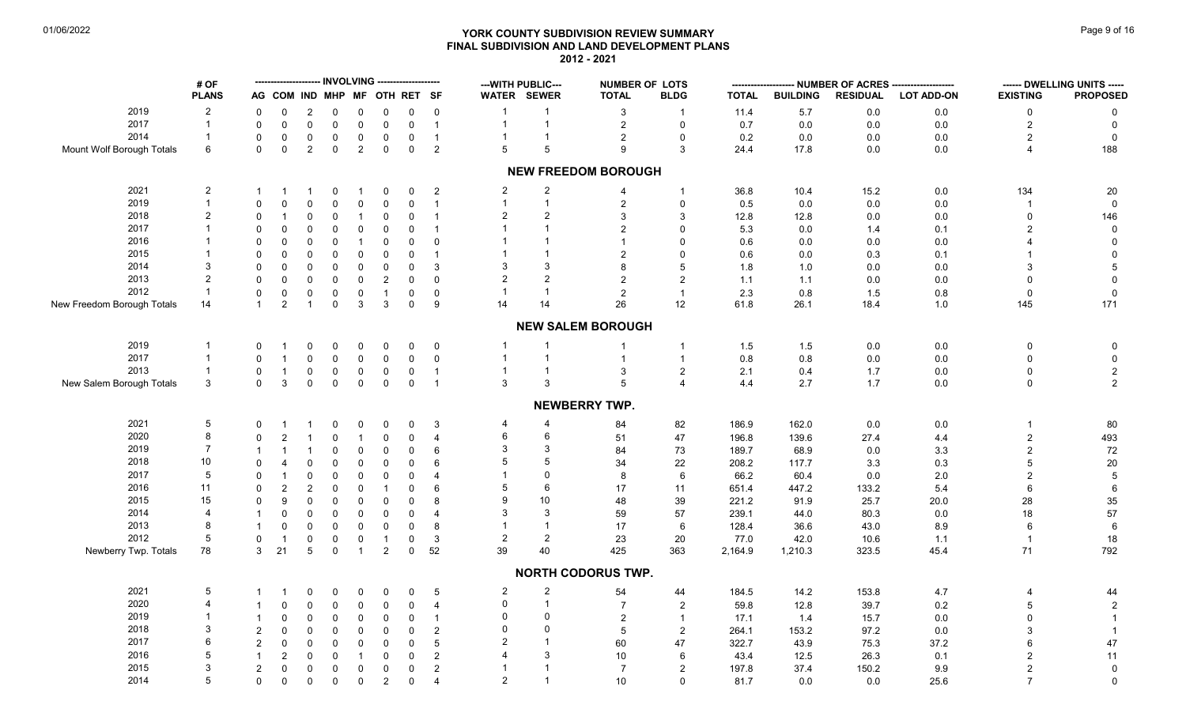# **YORK COUNTY SUBDIVISION REVIEW SUMMARY Page 9 of 16** Page 9 of 16 **FINAL SUBDIVISION AND LAND DEVELOPMENT PLANS 2012 - 2021**

|                            | # OF           |                |                     |                     | <b>INVOLVING</b> |                |                              | -------------       |                 | --- WITH PUBLIC--- |                | <b>NUMBER OF LOTS</b>      |                | --------     |                 |                 | - NUMBER OF ACRES ------------------- |                 | ------ DWELLING UNITS ----- |
|----------------------------|----------------|----------------|---------------------|---------------------|------------------|----------------|------------------------------|---------------------|-----------------|--------------------|----------------|----------------------------|----------------|--------------|-----------------|-----------------|---------------------------------------|-----------------|-----------------------------|
|                            | <b>PLANS</b>   |                |                     |                     |                  |                | AG COM IND MHP MF OTH RET SF |                     |                 | WATER SEWER        |                | <b>TOTAL</b>               | <b>BLDG</b>    | <b>TOTAL</b> | <b>BUILDING</b> | <b>RESIDUAL</b> | <b>LOT ADD-ON</b>                     | <b>EXISTING</b> | <b>PROPOSED</b>             |
| 2019                       | $\overline{a}$ | 0              | 0                   | $\overline{2}$      | 0                | $\mathbf 0$    | $\mathbf 0$                  | $\mathbf 0$         | $\overline{0}$  |                    |                | 3                          | $\overline{1}$ | 11.4         | $5.7\,$         | 0.0             | $0.0\,$                               | 0               | 0                           |
| 2017                       | $\overline{1}$ | $\mathbf 0$    | $\mathsf{O}\xspace$ | $\mathsf{O}\xspace$ | $\mathsf 0$      | $\mathbf 0$    | $\mathsf 0$                  | $\mathsf 0$         | $\overline{1}$  | $\overline{1}$     | $\mathbf{1}$   | $\overline{2}$             | $\pmb{0}$      | 0.7          | $0.0\,$         | 0.0             | $0.0\,$                               | $\overline{2}$  | $\mathbf 0$                 |
| 2014                       | $\overline{1}$ | $\Omega$       | $\pmb{0}$           | $\mathbf 0$         | $\mathbf 0$      | $\mathbf 0$    | $\pmb{0}$                    | $\mathsf 0$         | $\overline{1}$  |                    |                | $\sqrt{2}$                 | 0              | 0.2          | $0.0\,$         | 0.0             | 0.0                                   | $\overline{2}$  | $\mathbf 0$                 |
| Mount Wolf Borough Totals  | 6              | $\mathbf{0}$   | $\mathbf 0$         | 2                   | $\mathbf 0$      | 2              | $\mathbf 0$                  | $\mathbf 0$         | $\overline{2}$  | 5                  | 5              | 9                          | 3              | 24.4         | 17.8            | 0.0             | 0.0                                   | 4               | 188                         |
|                            |                |                |                     |                     |                  |                |                              |                     |                 |                    |                | <b>NEW FREEDOM BOROUGH</b> |                |              |                 |                 |                                       |                 |                             |
| 2021                       | $\overline{c}$ | $\mathbf 1$    | -1                  |                     | 0                | -1             | 0                            | $\mathbf 0$         | $\overline{2}$  | $\overline{2}$     | $\overline{c}$ | $\overline{4}$             | -1             | 36.8         | 10.4            | 15.2            | $0.0\,$                               | 134             | 20                          |
| 2019                       | $\overline{1}$ | $\Omega$       | $\mathbf 0$         | $\mathbf 0$         | $\mathbf 0$      | $\mathbf 0$    | $\pmb{0}$                    | $\mathsf 0$         | $\overline{1}$  | $\overline{1}$     | $\mathbf{1}$   | $\sqrt{2}$                 | $\mathbf 0$    | 0.5          | 0.0             | 0.0             | 0.0                                   |                 | $\mathbf 0$                 |
| 2018                       | $\overline{c}$ | 0              | $\mathbf{1}$        | 0                   | $\mathbf 0$      | $\overline{1}$ | $\pmb{0}$                    | $\mathbf 0$         | $\overline{1}$  | $\overline{2}$     | $\overline{2}$ | $\mathbf{3}$               | 3              | 12.8         | 12.8            | 0.0             | $0.0\,$                               | $\mathbf 0$     | 146                         |
| 2017                       | -1             | $\Omega$       | $\pmb{0}$           | $\Omega$            | $\Omega$         | $\Omega$       | $\pmb{0}$                    | $\mathbf 0$         | $\overline{1}$  |                    |                | $\overline{2}$             | $\Omega$       | 5.3          | 0.0             | 1.4             | 0.1                                   | $\overline{2}$  | $\mathbf 0$                 |
| 2016                       | $\overline{1}$ | $\Omega$       | $\mathbf 0$         | $\Omega$            | $\mathbf 0$      | $\overline{1}$ | $\pmb{0}$                    | $\mathbf 0$         | $\mathbf 0$     |                    |                | $\overline{1}$             | $\Omega$       | 0.6          | 0.0             | 0.0             | 0.0                                   |                 | $\pmb{0}$                   |
| 2015                       | $\overline{1}$ | $\Omega$       | $\pmb{0}$           | $\Omega$            | $\Omega$         | $\Omega$       | $\pmb{0}$                    | $\mathbf 0$         | $\overline{1}$  |                    |                | $\overline{2}$             | $\Omega$       | 0.6          | 0.0             | 0.3             | 0.1                                   |                 | $\mathsf 0$                 |
| 2014                       | 3              | $\Omega$       | $\pmb{0}$           | $\Omega$            | $\mathbf 0$      | 0              | $\pmb{0}$                    | $\Omega$            | $\mathbf{3}$    | 3                  | 3              | 8                          | 5              | 1.8          | 1.0             | 0.0             | 0.0                                   | 3               | $\,$ 5 $\,$                 |
| 2013                       | $\overline{2}$ | $\Omega$       | $\mathbf 0$         | $\mathbf 0$         | $\Omega$         | $\Omega$       | $\sqrt{2}$                   | $\mathbf 0$         | $\mathbf 0$     | $\overline{2}$     | $\overline{2}$ | $\overline{2}$             | $\overline{2}$ | 1.1          | $1.1$           | 0.0             | $0.0\,$                               | $\Omega$        | $\pmb{0}$                   |
| 2012                       | $\overline{1}$ | $\mathbf 0$    | $\pmb{0}$           | 0                   | $\mathbf 0$      | $\pmb{0}$      | $\mathbf{1}$                 | 0                   | $\overline{0}$  |                    |                | $\overline{c}$             | $\overline{1}$ | $2.3$        | $0.8\,$         | 1.5             | $0.8\,$                               | $\Omega$        | $\mathbf 0$                 |
| New Freedom Borough Totals | 14             | $\mathbf{1}$   | $\overline{2}$      | $\overline{1}$      | $\mathbf 0$      | 3              | $\mathbf{3}$                 | $\mathsf 0$         | 9               | 14                 | 14             | 26                         | 12             | 61.8         | 26.1            | 18.4            | 1.0                                   | 145             | 171                         |
|                            |                |                |                     |                     |                  |                |                              |                     |                 |                    |                | <b>NEW SALEM BOROUGH</b>   |                |              |                 |                 |                                       |                 |                             |
|                            |                |                |                     |                     |                  |                |                              |                     |                 |                    |                |                            |                |              |                 |                 |                                       |                 |                             |
| 2019                       | $\overline{1}$ | $\Omega$       | -1                  | 0                   | 0                | $\mathbf 0$    | $\mathbf 0$                  | $\mathbf 0$         | $\overline{0}$  | $\overline{1}$     |                |                            | $\overline{1}$ | 1.5          | 1.5             | 0.0             | $0.0\,$                               | $\mathbf 0$     | $\pmb{0}$                   |
| 2017                       | $\overline{1}$ | $\Omega$       | $\overline{1}$      | $\mathbf 0$         | $\mathbf 0$      | $\mathbf 0$    | $\pmb{0}$                    | $\mathsf{O}\xspace$ | $\overline{0}$  |                    |                | $\overline{1}$             | $\overline{1}$ | $0.8\,$      | $0.8\,$         | 0.0             | 0.0                                   | $\Omega$        | $\mathbf 0$                 |
| 2013                       | $\overline{1}$ | $\Omega$       | $\overline{1}$      | $\mathbf 0$         | $\mathbf 0$      | $\mathbf 0$    | $\mathsf 0$                  | $\mathsf 0$         | $\overline{1}$  | $\mathbf{1}$       |                | $\mathbf{3}$               | $\overline{c}$ | 2.1          | 0.4             | 1.7             | $0.0\,$                               | $\Omega$        | $\overline{c}$              |
| New Salem Borough Totals   | $\mathbf{3}$   | $\Omega$       | 3                   | $\mathbf{0}$        | $\mathbf{0}$     | $\mathbf{0}$   | $\mathbf 0$                  | $\mathbf 0$         | $\overline{1}$  | 3                  | 3              | 5                          | $\overline{4}$ | 4.4          | 2.7             | 1.7             | 0.0                                   | $\mathbf 0$     | $\overline{2}$              |
|                            |                |                |                     |                     |                  |                |                              |                     |                 |                    |                | <b>NEWBERRY TWP.</b>       |                |              |                 |                 |                                       |                 |                             |
| 2021                       | 5              | $\Omega$       | $\mathbf{1}$        |                     | 0                | $\mathbf 0$    | 0                            | $\mathbf 0$         | 3               | 4                  | 4              | 84                         | 82             | 186.9        | 162.0           | 0.0             | $0.0\,$                               | $\mathbf{1}$    | 80                          |
| 2020                       | $\bf 8$        | $\Omega$       | $\sqrt{2}$          |                     | $\Omega$         | $\overline{1}$ | $\pmb{0}$                    | $\mathsf 0$         | $\overline{4}$  | $6\phantom{1}6$    | 6              | 51                         | 47             | 196.8        | 139.6           | 27.4            | 4.4                                   | $\overline{2}$  | 493                         |
| 2019                       | $\overline{7}$ | $\mathbf{1}$   | $\mathbf 1$         |                     | $\mathbf 0$      | $\Omega$       | $\pmb{0}$                    | $\mathsf{O}\xspace$ | $6\phantom{1}6$ | 3                  | 3              | 84                         | 73             | 189.7        | 68.9            | 0.0             | 3.3                                   | $\overline{c}$  | 72                          |
| 2018                       | $10\,$         | $\Omega$       | $\overline{4}$      | $\Omega$            | $\overline{0}$   | $\mathbf 0$    | $\pmb{0}$                    | $\mathsf{O}\xspace$ | 6               | 5                  | 5              | 34                         | 22             | 208.2        | 117.7           | 3.3             | 0.3                                   | 5               | $20\,$                      |
| 2017                       | $\,$ 5 $\,$    | $\Omega$       | $\overline{1}$      | 0                   | $\mathbf 0$      | $\Omega$       | $\pmb{0}$                    | $\mathbf 0$         | $\overline{4}$  |                    | $\Omega$       | 8                          | 6              | 66.2         | 60.4            | 0.0             | 2.0                                   | $\overline{2}$  | $\sqrt{5}$                  |
| 2016                       | 11             | 0              | $\mathbf{2}$        | $\overline{2}$      | $\mathbf 0$      | 0              | $\mathbf{1}$                 | $\mathbf 0$         | 6               | 5                  | 6              | 17                         | 11             | 651.4        | 447.2           | 133.2           | 5.4                                   | 6               | $\,6\,$                     |
| 2015                       | 15             | $\Omega$       | $\boldsymbol{9}$    | $\mathbf{0}$        | $\Omega$         | $\Omega$       | $\pmb{0}$                    | $\mathbf 0$         | 8               | 9                  | 10             | 48                         | 39             | 221.2        | 91.9            | 25.7            | 20.0                                  | 28              | 35                          |
| 2014                       | $\overline{4}$ | $\mathbf{1}$   | $\pmb{0}$           | 0                   | $\mathbf 0$      | $\mathbf 0$    | $\pmb{0}$                    | $\Omega$            | $\overline{4}$  | 3                  | 3              | 59                         | 57             | 239.1        | 44.0            | 80.3            | $0.0\,$                               | 18              | 57                          |
| 2013                       | 8              | $\mathbf{1}$   | $\pmb{0}$           | $\mathbf 0$         | $\mathbf 0$      | $\mathbf{0}$   | $\pmb{0}$                    | $\mathsf{O}\xspace$ | $\bf 8$         |                    |                | 17                         | 6              | 128.4        | 36.6            | 43.0            | 8.9                                   | 6               | $\,6\,$                     |
| 2012                       | 5              | $\Omega$       | $\mathbf{1}$        | $\mathbf 0$         | $\mathbf 0$      | $\mathbf 0$    | $\mathbf{1}$                 | 0                   | $\mathbf{3}$    | $\sqrt{2}$         | $\sqrt{2}$     | 23                         | 20             | 77.0         | 42.0            | 10.6            | 1.1                                   |                 | 18                          |
| Newberry Twp. Totals       | 78             | $\mathbf{3}$   | 21                  | $\overline{5}$      | $\mathbf 0$      | $\mathbf{1}$   | $\overline{2}$               | $\mathbf 0$         | 52              | 39                 | 40             | 425                        | 363            | 2,164.9      | 1,210.3         | 323.5           | 45.4                                  | 71              | 792                         |
|                            |                |                |                     |                     |                  |                |                              |                     |                 |                    |                | <b>NORTH CODORUS TWP.</b>  |                |              |                 |                 |                                       |                 |                             |
| 2021                       | 5              | 1              | $\overline{1}$      | 0                   | 0                | $\mathbf 0$    | 0                            | 0                   | $\overline{5}$  | $\sqrt{2}$         | $\sqrt{2}$     | 54                         | 44             | 184.5        | 14.2            | 153.8           | 4.7                                   |                 | 44                          |
| 2020                       | $\overline{4}$ |                | $\mathbf 0$         | $\mathbf 0$         | $\mathbf 0$      | $\mathbf 0$    | $\pmb{0}$                    | $\mathbf 0$         | $\overline{4}$  | $\mathbf 0$        | $\mathbf{1}$   | $\overline{7}$             | $\overline{2}$ | 59.8         | 12.8            | 39.7            | 0.2                                   | 5               | $\sqrt{2}$                  |
| 2019                       | -1             | $\mathbf 1$    | $\mathbf 0$         | $\mathbf 0$         | $\mathbf 0$      | 0              | $\pmb{0}$                    | $\mathbf 0$         | $\overline{1}$  | $\Omega$           | $\mathbf 0$    | $\sqrt{2}$                 | $\overline{1}$ |              |                 |                 |                                       | $\Omega$        |                             |
| 2018                       | 3              | $\overline{2}$ | $\mathbf 0$         | $\Omega$            | $\mathbf 0$      | $\Omega$       | $\pmb{0}$                    |                     | $\overline{c}$  | $\mathbf{0}$       | $\Omega$       | 5                          | 2              | 17.1         | 1.4             | 15.7            | 0.0                                   |                 | $\overline{1}$              |
| 2017                       | 6              |                |                     |                     |                  |                |                              | 0                   |                 | $\overline{2}$     |                |                            |                | 264.1        | 153.2           | 97.2            | $0.0\,$                               |                 |                             |
|                            | 5              | 2              | $\mathbf 0$         | $\Omega$            | $\mathbf 0$      | $\mathbf 0$    | $\pmb{0}$                    | $\mathbf 0$         | $\overline{5}$  |                    | 3              | 60                         | 47             | 322.7        | 43.9            | 75.3            | 37.2                                  |                 | $47\,$                      |
| 2016                       |                | $\mathbf{1}$   | $\sqrt{2}$          | $\mathbf 0$         | $\mathbf 0$      |                | $\mathbf 0$                  | $\mathbf 0$         | $\overline{c}$  |                    |                | 10                         | 6              | 43.4         | 12.5            | 26.3            | 0.1                                   | $\overline{2}$  | 11                          |
| 2015                       | 3              | $\overline{2}$ | $\mathbf 0$         | $\mathbf 0$         | $\mathbf 0$      | $\mathbf 0$    | $\pmb{0}$                    | $\mathbf 0$         | $\overline{2}$  |                    |                | $\overline{7}$             | $\overline{2}$ | 197.8        | 37.4            | 150.2           | 9.9                                   | $\overline{2}$  | $\mathbf 0$                 |
| 2014                       | 5              | $\mathbf 0$    | $\mathbf 0$         | $\mathbf 0$         | $\mathbf 0$      | $\mathbf 0$    | $\overline{2}$               | $\mathbf 0$         | $\overline{4}$  | $\overline{2}$     |                | 10                         | $\Omega$       | 81.7         | 0.0             | 0.0             | 25.6                                  | $\overline{7}$  | $\mathbf 0$                 |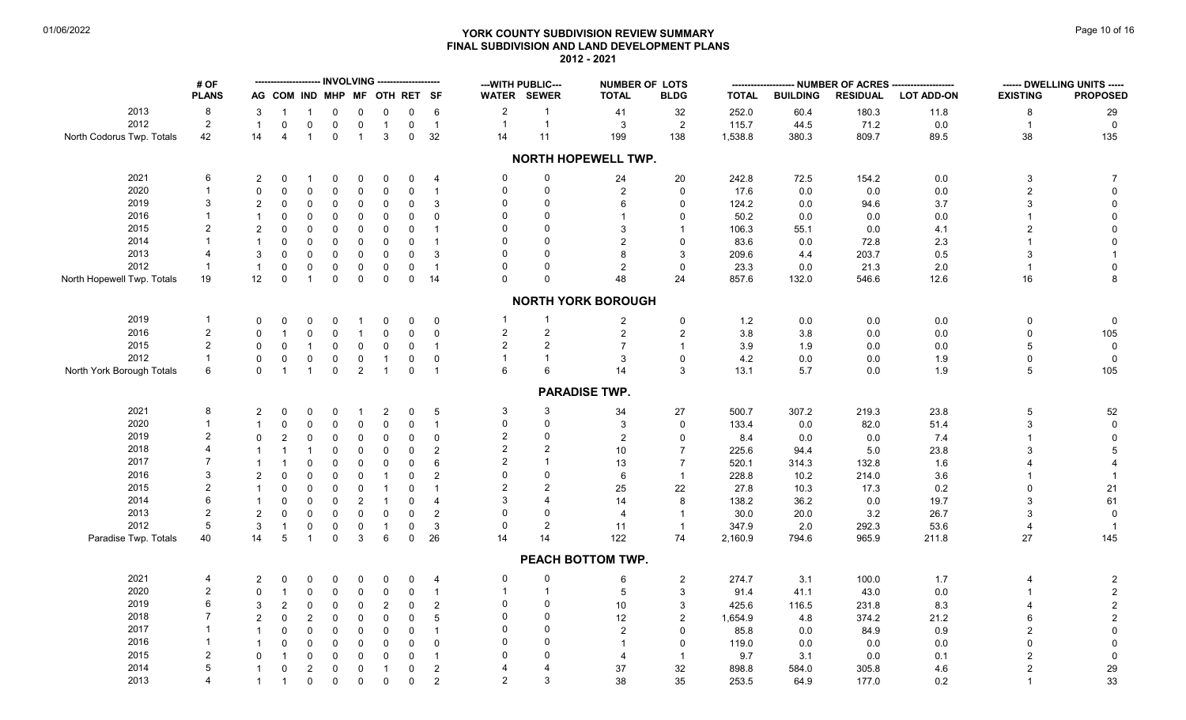# **YORK COUNTY SUBDIVISION REVIEW SUMMARY Page 10 of 16** Page 10 of 16 **FINAL SUBDIVISION AND LAND DEVELOPMENT PLANS 2012 - 2021**

|                            | # OF           |                |                              |                |                     |                |                |                     |                |                | --- WITH PUBLIC--- | <b>NUMBER OF LOTS</b>     |                     |              |                 | -- NUMBER OF ACRES --- |                   |                 | ------ DWELLING UNITS ----- |
|----------------------------|----------------|----------------|------------------------------|----------------|---------------------|----------------|----------------|---------------------|----------------|----------------|--------------------|---------------------------|---------------------|--------------|-----------------|------------------------|-------------------|-----------------|-----------------------------|
|                            | <b>PLANS</b>   |                | AG COM IND MHP MF OTH RET SF |                |                     |                |                |                     |                |                | WATER SEWER        | <b>TOTAL</b>              | <b>BLDG</b>         | <b>TOTAL</b> | <b>BUILDING</b> | <b>RESIDUAL</b>        | <b>LOT ADD-ON</b> | <b>EXISTING</b> | <b>PROPOSED</b>             |
| 2013                       | 8              | 3              |                              | $\mathbf 1$    | $\mathbf 0$         | $\Omega$       | $\mathbf 0$    | 0                   | 6              | $\overline{c}$ | $\mathbf{1}$       | 41                        | 32                  | 252.0        | 60.4            | 180.3                  | 11.8              | 8               | 29                          |
| 2012                       | $\sqrt{2}$     | $\overline{1}$ | $\Omega$                     | $\Omega$       | $\mathbf 0$         | $\mathsf{O}$   | $\overline{1}$ | $\mathbf 0$         | $\overline{1}$ | $\mathbf{1}$   | $\mathbf{1}$       | $\mathbf{3}$              | $\overline{2}$      | 115.7        | 44.5            | 71.2                   | 0.0               | $\overline{1}$  | $\mathbf{0}$                |
| North Codorus Twp. Totals  | 42             | 14             | $\overline{4}$               | $\mathbf{1}$   | $\mathbf 0$         | $\overline{1}$ | $\mathbf{3}$   | $\mathbf 0$         | 32             | 14             | 11                 | 199                       | 138                 | 1,538.8      | 380.3           | 809.7                  | 89.5              | 38              | 135                         |
|                            |                |                |                              |                |                     |                |                |                     |                |                |                    | NORTH HOPEWELL TWP.       |                     |              |                 |                        |                   |                 |                             |
| 2021                       | 6              | 2              | 0                            | -1             | $\mathbf 0$         | 0              | $\mathbf 0$    | 0                   | 4              | $\Omega$       | $\mathbf 0$        | 24                        | 20                  | 242.8        | 72.5            | 154.2                  | 0.0               | $\mathbf{3}$    | $\overline{7}$              |
| 2020                       | $\mathbf{1}$   | $\mathbf{0}$   | $\mathbf 0$                  | $\Omega$       | $\mathsf 0$         | 0              | $\mathbf 0$    | $\pmb{0}$           | $\overline{1}$ | $\Omega$       | $\mathbf 0$        | $\overline{c}$            | $\mathsf{O}\xspace$ | 17.6         | 0.0             | 0.0                    | 0.0               | $\overline{2}$  | $\mathbf 0$                 |
| 2019                       | 3              | $\overline{2}$ | $\mathbf 0$                  | 0              | $\mathbf 0$         | 0              | $\mathbf 0$    | $\mathbf 0$         | 3              | $\Omega$       | $\Omega$           | 6                         | $\mathbf 0$         | 124.2        | 0.0             | 94.6                   | 3.7               |                 | $\mathbf 0$                 |
| 2016                       | 1              | $\mathbf{1}$   | 0                            | 0              | $\mathbf 0$         | 0              | $\mathbf 0$    | $\mathbf 0$         | $\mathbf 0$    |                | $\Omega$           |                           | $\mathbf 0$         | 50.2         | 0.0             | 0.0                    | 0.0               |                 | $\Omega$                    |
|                            | $\overline{2}$ |                |                              |                |                     |                |                |                     |                |                | $\Omega$           |                           |                     |              |                 |                        |                   |                 |                             |
| 2015                       |                | $\overline{2}$ | $\Omega$                     | $\mathbf{0}$   | $\mathbf 0$         | 0              | $\mathbf 0$    | 0                   |                |                |                    | 3                         | $\mathbf 1$         | 106.3        | 55.1            | 0.0                    | 4.1               |                 | $\mathbf 0$                 |
| 2014                       |                |                | $\mathbf 0$                  | $\mathbf 0$    | $\mathbf 0$         | 0              | $\mathbf 0$    | $\mathbf 0$         |                | $\Omega$       | $\Omega$           | 2                         | $\mathbf 0$         | 83.6         | 0.0             | 72.8                   | 2.3               |                 | $\Omega$                    |
| 2013                       |                | 3              | $\Omega$                     | $\mathbf{0}$   | $\mathbf 0$         | $\Omega$       | $\mathbf 0$    | $\mathbf 0$         | 3              |                | $\Omega$           | 8                         | 3                   | 209.6        | 4.4             | 203.7                  | $0.5\,$           |                 |                             |
| 2012                       | $\mathbf{1}$   | $\overline{1}$ | $\mathbf 0$                  | 0              | $\mathbf 0$         | 0              | 0              | $\mathbf 0$         | $\overline{1}$ | $\Omega$       | $\mathbf 0$        | 2                         | $\mathbf 0$         | 23.3         | 0.0             | 21.3                   | 2.0               |                 | $\mathbf 0$                 |
| North Hopewell Twp. Totals | 19             | 12             | $\pmb{0}$                    | $\mathbf{1}$   | $\mathsf 0$         | $\mathbf 0$    | $\mathsf 0$    | $\mathsf{O}\xspace$ | 14             | $\Omega$       | $\mathbf 0$        | 48                        | 24                  | 857.6        | 132.0           | 546.6                  | 12.6              | $16$            | 8                           |
|                            |                |                |                              |                |                     |                |                |                     |                |                |                    | <b>NORTH YORK BOROUGH</b> |                     |              |                 |                        |                   |                 |                             |
| 2019                       | $\mathbf{1}$   | $\Omega$       | 0                            | $\Omega$       | 0                   | -1             | $\mathbf 0$    | 0                   | 0              | $\mathbf{1}$   | $\mathbf{1}$       | $\overline{2}$            | 0                   | 1.2          | 0.0             | 0.0                    | 0.0               | 0               | $\Omega$                    |
| 2016                       | $\overline{2}$ | $\Omega$       |                              | $\mathbf{0}$   | $\mathbf 0$         | $\overline{1}$ | $\mathbf 0$    | $\mathbf 0$         | $\mathbf 0$    | $\overline{c}$ | $\overline{2}$     | $\overline{a}$            | 2                   | 3.8          | 3.8             | 0.0                    | 0.0               | $\Omega$        | 105                         |
| 2015                       | $\overline{2}$ | $\mathbf{0}$   | $\Omega$                     |                | $\mathbf 0$         | 0              | $\mathbf 0$    | $\mathbf 0$         | $\overline{1}$ | $\overline{c}$ | $\overline{2}$     | $\overline{7}$            | $\mathbf{1}$        | 3.9          | 1.9             | 0.0                    | 0.0               | 5               | $\mathbf 0$                 |
| 2012                       | $\mathbf{1}$   | $\mathbf{0}$   | $\Omega$                     | 0              | $\mathbf 0$         | 0              | $\overline{1}$ | 0                   | 0              | $\mathbf{1}$   | $\mathbf{1}$       | 3                         | $\mathbf 0$         | 4.2          | 0.0             | 0.0                    | 1.9               | $\Omega$        | $\mathbf 0$                 |
| North York Borough Totals  | 6              | $\mathbf{0}$   | $\overline{1}$               | $\mathbf{1}$   | $\mathbf 0$         | $\overline{a}$ | $\overline{1}$ | $\mathbf 0$         | $\overline{1}$ | 6              | 6                  | 14                        | 3                   | 13.1         | 5.7             | 0.0                    | 1.9               | 5               | 105                         |
|                            |                |                |                              |                |                     |                |                |                     |                |                |                    |                           |                     |              |                 |                        |                   |                 |                             |
|                            |                |                |                              |                |                     |                |                |                     |                |                |                    | <b>PARADISE TWP.</b>      |                     |              |                 |                        |                   |                 |                             |
| 2021                       | 8              | $\overline{2}$ | $\Omega$                     | $\mathbf 0$    | $\mathbf 0$         | -1             | $\overline{2}$ | $\mathbf 0$         | 5              | 3              | 3                  | 34                        | 27                  | 500.7        | 307.2           | 219.3                  | 23.8              | $\overline{5}$  | 52                          |
| 2020                       | 1              |                | $\mathbf 0$                  | $\mathbf 0$    | $\mathbf 0$         | 0              | 0              | $\mathbf 0$         | $\mathbf{1}$   | $\Omega$       | $\Omega$           | 3                         | $\mathbf 0$         | 133.4        | 0.0             | 82.0                   | 51.4              | 3               | $\mathbf 0$                 |
| 2019                       |                | $\Omega$       | $\overline{2}$               | 0              | $\mathbf 0$         | 0              | $\mathbf 0$    | $\mathbf 0$         | $\mathbf 0$    | $\overline{2}$ | $\mathbf 0$        | $\sqrt{2}$                | $\mathbf 0$         | 8.4          | 0.0             | 0.0                    | 7.4               |                 | $\Omega$                    |
| 2018                       |                |                |                              | $\mathbf{1}$   | $\mathbf 0$         | 0              | $\mathbf 0$    | $\mathbf 0$         | $\overline{2}$ | $\overline{2}$ | $\mathfrak{p}$     | 10                        | $\overline{7}$      | 225.6        | 94.4            | 5.0                    | 23.8              |                 | 5                           |
| 2017                       |                |                |                              | $\mathbf 0$    | $\mathsf{O}\xspace$ | 0              | $\mathbf 0$    | $\pmb{0}$           | 6              | $\overline{2}$ | $\mathbf{1}$       | 13                        | $\overline{7}$      | 520.1        | 314.3           | 132.8                  | 1.6               |                 |                             |
| 2016                       | 3              |                | $\mathbf 0$                  | 0              | $\mathsf 0$         | 0              | -1             | 0                   | 2              | $\Omega$       | $\mathbf 0$        | 6                         | $\mathbf{1}$        | 228.8        | 10.2            | 214.0                  | 3.6               |                 |                             |
| 2015                       |                |                | $\mathbf 0$                  | 0              | $\mathbf 0$         | 0              | $\overline{1}$ | 0                   |                | $\overline{2}$ | $\overline{2}$     | 25                        | 22                  | 27.8         | 10.3            | 17.3                   | 0.2               |                 | 21                          |
| 2014                       | 6              |                | $\Omega$                     | $\Omega$       | $\mathbf 0$         | $\overline{2}$ | $\overline{1}$ | $\mathbf 0$         | 4              | 3              | 4                  | 14                        | 8                   | 138.2        | 36.2            | 0.0                    | 19.7              |                 | 61                          |
| 2013                       | 2              | $\overline{2}$ | $\mathbf 0$                  | $\mathbf 0$    |                     | 0              |                |                     |                | $\Omega$       | $\Omega$           | $\overline{\mathcal{A}}$  | $\overline{1}$      |              |                 |                        |                   |                 | $\Omega$                    |
| 2012                       | 5              |                |                              |                | $\mathbf 0$         |                | $\mathbf 0$    | $\pmb{0}$           | $\overline{2}$ | $\Omega$       | $\overline{2}$     |                           |                     | 30.0         | 20.0            | 3.2                    | 26.7              |                 |                             |
|                            |                | 3              | $\mathbf{1}$                 | 0              | $\mathbf 0$         | $\mathbf 0$    | $\overline{1}$ | $\mathbf 0$         | 3              |                |                    | 11                        | $\mathbf{1}$        | 347.9        | 2.0             | 292.3                  | 53.6              |                 | $\overline{1}$              |
| Paradise Twp. Totals       | 40             | 14             | 5                            | $\mathbf{1}$   | $\mathbf 0$         | 3              | 6              | $\mathsf 0$         | 26             | 14             | 14                 | 122                       | 74                  | 2,160.9      | 794.6           | 965.9                  | 211.8             | 27              | 145                         |
|                            |                |                |                              |                |                     |                |                |                     |                |                |                    | PEACH BOTTOM TWP.         |                     |              |                 |                        |                   |                 |                             |
| 2021                       | 4              | 2              | 0                            | $\Omega$       | $\mathbf 0$         | $\Omega$       | 0              | $\Omega$            | 4              | 0              | $\boldsymbol{0}$   | 6                         | $\overline{2}$      | 274.7        | 3.1             | 100.0                  | 1.7               |                 | $\overline{c}$              |
| 2020                       | $\overline{2}$ | $\Omega$       |                              | $\mathbf{0}$   | $\mathbf 0$         | 0              | 0              | $\mathbf 0$         | $\mathbf{1}$   | $\mathbf{1}$   | $\mathbf{1}$       | $\sqrt{5}$                | 3                   | 91.4         | 41.1            | 43.0                   | 0.0               |                 | $\overline{c}$              |
| 2019                       | 6              | 3              | $\overline{2}$               | $\pmb{0}$      | $\mathbf 0$         | 0              | $\overline{2}$ | $\mathbf 0$         | $\overline{2}$ | $\Omega$       | $\Omega$           | 10                        | 3                   | 425.6        | 116.5           | 231.8                  | 8.3               |                 | $\overline{c}$              |
| 2018                       |                | $\overline{2}$ | $\mathbf 0$                  | $\overline{2}$ | $\mathbf 0$         | 0              | $\mathbf 0$    | $\mathbf 0$         | 5              | $\Omega$       | $\Omega$           | 12                        | $\overline{2}$      | 1,654.9      | 4.8             | 374.2                  | 21.2              |                 | $\overline{c}$              |
| 2017                       | 1              |                | $\mathbf 0$                  | $\mathbf 0$    | $\mathbf 0$         | 0              | $\mathbf 0$    | $\mathbf 0$         | -1             | $\Omega$       | $\Omega$           | 2                         | $\Omega$            | 85.8         | 0.0             | 84.9                   | 0.9               |                 | $\mathbf 0$                 |
| 2016                       |                |                | $\mathbf 0$                  | $\mathbf 0$    | $\mathbf 0$         | 0              | $\mathbf 0$    | $\pmb{0}$           | $\Omega$       | $\Omega$       | $\Omega$           |                           | $\Omega$            | 119.0        | 0.0             | 0.0                    | 0.0               |                 | $\Omega$                    |
| 2015                       | $\overline{2}$ | $\Omega$       |                              | $\mathbf 0$    | $\mathbf 0$         | 0              | $\mathbf 0$    | $\mathbf 0$         | -1             | $\Omega$       | $\Omega$           |                           | $\overline{1}$      | 9.7          | 3.1             | 0.0                    | 0.1               |                 | $\mathbf 0$                 |
| 2014                       | 5              | $\mathbf 1$    | $\mathbf 0$                  | 2              | $\mathsf 0$         | 0              | $\overline{1}$ | 0                   | $\overline{2}$ | 4              | $\overline{4}$     | 37                        | 32                  | 898.8        | 584.0           | 305.8                  | 4.6               |                 | 29                          |
| 2013                       | 4              | $\mathbf{1}$   | $\overline{1}$               | 0              | $\mathbf 0$         | 0              | 0              | $\mathbf 0$         | $\overline{2}$ | $\overline{2}$ | $\mathbf{3}$       | 38                        | 35                  | 253.5        | 64.9            | 177.0                  |                   |                 | 33                          |
|                            |                |                |                              |                |                     |                |                |                     |                |                |                    |                           |                     |              |                 |                        | 0.2               |                 |                             |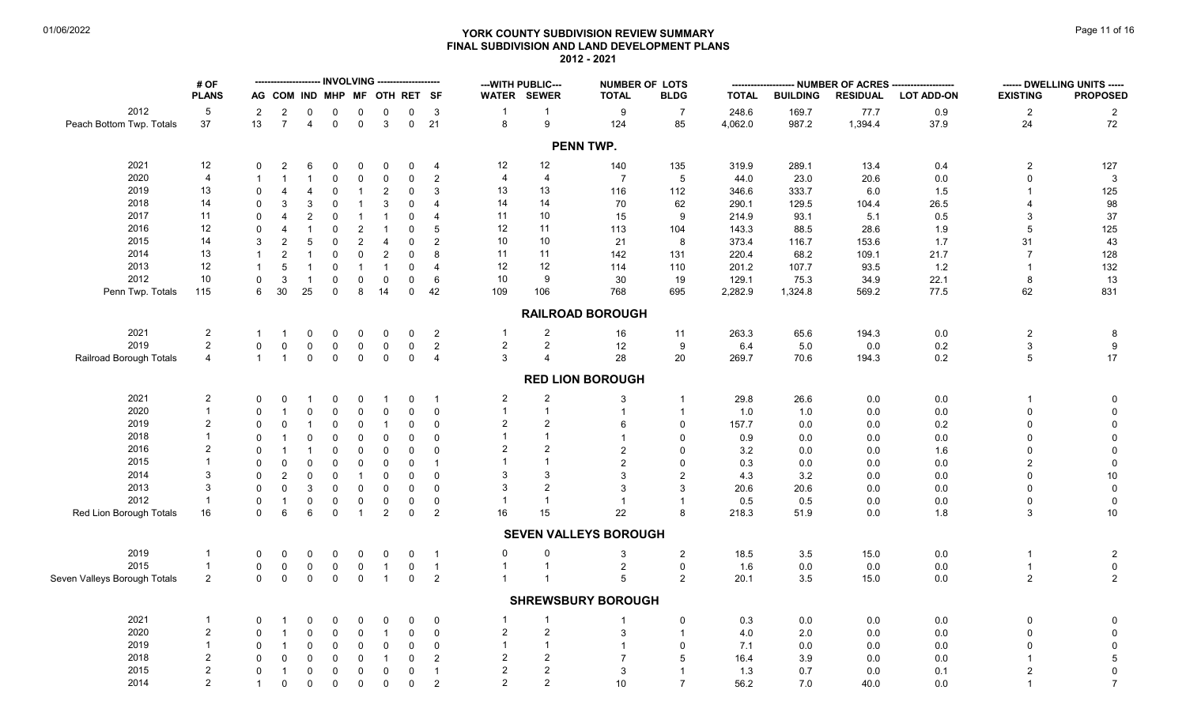#### **YORK COUNTY SUBDIVISION REVIEW SUMMARY Page 11 of 16** Page 11 of 16 **FINAL SUBDIVISION AND LAND DEVELOPMENT PLANS 2012 - 2021**

|                              | # OF            |                             |                           |                  |             | - INVOLVING ---               |                              |                         |                 |                         | --- WITH PUBLIC--- | <b>NUMBER OF LOTS</b>        |                 | ---------    |                 |                 | ---- NUMBER OF ACRES -------------------- |                 | ------ DWELLING UNITS ----- |
|------------------------------|-----------------|-----------------------------|---------------------------|------------------|-------------|-------------------------------|------------------------------|-------------------------|-----------------|-------------------------|--------------------|------------------------------|-----------------|--------------|-----------------|-----------------|-------------------------------------------|-----------------|-----------------------------|
|                              | <b>PLANS</b>    |                             |                           |                  |             |                               | AG COM IND MHP MF OTH RET SF |                         |                 |                         | WATER SEWER        | <b>TOTAL</b>                 | <b>BLDG</b>     | <b>TOTAL</b> | <b>BUILDING</b> | <b>RESIDUAL</b> | <b>LOT ADD-ON</b>                         | <b>EXISTING</b> | <b>PROPOSED</b>             |
| 2012                         | $5\phantom{.0}$ | $\overline{2}$              | $\sqrt{2}$                | 0                | $\pmb{0}$   | 0                             | 0                            | $\mathbf 0$             | $\mathbf{3}$    | $\overline{1}$          | $\overline{1}$     | 9                            | $\overline{7}$  | 248.6        | 169.7           | 77.7            | 0.9                                       | $\overline{c}$  | $\overline{2}$              |
| Peach Bottom Twp. Totals     | 37              | 13                          | $\overline{7}$            | 4                | $\mathsf 0$ | $\mathbf 0$                   | $\mathbf{3}$                 | $\mathbf 0$             | 21              | $\bf8$                  | $9\,$              | 124                          | 85              | 4,062.0      | 987.2           | 1,394.4         | 37.9                                      | 24              | 72                          |
|                              |                 |                             |                           |                  |             |                               |                              |                         |                 |                         |                    | PENN TWP.                    |                 |              |                 |                 |                                           |                 |                             |
| 2021                         | 12              | $\mathbf{0}$                | 2                         | 6                | $\mathbf 0$ | $\mathbf{0}$                  | $\mathbf 0$                  | 0                       | $\overline{4}$  | 12                      | 12                 | 140                          | 135             | 319.9        | 289.1           | 13.4            | 0.4                                       | $\overline{c}$  | 127                         |
| 2020                         | $\overline{4}$  | $\mathbf 1$                 | $\overline{1}$            |                  | $\pmb{0}$   | $\mathsf{O}$                  | $\mathbf 0$                  | 0                       | $\overline{c}$  | $\overline{4}$          | 4                  | $\overline{7}$               | $5\phantom{.0}$ | 44.0         | 23.0            | 20.6            | 0.0                                       |                 | $\mathbf{3}$                |
| 2019                         | 13              | $\Omega$                    | $\overline{4}$            | 4                | $\Omega$    | $\overline{1}$                | $\sqrt{2}$                   | $\mathbf 0$             | 3               | 13                      | 13                 | 116                          | 112             | 346.6        | 333.7           | 6.0             | 1.5                                       |                 | 125                         |
| 2018                         | 14              | $\Omega$                    | 3                         | 3                | $\mathbf 0$ | $\overline{1}$                | 3                            | $\mathbf 0$             | $\overline{4}$  | 14                      | 14                 | 70                           | 62              | 290.1        | 129.5           | 104.4           | 26.5                                      |                 | 98                          |
| 2017                         | 11              | $\mathbf{0}$                | $\overline{4}$            | $\overline{2}$   | $\mathbf 0$ | $\overline{1}$                | $\overline{1}$               | 0                       | $\overline{4}$  | 11                      | 10                 | 15                           | 9               | 214.9        | 93.1            | 5.1             | 0.5                                       | 3               | $37\,$                      |
| 2016                         | 12              | $\mathbf{0}$                | $\overline{4}$            |                  | $\mathbf 0$ | $\overline{2}$                | $\overline{1}$               | 0                       | 5               | 12                      | 11                 | 113                          | 104             | 143.3        | 88.5            | 28.6            | 1.9                                       | 5               | 125                         |
| 2015                         | 14              | 3                           | $\overline{2}$            | 5                | $\mathbf 0$ | 2                             | $\overline{4}$               | 0                       | 2               | 10                      | 10                 | 21                           | 8               | 373.4        | 116.7           | 153.6           | 1.7                                       | 31              | 43                          |
| 2014                         | 13              | $\mathbf{1}$                | $\overline{2}$            |                  | $\mathbf 0$ | $\Omega$                      | $\overline{2}$               | $\mathbf 0$             | 8               | 11                      | 11                 | 142                          | 131             | 220.4        | 68.2            | 109.1           | 21.7                                      | $\overline{7}$  | 128                         |
| 2013                         | 12              | $\mathbf{1}$                | $\sqrt{5}$                | $\overline{1}$   | $\pmb{0}$   | $\overline{1}$                | $\overline{1}$               | 0                       | $\overline{4}$  | 12                      | 12                 | 114                          | 110             | 201.2        | 107.7           | 93.5            | 1.2                                       | -1              | 132                         |
| 2012                         | $10$            | $\mathbf 0$                 | $\mathbf{3}$              | $\overline{1}$   | $\pmb{0}$   | $\mathbf 0$                   | $\pmb{0}$                    | $\mathsf{O}\phantom{0}$ | $6\phantom{1}6$ | $10$                    | $\boldsymbol{9}$   | 30                           | 19              | 129.1        | 75.3            | 34.9            | 22.1                                      | 8               | 13                          |
| Penn Twp. Totals             | 115             | 6                           | 30                        | 25               | $\mathbf 0$ | 8                             | 14                           | $\mathbf 0$             | 42              | 109                     | 106                | 768                          | 695             | 2,282.9      | 1,324.8         | 569.2           | 77.5                                      | 62              | 831                         |
|                              |                 |                             |                           |                  |             |                               |                              |                         |                 |                         |                    |                              |                 |              |                 |                 |                                           |                 |                             |
|                              |                 |                             |                           |                  |             |                               |                              |                         |                 |                         |                    | <b>RAILROAD BOROUGH</b>      |                 |              |                 |                 |                                           |                 |                             |
| 2021                         | $\overline{2}$  | $\mathbf{1}$                | $\mathbf{1}$              | 0                | $\mathbf 0$ | $\mathbf 0$                   | $\mathbf 0$                  | 0                       | $\overline{2}$  |                         | $\overline{2}$     | 16                           | 11              | 263.3        | 65.6            | 194.3           | 0.0                                       | $\overline{c}$  | 8                           |
| 2019                         | $\overline{2}$  | $\mathbf{0}$                | $\Omega$                  | $\mathbf 0$      | $\mathbf 0$ | $\mathbf 0$                   | $\mathbf 0$                  | $\mathbf 0$             | $\overline{2}$  | $\overline{a}$          | $\overline{2}$     | 12                           | $9\,$           | 6.4          | 5.0             | 0.0             | 0.2                                       | $\mathfrak{S}$  | $\boldsymbol{9}$            |
| Railroad Borough Totals      | $\overline{4}$  | $\mathbf{1}$                | $\overline{1}$            | $\mathbf 0$      | $\mathbf 0$ | $\mathbf 0$                   | $\mathbf 0$                  | $\mathbf 0$             | $\overline{4}$  | 3                       | $\overline{4}$     | 28                           | 20              | 269.7        | 70.6            | 194.3           | 0.2                                       | 5               | 17                          |
|                              |                 |                             |                           |                  |             |                               |                              |                         |                 |                         |                    | <b>RED LION BOROUGH</b>      |                 |              |                 |                 |                                           |                 |                             |
| 2021                         | $\overline{2}$  | 0                           | $\Omega$                  |                  | 0           | $\Omega$                      | $\overline{1}$               | 0                       | $\overline{1}$  | $\overline{2}$          | $\overline{2}$     | 3                            |                 | 29.8         | 26.6            | 0.0             | $0.0\,$                                   |                 | 0                           |
| 2020                         | $\overline{1}$  | $\mathbf{0}$                | $\overline{1}$            | $\mathbf 0$      | $\mathbf 0$ | $\Omega$                      | $\mathsf 0$                  | $\mathbf 0$             | $\mathbf 0$     | $\mathbf{1}$            | $\mathbf{1}$       | $\overline{1}$               |                 | 1.0          | 1.0             | 0.0             | $0.0\,$                                   | $\Omega$        | $\pmb{0}$                   |
| 2019                         | $\overline{2}$  | $\mathbf{0}$                | $\Omega$                  |                  | $\mathbf 0$ | 0                             | $\overline{1}$               | 0                       | $\mathbf 0$     | $\overline{a}$          | $\overline{2}$     | 6                            | $\Omega$        | 157.7        | 0.0             | 0.0             | 0.2                                       | $\Omega$        | $\mathsf{O}\xspace$         |
| 2018                         |                 | $\mathbf{0}$                | $\overline{1}$            | $\Omega$         | $\pmb{0}$   | 0                             | $\mathsf 0$                  | $\mathbf{0}$            | $\mathbf 0$     |                         | $\mathbf{1}$       | $\overline{1}$               | $\mathbf 0$     | 0.9          | 0.0             | 0.0             | 0.0                                       | $\Omega$        | $\pmb{0}$                   |
| 2016                         | $\overline{2}$  | $\mathbf{0}$                |                           |                  | $\pmb{0}$   | $\mathbf 0$                   | $\mathsf 0$                  | $\mathbf{0}$            | $\mathbf 0$     | 2                       | $\overline{2}$     | $\overline{2}$               | $\Omega$        | 3.2          | 0.0             | 0.0             |                                           | $\Omega$        | $\mathsf 0$                 |
| 2015                         |                 | $\mathbf 0$                 | $\mathbf 0$               | $\Omega$         | $\pmb{0}$   | $\mathbf 0$                   | $\pmb{0}$                    | $\mathbf{0}$            | $\overline{1}$  |                         | $\overline{1}$     | 2                            | $\Omega$        | 0.3          | 0.0             | 0.0             | 1.6<br>0.0                                | $\overline{2}$  | $\pmb{0}$                   |
| 2014                         | 3               | $\Omega$                    |                           | $\Omega$         |             |                               |                              | 0                       | $\mathbf 0$     | 3                       | 3                  | $\mathcal{R}$                | $\overline{2}$  | 4.3          | 3.2             |                 |                                           | $\Omega$        |                             |
| 2013                         | 3               |                             | $\overline{2}$            | 3                | $\pmb{0}$   | $\overline{1}$                | $\pmb{0}$                    | $\overline{0}$          |                 | 3                       | $\overline{2}$     |                              | $\mathcal{R}$   |              |                 | 0.0             | 0.0                                       |                 | $10\,$                      |
| 2012                         | $\overline{1}$  | $\mathbf 0$                 | $\mathbf 0$               |                  | $\pmb{0}$   | $\mathbf 0$                   | $\pmb{0}$                    |                         | $\mathbf 0$     |                         | $\overline{1}$     | $\mathbf{3}$                 |                 | 20.6         | 20.6            | 0.0             | $0.0\,$                                   | <sup>0</sup>    | $\pmb{0}$                   |
|                              |                 | $\mathbf 0$<br>$\mathbf{0}$ | $\overline{1}$<br>$\,6\,$ | $\mathbf 0$<br>6 | $\pmb{0}$   | $\mathbf 0$<br>$\overline{1}$ | $\mathbf 0$                  | $\mathsf{O}$            | $\mathbf 0$     |                         |                    | $\overline{1}$               | 8               | 0.5          | 0.5             | 0.0             | $0.0\,$                                   | $\mathsf{O}$    | $\mathbf 0$                 |
| Red Lion Borough Totals      | 16              |                             |                           |                  | $\mathbf 0$ |                               | $\overline{2}$               | $\mathbf 0$             | $\overline{2}$  | 16                      | 15                 | 22                           |                 | 218.3        | 51.9            | 0.0             | 1.8                                       | 3               | $10\,$                      |
|                              |                 |                             |                           |                  |             |                               |                              |                         |                 |                         |                    | <b>SEVEN VALLEYS BOROUGH</b> |                 |              |                 |                 |                                           |                 |                             |
| 2019                         | -1              | $\mathbf 0$                 | $\mathbf 0$               | $\Omega$         | $\mathbf 0$ | $\Omega$                      | $\mathbf 0$                  | $\mathbf 0$             | $\overline{1}$  | 0                       | 0                  | 3                            | $\overline{2}$  | 18.5         | $3.5\,$         | 15.0            | $0.0\,$                                   | $\mathbf{1}$    | $\overline{2}$              |
| 2015                         | $\overline{1}$  | $\mathbf 0$                 | $\mathbf 0$               | $\mathbf 0$      | $\mathbf 0$ | $\mathbf 0$                   | $\overline{1}$               | $\mathbf 0$             | $\overline{1}$  | $\mathbf{1}$            | $\mathbf{1}$       | $\overline{\mathbf{c}}$      | $\mathbf 0$     | 1.6          | $0.0\,$         | 0.0             | $0.0\,$                                   | $\mathbf{1}$    | $\mathbf 0$                 |
| Seven Valleys Borough Totals | 2               | $\mathbf 0$                 | $\mathbf 0$               | $\mathbf 0$      | $\mathbf 0$ | $\mathbf 0$                   | $\overline{1}$               | $\mathbf 0$             | $\overline{2}$  |                         |                    | $\overline{5}$               | $\overline{2}$  | 20.1         | 3.5             | 15.0            | 0.0                                       | $\overline{c}$  | $\overline{2}$              |
|                              |                 |                             |                           |                  |             |                               |                              |                         |                 |                         |                    | <b>SHREWSBURY BOROUGH</b>    |                 |              |                 |                 |                                           |                 |                             |
| 2021                         | $\overline{1}$  | 0                           | $\overline{1}$            | 0                | 0           | 0                             | $\mathbf 0$                  | 0                       | $\mathbf 0$     | $\mathbf{1}$            | $\overline{1}$     |                              | $\mathbf 0$     | 0.3          | 0.0             | 0.0             | 0.0                                       | $\mathbf 0$     | $\pmb{0}$                   |
| 2020                         | $\overline{2}$  | $\Omega$                    | $\overline{1}$            | $\mathbf 0$      | $\mathbf 0$ | $\mathbf 0$                   | $\overline{1}$               | $\mathsf{O}\phantom{0}$ | $\mathbf 0$     | $\overline{a}$          | $\overline{2}$     | 3                            |                 | 4.0          | 2.0             | 0.0             | $0.0\,$                                   | $\Omega$        | $\mathsf 0$                 |
| 2019                         |                 | $\Omega$                    | $\overline{1}$            | $\Omega$         | $\mathbf 0$ | $\mathbf 0$                   | $\mathbf 0$                  | $\mathbf 0$             | $\mathbf 0$     |                         |                    |                              | $\mathbf 0$     | 7.1          | 0.0             | 0.0             | 0.0                                       | U               | $\mathbf 0$                 |
| 2018                         | $\overline{2}$  | $\Omega$                    | $\mathbf 0$               | $\Omega$         | $\mathbf 0$ | $\mathbf 0$                   | $\overline{1}$               | 0                       | 2               | $\overline{\mathbf{c}}$ | $\overline{2}$     | $\overline{7}$               | 5               | 16.4         | 3.9             | 0.0             | $0.0\,$                                   |                 | $\sqrt{5}$                  |
| 2015                         | $\overline{2}$  | $\mathbf 0$                 | $\overline{1}$            | $\mathbf 0$      | $\mathbf 0$ | $\mathbf 0$                   | $\mathbf 0$                  | $\mathbf 0$             | $\overline{1}$  | 2                       | $\overline{2}$     | 3                            | $\overline{1}$  | 1.3          | 0.7             | 0.0             | 0.1                                       | $\overline{2}$  | $\pmb{0}$                   |
| 2014                         | $\overline{2}$  | $\mathbf{1}$                | $\mathbf 0$               | $\mathbf 0$      | $\mathsf 0$ | $\mathbf 0$                   | $\mathsf 0$                  | $\mathbf 0$             | $\overline{2}$  | $\overline{2}$          | $\overline{2}$     | 10                           | $\overline{7}$  | 56.2         | 7.0             | 40.0            | 0.0                                       | $\mathbf{1}$    | $\overline{7}$              |
|                              |                 |                             |                           |                  |             |                               |                              |                         |                 |                         |                    |                              |                 |              |                 |                 |                                           |                 |                             |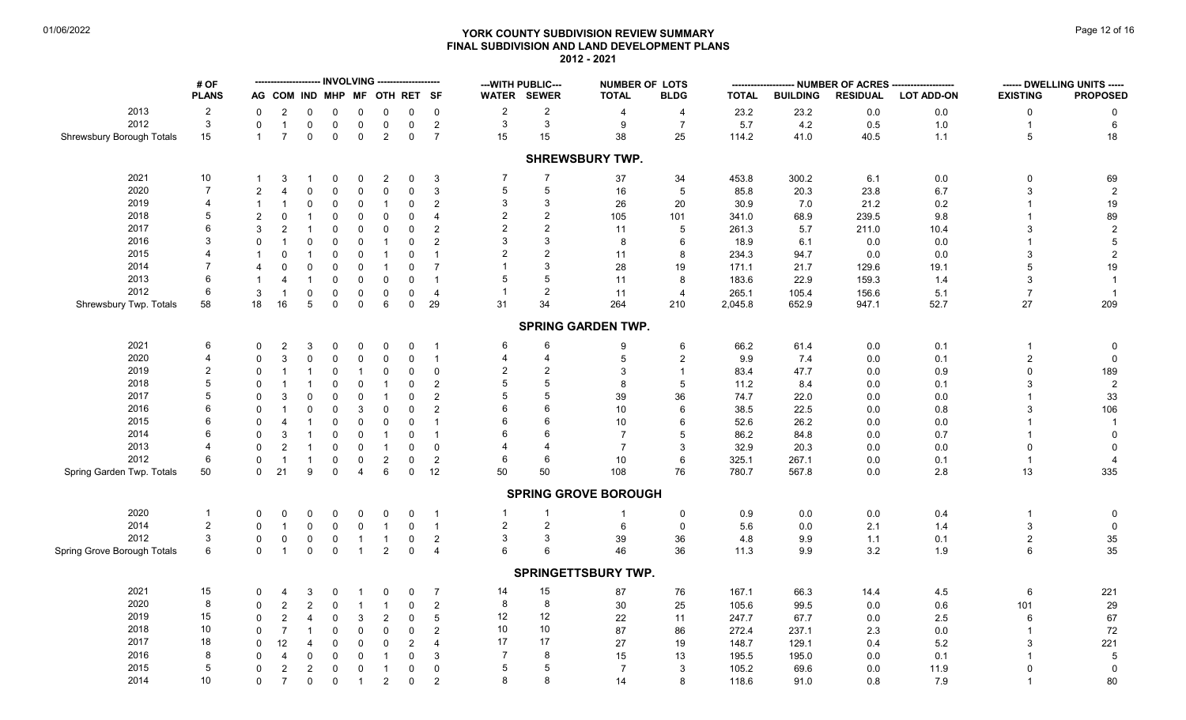# **YORK COUNTY SUBDIVISION REVIEW SUMMARY Page 12 of 16** Page 12 of 16 **FINAL SUBDIVISION AND LAND DEVELOPMENT PLANS 2012 - 2021**

| WATER SEWER<br><b>PROPOSED</b><br><b>PLANS</b><br>AG COM IND MHP MF OTH RET SF<br><b>TOTAL</b><br><b>BLDG</b><br><b>TOTAL</b><br><b>BUILDING</b><br><b>RESIDUAL</b><br><b>LOT ADD-ON</b><br><b>EXISTING</b><br>2013<br>$\overline{2}$<br>$\overline{c}$<br>$\overline{2}$<br>23.2<br>23.2<br>$0.0\,$<br>$0.0\,$<br>0<br>$\overline{2}$<br>0<br>0<br>0<br>$\mathbf 0$<br>$\mathbf 0$<br>0<br>0<br>4<br>4<br>0<br>$\mathbf{3}$<br>$\sqrt{3}$<br>2012<br>3<br>$\mathsf 0$<br>$\overline{2}$<br>$\boldsymbol{9}$<br>$\overline{7}$<br>5.7<br>4.2<br>0.5<br>1.0<br>$\,6\,$<br>$\mathbf 0$<br>$\overline{1}$<br>$\mathbf 0$<br>$\mathbf 0$<br>$\mathbf 0$<br>$\mathbf 0$<br>$\overline{1}$<br>15<br>15<br>$\overline{7}$<br>$\mathbf 0$<br>2<br>$\mathbf 0$<br>$\overline{7}$<br>15<br>38<br>25<br>41.0<br>40.5<br>5<br>18<br>Shrewsbury Borough Totals<br>$\mathbf 0$<br>$\mathbf 0$<br>114.2<br>1.1<br>$\mathbf{1}$<br><b>SHREWSBURY TWP.</b><br>2021<br>$10$<br>7<br>7<br>453.8<br>300.2<br>$0.0\,$<br>69<br>$\overline{2}$<br>3<br>37<br>34<br>6.1<br>0<br>3<br>0<br>0<br>0<br>1<br>-1<br>$\overline{7}$<br>2020<br>5<br>$\sqrt{5}$<br>$\mathsf 0$<br>$\overline{5}$<br>3<br>$\sqrt{2}$<br>$\overline{2}$<br>$\boldsymbol{\Delta}$<br>$\mathbf 0$<br>$\mathbf 0$<br>3<br>16<br>85.8<br>20.3<br>23.8<br>6.7<br>$\Omega$<br>$\Omega$<br>2019<br>3<br>$\overline{4}$<br>3<br>$19$<br>$\mathbf 0$<br>$\mathbf 0$<br>$\overline{c}$<br>26<br>20<br>30.9<br>7.0<br>21.2<br>0.2<br>0<br>0<br>$\mathbf{1}$<br>-1<br>-1<br>$\overline{2}$<br>2018<br>5<br>$\overline{2}$<br>89<br>$\overline{2}$<br>$\mathbf 0$<br>$\mathbf 0$<br>$\mathbf 0$<br>$\mathbf 0$<br>$\overline{4}$<br>105<br>101<br>341.0<br>68.9<br>239.5<br>9.8<br>$\overline{1}$<br>$\Omega$<br>2017<br>$\overline{2}$<br>2<br>6<br>$\overline{c}$<br>$\mathsf{O}\xspace$<br>$\overline{2}$<br>$\sqrt{2}$<br>3<br>$\overline{1}$<br>$\Omega$<br>$\mathbf 0$<br>$\mathbf 0$<br>11<br>5<br>261.3<br>5.7<br>211.0<br>10.4<br>3<br>2016<br>3<br>3<br>3<br>$\sqrt{5}$<br>$\mathbf 0$<br>$\mathbf 0$<br>$\mathbf 0$<br>2<br>8<br>6<br>18.9<br>6.1<br>0.0<br>$0.0\,$<br>$\Omega$<br>$\overline{1}$<br>$\mathbf 0$<br>$\overline{1}$<br>2015<br>2<br>$\overline{2}$<br>$\overline{4}$<br>$\sqrt{2}$<br>$\mathbf 0$<br>11<br>234.3<br>0.0<br>0.0<br>3<br>$\mathbf 0$<br>$\overline{1}$<br>$\Omega$<br>$\overline{1}$<br>$\mathbf 0$<br>$\overline{1}$<br>8<br>94.7<br>2014<br>3<br>$\overline{7}$<br>$19$<br>0<br>$\overline{7}$<br>5<br>0<br>0<br>$\Omega$<br>$\overline{1}$<br>$\mathbf{0}$<br>28<br>19<br>171.1<br>21.7<br>129.6<br>19.1<br>$\overline{4}$<br>6<br>2013<br>5<br>$\mathbf 0$<br>$\mathbf 0$<br>8<br>22.9<br>159.3<br>3<br>$\overline{1}$<br>4<br>$\overline{1}$<br>$\Omega$<br>$\mathbf 0$<br>$\overline{1}$<br>11<br>183.6<br>1.4<br>$\overline{1}$<br>2012<br>2<br>6<br>3<br>$\mathbf 0$<br>$\mathbf 0$<br>$\mathbf 0$<br>$\overline{4}$<br>265.1<br>105.4<br>156.6<br>5.1<br>$\overline{7}$<br>$\overline{1}$<br>0<br>$\mathbf 0$<br>11<br>$\overline{4}$<br>$\overline{1}$<br>$6\phantom{1}$<br>209<br>58<br>18<br>16<br>$\overline{5}$<br>$\mathbf 0$<br>29<br>31<br>34<br>264<br>210<br>652.9<br>52.7<br>$27\,$<br>Shrewsbury Twp. Totals<br>$\mathbf 0$<br>$\mathbf 0$<br>2,045.8<br>947.1<br><b>SPRING GARDEN TWP.</b><br>2021<br>6<br>6<br>6<br>66.2<br>0.1<br>6<br>61.4<br>$0.0\,$<br>2<br>3<br>0<br>$\Omega$<br>0<br>0<br>9<br>0<br>$\overline{1}$<br>0<br>2020<br>$\overline{4}$<br>$\mathbf{3}$<br>$\overline{c}$<br>$\mathbf 0$<br>$\mathbf 0$<br>$\mathbf 0$<br>$\mathbf 0$<br>5<br>$\overline{2}$<br>9.9<br>7.4<br>0.0<br>0.1<br>$\mathbf 0$<br>$\Omega$<br>$\mathbf 0$<br>$\overline{1}$<br>4<br>2019<br>$\overline{2}$<br>$\overline{2}$<br>$\overline{2}$<br>$\mathbf{3}$<br>$\mathsf 0$<br>189<br>$\mathbf 0$<br>$\mathbf 0$<br>83.4<br>47.7<br>$0.9\,$<br>0<br>$\mathbf{0}$<br>$\overline{1}$<br>0.0<br>$\Omega$<br>$\overline{1}$<br>$\overline{1}$<br>$\overline{\mathbf{1}}$<br>5<br>2018<br>5<br>$\sqrt{2}$<br>$\mathbf 0$<br>$\overline{2}$<br>8<br>-5<br>11.2<br>8.4<br>$\Omega$<br>$\overline{1}$<br>$\mathbf 0$<br>$\mathbf{0}$<br>0.0<br>0.1<br>3<br>-1<br>$\mathbf{1}$<br>5<br>5<br>2017<br>$\mathbf{3}$<br>$\overline{2}$<br>39<br>36<br>$33\,$<br>$\Omega$<br>$\mathbf 0$<br>$\mathbf{0}$<br>74.7<br>22.0<br>0.0<br>$0.0\,$<br>$\Omega$<br>$\Omega$<br>2016<br>6<br>6<br>106<br>$\mathbf 0$<br>3<br>$\mathbf 0$<br>$\mathbf{0}$<br>$\overline{2}$<br>10<br>38.5<br>22.5<br>$0.8\,$<br>$\Omega$<br>$\Omega$<br>0.0<br>2015<br>6<br>6<br>$\mathbf 0$<br>$\mathbf 0$<br>10<br>52.6<br>26.2<br>$0.0\,$<br>$\overline{4}$<br>$\overline{1}$<br>$\Omega$<br>$\mathbf{0}$<br>$\overline{1}$<br>6<br>0.0<br>$\Omega$<br>$\overline{1}$<br>2014<br>6<br>3<br>$\mathbf 0$<br>$\overline{7}$<br>$\mathbf 0$<br>$\Omega$<br>$\Omega$<br>$\mathbf{0}$<br>5<br>86.2<br>84.8<br>0.0<br>0.7<br>$\overline{1}$<br>$\overline{1}$<br>$\overline{1}$<br>2013<br>$\overline{2}$<br>$\mathbf 0$<br>$\overline{7}$<br>32.9<br>20.3<br>4<br>$\Omega$<br>0<br>$\mathbf 0$<br>3<br>0.0<br>0.0<br>$\mathbf 0$<br>-1<br>0<br>$\mathbf{1}$<br>$\Omega$<br>2012<br>6<br>$\sqrt{2}$<br>$\overline{2}$<br>$\mathbf 0$<br>$\mathbf 0$<br>6<br>10<br>6<br>325.1<br>267.1<br>0.1<br>$\Omega$<br>$\overline{1}$<br>$\mathbf 0$<br>0.0<br>-1<br>$\overline{4}$<br>335<br>6<br>50<br>76<br>13<br>Spring Garden Twp. Totals<br>50<br>$\mathbf 0$<br>21<br>9<br>$\mathbf 0$<br>$\mathbf 0$<br>12<br>50<br>108<br>780.7<br>567.8<br>0.0<br>2.8<br>4<br><b>SPRING GROVE BOROUGH</b><br>2020<br>$\overline{1}$<br>$0.0\,$<br>0.4<br>$\overline{1}$<br>0.9<br>0.0<br>0<br>$\Omega$<br>$\Omega$<br>$\Omega$<br>$\Omega$<br>0<br>$\overline{1}$<br>0<br>0<br>0<br>-1<br>2014<br>$\overline{c}$<br>$\overline{2}$<br>$\overline{2}$<br>$\,6\,$<br>3<br>$\mathsf 0$<br>$\mathbf 0$<br>$\mathbf 0$<br>$\overline{1}$<br>$\mathbf 0$<br>5.6<br>$0.0\,$<br>2.1<br>$\Omega$<br>$\overline{1}$<br>0<br>$\Omega$<br>$\mathbf{1}$<br>1.4<br>2012<br>$\mathbf{3}$<br>3<br>3<br>0<br>$\overline{c}$<br>39<br>36<br>2<br>$35\,$<br>0<br>0<br>$\mathbf{1}$<br>$\mathbf 0$<br>4.8<br>9.9<br>1.1<br>0.1<br>0<br>$\overline{1}$<br>35<br>$\mathbf{0}$<br>$\overline{2}$<br>46<br>36<br>6<br>$\overline{1}$<br>$\mathsf{O}\xspace$<br>$\mathsf{O}\xspace$<br>$\mathbf 0$<br>3.2<br>6<br>$\mathbf{1}$<br>$\overline{4}$<br>6<br>6<br>11.3<br>9.9<br>1.9<br>SPRINGETTSBURY TWP.<br>2021<br>15<br>15<br>14<br>$\overline{7}$<br>87<br>76<br>167.1<br>66.3<br>14.4<br>4.5<br>6<br>221<br>3<br>0<br>0<br>$\mathbf 0$<br>0<br>4<br>-1<br>8<br>2020<br>8<br>$\overline{c}$<br>$\overline{2}$<br>8<br>$30\,$<br>25<br>29<br>$\overline{c}$<br>$\mathbf 0$<br>$\mathbf 0$<br>105.6<br>99.5<br>0.0<br>$0.6\,$<br>101<br>$\Omega$<br>$\overline{1}$<br>$\overline{1}$<br>12<br>2019<br>15<br>12<br>$\overline{c}$<br>$\sqrt{2}$<br>$5\phantom{.0}$<br>67<br>$\mathbf 0$<br>$\mathbf 0$<br>22<br>247.7<br>67.7<br>$2.5\,$<br>6<br>$\Omega$<br>3<br>11<br>0.0<br>4<br>10<br>10<br>2018<br>10<br>$\overline{7}$<br>$\mathbf 0$<br>87<br>86<br>72<br>$\mathbf 0$<br>$\mathbf 0$<br>2<br>272.4<br>237.1<br>2.3<br>$0.0\,$<br>$\Omega$<br>$\overline{1}$<br>$\Omega$<br>17<br>17<br>2017<br>18<br>12<br>$\mathbf 0$<br>2<br>221<br>$\mathbf 0$<br>$\overline{4}$<br>27<br>19<br>148.7<br>129.1<br>0.4<br>5.2<br>$\Omega$<br>$\overline{4}$<br>$\Omega$<br>3<br>$\overline{7}$<br>8<br>2016<br>8<br>$\mathbf 0$<br>3<br>15<br>195.0<br>0.1<br>$\sqrt{5}$<br>$\mathbf 0$<br>$\mathbf 0$<br>$\Omega$<br>13<br>195.5<br>0.0<br>$\Omega$<br>4<br>$\mathbf{1}$<br>5<br>2015<br>5<br>5<br>$\overline{c}$<br>$\overline{\mathbf{c}}$<br>$\mathbf 0$<br>$\mathbf 0$<br>$\mathbf 0$<br>$\overline{7}$<br>3<br>105.2<br>69.6<br>11.9<br>$\mathbf 0$<br>$\mathbf 0$<br>0.0<br>$\Omega$<br>$\overline{1}$<br>2014<br>10<br>8<br>8<br>$\overline{7}$<br>$\overline{2}$<br>$\overline{2}$<br>80<br>$\mathbf{0}$<br>$\mathbf 0$<br>$\mathbf 0$<br>$\mathbf 0$<br>14<br>8<br>118.6<br>7.9<br>$\overline{1}$<br>91.0<br>0.8 |                             | # OF |  |  | <b>INVOLVING</b> |  |  | --- WITH PUBLIC--- | <b>NUMBER OF LOTS</b> | -------- | - NUMBER OF ACRES ------ |  | ------ DWELLING UNITS ----- |
|--------------------------------------------------------------------------------------------------------------------------------------------------------------------------------------------------------------------------------------------------------------------------------------------------------------------------------------------------------------------------------------------------------------------------------------------------------------------------------------------------------------------------------------------------------------------------------------------------------------------------------------------------------------------------------------------------------------------------------------------------------------------------------------------------------------------------------------------------------------------------------------------------------------------------------------------------------------------------------------------------------------------------------------------------------------------------------------------------------------------------------------------------------------------------------------------------------------------------------------------------------------------------------------------------------------------------------------------------------------------------------------------------------------------------------------------------------------------------------------------------------------------------------------------------------------------------------------------------------------------------------------------------------------------------------------------------------------------------------------------------------------------------------------------------------------------------------------------------------------------------------------------------------------------------------------------------------------------------------------------------------------------------------------------------------------------------------------------------------------------------------------------------------------------------------------------------------------------------------------------------------------------------------------------------------------------------------------------------------------------------------------------------------------------------------------------------------------------------------------------------------------------------------------------------------------------------------------------------------------------------------------------------------------------------------------------------------------------------------------------------------------------------------------------------------------------------------------------------------------------------------------------------------------------------------------------------------------------------------------------------------------------------------------------------------------------------------------------------------------------------------------------------------------------------------------------------------------------------------------------------------------------------------------------------------------------------------------------------------------------------------------------------------------------------------------------------------------------------------------------------------------------------------------------------------------------------------------------------------------------------------------------------------------------------------------------------------------------------------------------------------------------------------------------------------------------------------------------------------------------------------------------------------------------------------------------------------------------------------------------------------------------------------------------------------------------------------------------------------------------------------------------------------------------------------------------------------------------------------------------------------------------------------------------------------------------------------------------------------------------------------------------------------------------------------------------------------------------------------------------------------------------------------------------------------------------------------------------------------------------------------------------------------------------------------------------------------------------------------------------------------------------------------------------------------------------------------------------------------------------------------------------------------------------------------------------------------------------------------------------------------------------------------------------------------------------------------------------------------------------------------------------------------------------------------------------------------------------------------------------------------------------------------------------------------------------------------------------------------------------------------------------------------------------------------------------------------------------------------------------------------------------------------------------------------------------------------------------------------------------------------------------------------------------------------------------------------------------------------------------------------------------------------------------------------------------------------------------------------------------------------------------------------------------------------------------------------------------------------------------------------------------------------------------------------------------------------------------------------------------------------------------------------------------------------------------------------------------------------------------------------------------------------------------------------------------------------------------------------------------------------------------------------------------------------------------------------------------------------------------------------------------------------------------------------------------------------------------------------------------------------------------------------------------------------------------------------------------------------------------------------------------------------------------------------------------------------------------------------------------------------------------------------------------------------------------------------------------------------------------------------------------------------------------------------------------------------------------------------------------------------------------------------------------------------------------------------------------------------------------------------------------------------------------------------------------------------------------------------------------------------------------------------------------------------------------------------------------------------------------------------------------------------------------------------------------------------------------------------------------------------------------------------------------------------------------------------------------------------------------------------------------------------------------------------------------------------------------------------------------------------------------------------------------------------------------------------------------------------------------------------------------------|-----------------------------|------|--|--|------------------|--|--|--------------------|-----------------------|----------|--------------------------|--|-----------------------------|
|                                                                                                                                                                                                                                                                                                                                                                                                                                                                                                                                                                                                                                                                                                                                                                                                                                                                                                                                                                                                                                                                                                                                                                                                                                                                                                                                                                                                                                                                                                                                                                                                                                                                                                                                                                                                                                                                                                                                                                                                                                                                                                                                                                                                                                                                                                                                                                                                                                                                                                                                                                                                                                                                                                                                                                                                                                                                                                                                                                                                                                                                                                                                                                                                                                                                                                                                                                                                                                                                                                                                                                                                                                                                                                                                                                                                                                                                                                                                                                                                                                                                                                                                                                                                                                                                                                                                                                                                                                                                                                                                                                                                                                                                                                                                                                                                                                                                                                                                                                                                                                                                                                                                                                                                                                                                                                                                                                                                                                                                                                                                                                                                                                                                                                                                                                                                                                                                                                                                                                                                                                                                                                                                                                                                                                                                                                                                                                                                                                                                                                                                                                                                                                                                                                                                                                                                                                                                                                                                                                                                                                                                                                                                                                                                                                                                                                                                                                                                                                                                                                                                                                                                                                                                                                                                                                                                                                                                                                                                                                                                                          |                             |      |  |  |                  |  |  |                    |                       |          |                          |  |                             |
|                                                                                                                                                                                                                                                                                                                                                                                                                                                                                                                                                                                                                                                                                                                                                                                                                                                                                                                                                                                                                                                                                                                                                                                                                                                                                                                                                                                                                                                                                                                                                                                                                                                                                                                                                                                                                                                                                                                                                                                                                                                                                                                                                                                                                                                                                                                                                                                                                                                                                                                                                                                                                                                                                                                                                                                                                                                                                                                                                                                                                                                                                                                                                                                                                                                                                                                                                                                                                                                                                                                                                                                                                                                                                                                                                                                                                                                                                                                                                                                                                                                                                                                                                                                                                                                                                                                                                                                                                                                                                                                                                                                                                                                                                                                                                                                                                                                                                                                                                                                                                                                                                                                                                                                                                                                                                                                                                                                                                                                                                                                                                                                                                                                                                                                                                                                                                                                                                                                                                                                                                                                                                                                                                                                                                                                                                                                                                                                                                                                                                                                                                                                                                                                                                                                                                                                                                                                                                                                                                                                                                                                                                                                                                                                                                                                                                                                                                                                                                                                                                                                                                                                                                                                                                                                                                                                                                                                                                                                                                                                                                          |                             |      |  |  |                  |  |  |                    |                       |          |                          |  |                             |
|                                                                                                                                                                                                                                                                                                                                                                                                                                                                                                                                                                                                                                                                                                                                                                                                                                                                                                                                                                                                                                                                                                                                                                                                                                                                                                                                                                                                                                                                                                                                                                                                                                                                                                                                                                                                                                                                                                                                                                                                                                                                                                                                                                                                                                                                                                                                                                                                                                                                                                                                                                                                                                                                                                                                                                                                                                                                                                                                                                                                                                                                                                                                                                                                                                                                                                                                                                                                                                                                                                                                                                                                                                                                                                                                                                                                                                                                                                                                                                                                                                                                                                                                                                                                                                                                                                                                                                                                                                                                                                                                                                                                                                                                                                                                                                                                                                                                                                                                                                                                                                                                                                                                                                                                                                                                                                                                                                                                                                                                                                                                                                                                                                                                                                                                                                                                                                                                                                                                                                                                                                                                                                                                                                                                                                                                                                                                                                                                                                                                                                                                                                                                                                                                                                                                                                                                                                                                                                                                                                                                                                                                                                                                                                                                                                                                                                                                                                                                                                                                                                                                                                                                                                                                                                                                                                                                                                                                                                                                                                                                                          |                             |      |  |  |                  |  |  |                    |                       |          |                          |  |                             |
|                                                                                                                                                                                                                                                                                                                                                                                                                                                                                                                                                                                                                                                                                                                                                                                                                                                                                                                                                                                                                                                                                                                                                                                                                                                                                                                                                                                                                                                                                                                                                                                                                                                                                                                                                                                                                                                                                                                                                                                                                                                                                                                                                                                                                                                                                                                                                                                                                                                                                                                                                                                                                                                                                                                                                                                                                                                                                                                                                                                                                                                                                                                                                                                                                                                                                                                                                                                                                                                                                                                                                                                                                                                                                                                                                                                                                                                                                                                                                                                                                                                                                                                                                                                                                                                                                                                                                                                                                                                                                                                                                                                                                                                                                                                                                                                                                                                                                                                                                                                                                                                                                                                                                                                                                                                                                                                                                                                                                                                                                                                                                                                                                                                                                                                                                                                                                                                                                                                                                                                                                                                                                                                                                                                                                                                                                                                                                                                                                                                                                                                                                                                                                                                                                                                                                                                                                                                                                                                                                                                                                                                                                                                                                                                                                                                                                                                                                                                                                                                                                                                                                                                                                                                                                                                                                                                                                                                                                                                                                                                                                          |                             |      |  |  |                  |  |  |                    |                       |          |                          |  |                             |
|                                                                                                                                                                                                                                                                                                                                                                                                                                                                                                                                                                                                                                                                                                                                                                                                                                                                                                                                                                                                                                                                                                                                                                                                                                                                                                                                                                                                                                                                                                                                                                                                                                                                                                                                                                                                                                                                                                                                                                                                                                                                                                                                                                                                                                                                                                                                                                                                                                                                                                                                                                                                                                                                                                                                                                                                                                                                                                                                                                                                                                                                                                                                                                                                                                                                                                                                                                                                                                                                                                                                                                                                                                                                                                                                                                                                                                                                                                                                                                                                                                                                                                                                                                                                                                                                                                                                                                                                                                                                                                                                                                                                                                                                                                                                                                                                                                                                                                                                                                                                                                                                                                                                                                                                                                                                                                                                                                                                                                                                                                                                                                                                                                                                                                                                                                                                                                                                                                                                                                                                                                                                                                                                                                                                                                                                                                                                                                                                                                                                                                                                                                                                                                                                                                                                                                                                                                                                                                                                                                                                                                                                                                                                                                                                                                                                                                                                                                                                                                                                                                                                                                                                                                                                                                                                                                                                                                                                                                                                                                                                                          |                             |      |  |  |                  |  |  |                    |                       |          |                          |  |                             |
|                                                                                                                                                                                                                                                                                                                                                                                                                                                                                                                                                                                                                                                                                                                                                                                                                                                                                                                                                                                                                                                                                                                                                                                                                                                                                                                                                                                                                                                                                                                                                                                                                                                                                                                                                                                                                                                                                                                                                                                                                                                                                                                                                                                                                                                                                                                                                                                                                                                                                                                                                                                                                                                                                                                                                                                                                                                                                                                                                                                                                                                                                                                                                                                                                                                                                                                                                                                                                                                                                                                                                                                                                                                                                                                                                                                                                                                                                                                                                                                                                                                                                                                                                                                                                                                                                                                                                                                                                                                                                                                                                                                                                                                                                                                                                                                                                                                                                                                                                                                                                                                                                                                                                                                                                                                                                                                                                                                                                                                                                                                                                                                                                                                                                                                                                                                                                                                                                                                                                                                                                                                                                                                                                                                                                                                                                                                                                                                                                                                                                                                                                                                                                                                                                                                                                                                                                                                                                                                                                                                                                                                                                                                                                                                                                                                                                                                                                                                                                                                                                                                                                                                                                                                                                                                                                                                                                                                                                                                                                                                                                          |                             |      |  |  |                  |  |  |                    |                       |          |                          |  |                             |
|                                                                                                                                                                                                                                                                                                                                                                                                                                                                                                                                                                                                                                                                                                                                                                                                                                                                                                                                                                                                                                                                                                                                                                                                                                                                                                                                                                                                                                                                                                                                                                                                                                                                                                                                                                                                                                                                                                                                                                                                                                                                                                                                                                                                                                                                                                                                                                                                                                                                                                                                                                                                                                                                                                                                                                                                                                                                                                                                                                                                                                                                                                                                                                                                                                                                                                                                                                                                                                                                                                                                                                                                                                                                                                                                                                                                                                                                                                                                                                                                                                                                                                                                                                                                                                                                                                                                                                                                                                                                                                                                                                                                                                                                                                                                                                                                                                                                                                                                                                                                                                                                                                                                                                                                                                                                                                                                                                                                                                                                                                                                                                                                                                                                                                                                                                                                                                                                                                                                                                                                                                                                                                                                                                                                                                                                                                                                                                                                                                                                                                                                                                                                                                                                                                                                                                                                                                                                                                                                                                                                                                                                                                                                                                                                                                                                                                                                                                                                                                                                                                                                                                                                                                                                                                                                                                                                                                                                                                                                                                                                                          |                             |      |  |  |                  |  |  |                    |                       |          |                          |  |                             |
|                                                                                                                                                                                                                                                                                                                                                                                                                                                                                                                                                                                                                                                                                                                                                                                                                                                                                                                                                                                                                                                                                                                                                                                                                                                                                                                                                                                                                                                                                                                                                                                                                                                                                                                                                                                                                                                                                                                                                                                                                                                                                                                                                                                                                                                                                                                                                                                                                                                                                                                                                                                                                                                                                                                                                                                                                                                                                                                                                                                                                                                                                                                                                                                                                                                                                                                                                                                                                                                                                                                                                                                                                                                                                                                                                                                                                                                                                                                                                                                                                                                                                                                                                                                                                                                                                                                                                                                                                                                                                                                                                                                                                                                                                                                                                                                                                                                                                                                                                                                                                                                                                                                                                                                                                                                                                                                                                                                                                                                                                                                                                                                                                                                                                                                                                                                                                                                                                                                                                                                                                                                                                                                                                                                                                                                                                                                                                                                                                                                                                                                                                                                                                                                                                                                                                                                                                                                                                                                                                                                                                                                                                                                                                                                                                                                                                                                                                                                                                                                                                                                                                                                                                                                                                                                                                                                                                                                                                                                                                                                                                          |                             |      |  |  |                  |  |  |                    |                       |          |                          |  |                             |
|                                                                                                                                                                                                                                                                                                                                                                                                                                                                                                                                                                                                                                                                                                                                                                                                                                                                                                                                                                                                                                                                                                                                                                                                                                                                                                                                                                                                                                                                                                                                                                                                                                                                                                                                                                                                                                                                                                                                                                                                                                                                                                                                                                                                                                                                                                                                                                                                                                                                                                                                                                                                                                                                                                                                                                                                                                                                                                                                                                                                                                                                                                                                                                                                                                                                                                                                                                                                                                                                                                                                                                                                                                                                                                                                                                                                                                                                                                                                                                                                                                                                                                                                                                                                                                                                                                                                                                                                                                                                                                                                                                                                                                                                                                                                                                                                                                                                                                                                                                                                                                                                                                                                                                                                                                                                                                                                                                                                                                                                                                                                                                                                                                                                                                                                                                                                                                                                                                                                                                                                                                                                                                                                                                                                                                                                                                                                                                                                                                                                                                                                                                                                                                                                                                                                                                                                                                                                                                                                                                                                                                                                                                                                                                                                                                                                                                                                                                                                                                                                                                                                                                                                                                                                                                                                                                                                                                                                                                                                                                                                                          |                             |      |  |  |                  |  |  |                    |                       |          |                          |  |                             |
|                                                                                                                                                                                                                                                                                                                                                                                                                                                                                                                                                                                                                                                                                                                                                                                                                                                                                                                                                                                                                                                                                                                                                                                                                                                                                                                                                                                                                                                                                                                                                                                                                                                                                                                                                                                                                                                                                                                                                                                                                                                                                                                                                                                                                                                                                                                                                                                                                                                                                                                                                                                                                                                                                                                                                                                                                                                                                                                                                                                                                                                                                                                                                                                                                                                                                                                                                                                                                                                                                                                                                                                                                                                                                                                                                                                                                                                                                                                                                                                                                                                                                                                                                                                                                                                                                                                                                                                                                                                                                                                                                                                                                                                                                                                                                                                                                                                                                                                                                                                                                                                                                                                                                                                                                                                                                                                                                                                                                                                                                                                                                                                                                                                                                                                                                                                                                                                                                                                                                                                                                                                                                                                                                                                                                                                                                                                                                                                                                                                                                                                                                                                                                                                                                                                                                                                                                                                                                                                                                                                                                                                                                                                                                                                                                                                                                                                                                                                                                                                                                                                                                                                                                                                                                                                                                                                                                                                                                                                                                                                                                          |                             |      |  |  |                  |  |  |                    |                       |          |                          |  |                             |
|                                                                                                                                                                                                                                                                                                                                                                                                                                                                                                                                                                                                                                                                                                                                                                                                                                                                                                                                                                                                                                                                                                                                                                                                                                                                                                                                                                                                                                                                                                                                                                                                                                                                                                                                                                                                                                                                                                                                                                                                                                                                                                                                                                                                                                                                                                                                                                                                                                                                                                                                                                                                                                                                                                                                                                                                                                                                                                                                                                                                                                                                                                                                                                                                                                                                                                                                                                                                                                                                                                                                                                                                                                                                                                                                                                                                                                                                                                                                                                                                                                                                                                                                                                                                                                                                                                                                                                                                                                                                                                                                                                                                                                                                                                                                                                                                                                                                                                                                                                                                                                                                                                                                                                                                                                                                                                                                                                                                                                                                                                                                                                                                                                                                                                                                                                                                                                                                                                                                                                                                                                                                                                                                                                                                                                                                                                                                                                                                                                                                                                                                                                                                                                                                                                                                                                                                                                                                                                                                                                                                                                                                                                                                                                                                                                                                                                                                                                                                                                                                                                                                                                                                                                                                                                                                                                                                                                                                                                                                                                                                                          |                             |      |  |  |                  |  |  |                    |                       |          |                          |  |                             |
|                                                                                                                                                                                                                                                                                                                                                                                                                                                                                                                                                                                                                                                                                                                                                                                                                                                                                                                                                                                                                                                                                                                                                                                                                                                                                                                                                                                                                                                                                                                                                                                                                                                                                                                                                                                                                                                                                                                                                                                                                                                                                                                                                                                                                                                                                                                                                                                                                                                                                                                                                                                                                                                                                                                                                                                                                                                                                                                                                                                                                                                                                                                                                                                                                                                                                                                                                                                                                                                                                                                                                                                                                                                                                                                                                                                                                                                                                                                                                                                                                                                                                                                                                                                                                                                                                                                                                                                                                                                                                                                                                                                                                                                                                                                                                                                                                                                                                                                                                                                                                                                                                                                                                                                                                                                                                                                                                                                                                                                                                                                                                                                                                                                                                                                                                                                                                                                                                                                                                                                                                                                                                                                                                                                                                                                                                                                                                                                                                                                                                                                                                                                                                                                                                                                                                                                                                                                                                                                                                                                                                                                                                                                                                                                                                                                                                                                                                                                                                                                                                                                                                                                                                                                                                                                                                                                                                                                                                                                                                                                                                          |                             |      |  |  |                  |  |  |                    |                       |          |                          |  |                             |
|                                                                                                                                                                                                                                                                                                                                                                                                                                                                                                                                                                                                                                                                                                                                                                                                                                                                                                                                                                                                                                                                                                                                                                                                                                                                                                                                                                                                                                                                                                                                                                                                                                                                                                                                                                                                                                                                                                                                                                                                                                                                                                                                                                                                                                                                                                                                                                                                                                                                                                                                                                                                                                                                                                                                                                                                                                                                                                                                                                                                                                                                                                                                                                                                                                                                                                                                                                                                                                                                                                                                                                                                                                                                                                                                                                                                                                                                                                                                                                                                                                                                                                                                                                                                                                                                                                                                                                                                                                                                                                                                                                                                                                                                                                                                                                                                                                                                                                                                                                                                                                                                                                                                                                                                                                                                                                                                                                                                                                                                                                                                                                                                                                                                                                                                                                                                                                                                                                                                                                                                                                                                                                                                                                                                                                                                                                                                                                                                                                                                                                                                                                                                                                                                                                                                                                                                                                                                                                                                                                                                                                                                                                                                                                                                                                                                                                                                                                                                                                                                                                                                                                                                                                                                                                                                                                                                                                                                                                                                                                                                                          |                             |      |  |  |                  |  |  |                    |                       |          |                          |  |                             |
|                                                                                                                                                                                                                                                                                                                                                                                                                                                                                                                                                                                                                                                                                                                                                                                                                                                                                                                                                                                                                                                                                                                                                                                                                                                                                                                                                                                                                                                                                                                                                                                                                                                                                                                                                                                                                                                                                                                                                                                                                                                                                                                                                                                                                                                                                                                                                                                                                                                                                                                                                                                                                                                                                                                                                                                                                                                                                                                                                                                                                                                                                                                                                                                                                                                                                                                                                                                                                                                                                                                                                                                                                                                                                                                                                                                                                                                                                                                                                                                                                                                                                                                                                                                                                                                                                                                                                                                                                                                                                                                                                                                                                                                                                                                                                                                                                                                                                                                                                                                                                                                                                                                                                                                                                                                                                                                                                                                                                                                                                                                                                                                                                                                                                                                                                                                                                                                                                                                                                                                                                                                                                                                                                                                                                                                                                                                                                                                                                                                                                                                                                                                                                                                                                                                                                                                                                                                                                                                                                                                                                                                                                                                                                                                                                                                                                                                                                                                                                                                                                                                                                                                                                                                                                                                                                                                                                                                                                                                                                                                                                          |                             |      |  |  |                  |  |  |                    |                       |          |                          |  |                             |
|                                                                                                                                                                                                                                                                                                                                                                                                                                                                                                                                                                                                                                                                                                                                                                                                                                                                                                                                                                                                                                                                                                                                                                                                                                                                                                                                                                                                                                                                                                                                                                                                                                                                                                                                                                                                                                                                                                                                                                                                                                                                                                                                                                                                                                                                                                                                                                                                                                                                                                                                                                                                                                                                                                                                                                                                                                                                                                                                                                                                                                                                                                                                                                                                                                                                                                                                                                                                                                                                                                                                                                                                                                                                                                                                                                                                                                                                                                                                                                                                                                                                                                                                                                                                                                                                                                                                                                                                                                                                                                                                                                                                                                                                                                                                                                                                                                                                                                                                                                                                                                                                                                                                                                                                                                                                                                                                                                                                                                                                                                                                                                                                                                                                                                                                                                                                                                                                                                                                                                                                                                                                                                                                                                                                                                                                                                                                                                                                                                                                                                                                                                                                                                                                                                                                                                                                                                                                                                                                                                                                                                                                                                                                                                                                                                                                                                                                                                                                                                                                                                                                                                                                                                                                                                                                                                                                                                                                                                                                                                                                                          |                             |      |  |  |                  |  |  |                    |                       |          |                          |  |                             |
|                                                                                                                                                                                                                                                                                                                                                                                                                                                                                                                                                                                                                                                                                                                                                                                                                                                                                                                                                                                                                                                                                                                                                                                                                                                                                                                                                                                                                                                                                                                                                                                                                                                                                                                                                                                                                                                                                                                                                                                                                                                                                                                                                                                                                                                                                                                                                                                                                                                                                                                                                                                                                                                                                                                                                                                                                                                                                                                                                                                                                                                                                                                                                                                                                                                                                                                                                                                                                                                                                                                                                                                                                                                                                                                                                                                                                                                                                                                                                                                                                                                                                                                                                                                                                                                                                                                                                                                                                                                                                                                                                                                                                                                                                                                                                                                                                                                                                                                                                                                                                                                                                                                                                                                                                                                                                                                                                                                                                                                                                                                                                                                                                                                                                                                                                                                                                                                                                                                                                                                                                                                                                                                                                                                                                                                                                                                                                                                                                                                                                                                                                                                                                                                                                                                                                                                                                                                                                                                                                                                                                                                                                                                                                                                                                                                                                                                                                                                                                                                                                                                                                                                                                                                                                                                                                                                                                                                                                                                                                                                                                          |                             |      |  |  |                  |  |  |                    |                       |          |                          |  |                             |
|                                                                                                                                                                                                                                                                                                                                                                                                                                                                                                                                                                                                                                                                                                                                                                                                                                                                                                                                                                                                                                                                                                                                                                                                                                                                                                                                                                                                                                                                                                                                                                                                                                                                                                                                                                                                                                                                                                                                                                                                                                                                                                                                                                                                                                                                                                                                                                                                                                                                                                                                                                                                                                                                                                                                                                                                                                                                                                                                                                                                                                                                                                                                                                                                                                                                                                                                                                                                                                                                                                                                                                                                                                                                                                                                                                                                                                                                                                                                                                                                                                                                                                                                                                                                                                                                                                                                                                                                                                                                                                                                                                                                                                                                                                                                                                                                                                                                                                                                                                                                                                                                                                                                                                                                                                                                                                                                                                                                                                                                                                                                                                                                                                                                                                                                                                                                                                                                                                                                                                                                                                                                                                                                                                                                                                                                                                                                                                                                                                                                                                                                                                                                                                                                                                                                                                                                                                                                                                                                                                                                                                                                                                                                                                                                                                                                                                                                                                                                                                                                                                                                                                                                                                                                                                                                                                                                                                                                                                                                                                                                                          |                             |      |  |  |                  |  |  |                    |                       |          |                          |  |                             |
|                                                                                                                                                                                                                                                                                                                                                                                                                                                                                                                                                                                                                                                                                                                                                                                                                                                                                                                                                                                                                                                                                                                                                                                                                                                                                                                                                                                                                                                                                                                                                                                                                                                                                                                                                                                                                                                                                                                                                                                                                                                                                                                                                                                                                                                                                                                                                                                                                                                                                                                                                                                                                                                                                                                                                                                                                                                                                                                                                                                                                                                                                                                                                                                                                                                                                                                                                                                                                                                                                                                                                                                                                                                                                                                                                                                                                                                                                                                                                                                                                                                                                                                                                                                                                                                                                                                                                                                                                                                                                                                                                                                                                                                                                                                                                                                                                                                                                                                                                                                                                                                                                                                                                                                                                                                                                                                                                                                                                                                                                                                                                                                                                                                                                                                                                                                                                                                                                                                                                                                                                                                                                                                                                                                                                                                                                                                                                                                                                                                                                                                                                                                                                                                                                                                                                                                                                                                                                                                                                                                                                                                                                                                                                                                                                                                                                                                                                                                                                                                                                                                                                                                                                                                                                                                                                                                                                                                                                                                                                                                                                          |                             |      |  |  |                  |  |  |                    |                       |          |                          |  |                             |
|                                                                                                                                                                                                                                                                                                                                                                                                                                                                                                                                                                                                                                                                                                                                                                                                                                                                                                                                                                                                                                                                                                                                                                                                                                                                                                                                                                                                                                                                                                                                                                                                                                                                                                                                                                                                                                                                                                                                                                                                                                                                                                                                                                                                                                                                                                                                                                                                                                                                                                                                                                                                                                                                                                                                                                                                                                                                                                                                                                                                                                                                                                                                                                                                                                                                                                                                                                                                                                                                                                                                                                                                                                                                                                                                                                                                                                                                                                                                                                                                                                                                                                                                                                                                                                                                                                                                                                                                                                                                                                                                                                                                                                                                                                                                                                                                                                                                                                                                                                                                                                                                                                                                                                                                                                                                                                                                                                                                                                                                                                                                                                                                                                                                                                                                                                                                                                                                                                                                                                                                                                                                                                                                                                                                                                                                                                                                                                                                                                                                                                                                                                                                                                                                                                                                                                                                                                                                                                                                                                                                                                                                                                                                                                                                                                                                                                                                                                                                                                                                                                                                                                                                                                                                                                                                                                                                                                                                                                                                                                                                                          |                             |      |  |  |                  |  |  |                    |                       |          |                          |  |                             |
|                                                                                                                                                                                                                                                                                                                                                                                                                                                                                                                                                                                                                                                                                                                                                                                                                                                                                                                                                                                                                                                                                                                                                                                                                                                                                                                                                                                                                                                                                                                                                                                                                                                                                                                                                                                                                                                                                                                                                                                                                                                                                                                                                                                                                                                                                                                                                                                                                                                                                                                                                                                                                                                                                                                                                                                                                                                                                                                                                                                                                                                                                                                                                                                                                                                                                                                                                                                                                                                                                                                                                                                                                                                                                                                                                                                                                                                                                                                                                                                                                                                                                                                                                                                                                                                                                                                                                                                                                                                                                                                                                                                                                                                                                                                                                                                                                                                                                                                                                                                                                                                                                                                                                                                                                                                                                                                                                                                                                                                                                                                                                                                                                                                                                                                                                                                                                                                                                                                                                                                                                                                                                                                                                                                                                                                                                                                                                                                                                                                                                                                                                                                                                                                                                                                                                                                                                                                                                                                                                                                                                                                                                                                                                                                                                                                                                                                                                                                                                                                                                                                                                                                                                                                                                                                                                                                                                                                                                                                                                                                                                          |                             |      |  |  |                  |  |  |                    |                       |          |                          |  |                             |
|                                                                                                                                                                                                                                                                                                                                                                                                                                                                                                                                                                                                                                                                                                                                                                                                                                                                                                                                                                                                                                                                                                                                                                                                                                                                                                                                                                                                                                                                                                                                                                                                                                                                                                                                                                                                                                                                                                                                                                                                                                                                                                                                                                                                                                                                                                                                                                                                                                                                                                                                                                                                                                                                                                                                                                                                                                                                                                                                                                                                                                                                                                                                                                                                                                                                                                                                                                                                                                                                                                                                                                                                                                                                                                                                                                                                                                                                                                                                                                                                                                                                                                                                                                                                                                                                                                                                                                                                                                                                                                                                                                                                                                                                                                                                                                                                                                                                                                                                                                                                                                                                                                                                                                                                                                                                                                                                                                                                                                                                                                                                                                                                                                                                                                                                                                                                                                                                                                                                                                                                                                                                                                                                                                                                                                                                                                                                                                                                                                                                                                                                                                                                                                                                                                                                                                                                                                                                                                                                                                                                                                                                                                                                                                                                                                                                                                                                                                                                                                                                                                                                                                                                                                                                                                                                                                                                                                                                                                                                                                                                                          |                             |      |  |  |                  |  |  |                    |                       |          |                          |  |                             |
|                                                                                                                                                                                                                                                                                                                                                                                                                                                                                                                                                                                                                                                                                                                                                                                                                                                                                                                                                                                                                                                                                                                                                                                                                                                                                                                                                                                                                                                                                                                                                                                                                                                                                                                                                                                                                                                                                                                                                                                                                                                                                                                                                                                                                                                                                                                                                                                                                                                                                                                                                                                                                                                                                                                                                                                                                                                                                                                                                                                                                                                                                                                                                                                                                                                                                                                                                                                                                                                                                                                                                                                                                                                                                                                                                                                                                                                                                                                                                                                                                                                                                                                                                                                                                                                                                                                                                                                                                                                                                                                                                                                                                                                                                                                                                                                                                                                                                                                                                                                                                                                                                                                                                                                                                                                                                                                                                                                                                                                                                                                                                                                                                                                                                                                                                                                                                                                                                                                                                                                                                                                                                                                                                                                                                                                                                                                                                                                                                                                                                                                                                                                                                                                                                                                                                                                                                                                                                                                                                                                                                                                                                                                                                                                                                                                                                                                                                                                                                                                                                                                                                                                                                                                                                                                                                                                                                                                                                                                                                                                                                          |                             |      |  |  |                  |  |  |                    |                       |          |                          |  |                             |
|                                                                                                                                                                                                                                                                                                                                                                                                                                                                                                                                                                                                                                                                                                                                                                                                                                                                                                                                                                                                                                                                                                                                                                                                                                                                                                                                                                                                                                                                                                                                                                                                                                                                                                                                                                                                                                                                                                                                                                                                                                                                                                                                                                                                                                                                                                                                                                                                                                                                                                                                                                                                                                                                                                                                                                                                                                                                                                                                                                                                                                                                                                                                                                                                                                                                                                                                                                                                                                                                                                                                                                                                                                                                                                                                                                                                                                                                                                                                                                                                                                                                                                                                                                                                                                                                                                                                                                                                                                                                                                                                                                                                                                                                                                                                                                                                                                                                                                                                                                                                                                                                                                                                                                                                                                                                                                                                                                                                                                                                                                                                                                                                                                                                                                                                                                                                                                                                                                                                                                                                                                                                                                                                                                                                                                                                                                                                                                                                                                                                                                                                                                                                                                                                                                                                                                                                                                                                                                                                                                                                                                                                                                                                                                                                                                                                                                                                                                                                                                                                                                                                                                                                                                                                                                                                                                                                                                                                                                                                                                                                                          |                             |      |  |  |                  |  |  |                    |                       |          |                          |  |                             |
|                                                                                                                                                                                                                                                                                                                                                                                                                                                                                                                                                                                                                                                                                                                                                                                                                                                                                                                                                                                                                                                                                                                                                                                                                                                                                                                                                                                                                                                                                                                                                                                                                                                                                                                                                                                                                                                                                                                                                                                                                                                                                                                                                                                                                                                                                                                                                                                                                                                                                                                                                                                                                                                                                                                                                                                                                                                                                                                                                                                                                                                                                                                                                                                                                                                                                                                                                                                                                                                                                                                                                                                                                                                                                                                                                                                                                                                                                                                                                                                                                                                                                                                                                                                                                                                                                                                                                                                                                                                                                                                                                                                                                                                                                                                                                                                                                                                                                                                                                                                                                                                                                                                                                                                                                                                                                                                                                                                                                                                                                                                                                                                                                                                                                                                                                                                                                                                                                                                                                                                                                                                                                                                                                                                                                                                                                                                                                                                                                                                                                                                                                                                                                                                                                                                                                                                                                                                                                                                                                                                                                                                                                                                                                                                                                                                                                                                                                                                                                                                                                                                                                                                                                                                                                                                                                                                                                                                                                                                                                                                                                          |                             |      |  |  |                  |  |  |                    |                       |          |                          |  |                             |
|                                                                                                                                                                                                                                                                                                                                                                                                                                                                                                                                                                                                                                                                                                                                                                                                                                                                                                                                                                                                                                                                                                                                                                                                                                                                                                                                                                                                                                                                                                                                                                                                                                                                                                                                                                                                                                                                                                                                                                                                                                                                                                                                                                                                                                                                                                                                                                                                                                                                                                                                                                                                                                                                                                                                                                                                                                                                                                                                                                                                                                                                                                                                                                                                                                                                                                                                                                                                                                                                                                                                                                                                                                                                                                                                                                                                                                                                                                                                                                                                                                                                                                                                                                                                                                                                                                                                                                                                                                                                                                                                                                                                                                                                                                                                                                                                                                                                                                                                                                                                                                                                                                                                                                                                                                                                                                                                                                                                                                                                                                                                                                                                                                                                                                                                                                                                                                                                                                                                                                                                                                                                                                                                                                                                                                                                                                                                                                                                                                                                                                                                                                                                                                                                                                                                                                                                                                                                                                                                                                                                                                                                                                                                                                                                                                                                                                                                                                                                                                                                                                                                                                                                                                                                                                                                                                                                                                                                                                                                                                                                                          |                             |      |  |  |                  |  |  |                    |                       |          |                          |  |                             |
|                                                                                                                                                                                                                                                                                                                                                                                                                                                                                                                                                                                                                                                                                                                                                                                                                                                                                                                                                                                                                                                                                                                                                                                                                                                                                                                                                                                                                                                                                                                                                                                                                                                                                                                                                                                                                                                                                                                                                                                                                                                                                                                                                                                                                                                                                                                                                                                                                                                                                                                                                                                                                                                                                                                                                                                                                                                                                                                                                                                                                                                                                                                                                                                                                                                                                                                                                                                                                                                                                                                                                                                                                                                                                                                                                                                                                                                                                                                                                                                                                                                                                                                                                                                                                                                                                                                                                                                                                                                                                                                                                                                                                                                                                                                                                                                                                                                                                                                                                                                                                                                                                                                                                                                                                                                                                                                                                                                                                                                                                                                                                                                                                                                                                                                                                                                                                                                                                                                                                                                                                                                                                                                                                                                                                                                                                                                                                                                                                                                                                                                                                                                                                                                                                                                                                                                                                                                                                                                                                                                                                                                                                                                                                                                                                                                                                                                                                                                                                                                                                                                                                                                                                                                                                                                                                                                                                                                                                                                                                                                                                          |                             |      |  |  |                  |  |  |                    |                       |          |                          |  |                             |
|                                                                                                                                                                                                                                                                                                                                                                                                                                                                                                                                                                                                                                                                                                                                                                                                                                                                                                                                                                                                                                                                                                                                                                                                                                                                                                                                                                                                                                                                                                                                                                                                                                                                                                                                                                                                                                                                                                                                                                                                                                                                                                                                                                                                                                                                                                                                                                                                                                                                                                                                                                                                                                                                                                                                                                                                                                                                                                                                                                                                                                                                                                                                                                                                                                                                                                                                                                                                                                                                                                                                                                                                                                                                                                                                                                                                                                                                                                                                                                                                                                                                                                                                                                                                                                                                                                                                                                                                                                                                                                                                                                                                                                                                                                                                                                                                                                                                                                                                                                                                                                                                                                                                                                                                                                                                                                                                                                                                                                                                                                                                                                                                                                                                                                                                                                                                                                                                                                                                                                                                                                                                                                                                                                                                                                                                                                                                                                                                                                                                                                                                                                                                                                                                                                                                                                                                                                                                                                                                                                                                                                                                                                                                                                                                                                                                                                                                                                                                                                                                                                                                                                                                                                                                                                                                                                                                                                                                                                                                                                                                                          |                             |      |  |  |                  |  |  |                    |                       |          |                          |  |                             |
|                                                                                                                                                                                                                                                                                                                                                                                                                                                                                                                                                                                                                                                                                                                                                                                                                                                                                                                                                                                                                                                                                                                                                                                                                                                                                                                                                                                                                                                                                                                                                                                                                                                                                                                                                                                                                                                                                                                                                                                                                                                                                                                                                                                                                                                                                                                                                                                                                                                                                                                                                                                                                                                                                                                                                                                                                                                                                                                                                                                                                                                                                                                                                                                                                                                                                                                                                                                                                                                                                                                                                                                                                                                                                                                                                                                                                                                                                                                                                                                                                                                                                                                                                                                                                                                                                                                                                                                                                                                                                                                                                                                                                                                                                                                                                                                                                                                                                                                                                                                                                                                                                                                                                                                                                                                                                                                                                                                                                                                                                                                                                                                                                                                                                                                                                                                                                                                                                                                                                                                                                                                                                                                                                                                                                                                                                                                                                                                                                                                                                                                                                                                                                                                                                                                                                                                                                                                                                                                                                                                                                                                                                                                                                                                                                                                                                                                                                                                                                                                                                                                                                                                                                                                                                                                                                                                                                                                                                                                                                                                                                          |                             |      |  |  |                  |  |  |                    |                       |          |                          |  |                             |
|                                                                                                                                                                                                                                                                                                                                                                                                                                                                                                                                                                                                                                                                                                                                                                                                                                                                                                                                                                                                                                                                                                                                                                                                                                                                                                                                                                                                                                                                                                                                                                                                                                                                                                                                                                                                                                                                                                                                                                                                                                                                                                                                                                                                                                                                                                                                                                                                                                                                                                                                                                                                                                                                                                                                                                                                                                                                                                                                                                                                                                                                                                                                                                                                                                                                                                                                                                                                                                                                                                                                                                                                                                                                                                                                                                                                                                                                                                                                                                                                                                                                                                                                                                                                                                                                                                                                                                                                                                                                                                                                                                                                                                                                                                                                                                                                                                                                                                                                                                                                                                                                                                                                                                                                                                                                                                                                                                                                                                                                                                                                                                                                                                                                                                                                                                                                                                                                                                                                                                                                                                                                                                                                                                                                                                                                                                                                                                                                                                                                                                                                                                                                                                                                                                                                                                                                                                                                                                                                                                                                                                                                                                                                                                                                                                                                                                                                                                                                                                                                                                                                                                                                                                                                                                                                                                                                                                                                                                                                                                                                                          |                             |      |  |  |                  |  |  |                    |                       |          |                          |  |                             |
|                                                                                                                                                                                                                                                                                                                                                                                                                                                                                                                                                                                                                                                                                                                                                                                                                                                                                                                                                                                                                                                                                                                                                                                                                                                                                                                                                                                                                                                                                                                                                                                                                                                                                                                                                                                                                                                                                                                                                                                                                                                                                                                                                                                                                                                                                                                                                                                                                                                                                                                                                                                                                                                                                                                                                                                                                                                                                                                                                                                                                                                                                                                                                                                                                                                                                                                                                                                                                                                                                                                                                                                                                                                                                                                                                                                                                                                                                                                                                                                                                                                                                                                                                                                                                                                                                                                                                                                                                                                                                                                                                                                                                                                                                                                                                                                                                                                                                                                                                                                                                                                                                                                                                                                                                                                                                                                                                                                                                                                                                                                                                                                                                                                                                                                                                                                                                                                                                                                                                                                                                                                                                                                                                                                                                                                                                                                                                                                                                                                                                                                                                                                                                                                                                                                                                                                                                                                                                                                                                                                                                                                                                                                                                                                                                                                                                                                                                                                                                                                                                                                                                                                                                                                                                                                                                                                                                                                                                                                                                                                                                          |                             |      |  |  |                  |  |  |                    |                       |          |                          |  |                             |
|                                                                                                                                                                                                                                                                                                                                                                                                                                                                                                                                                                                                                                                                                                                                                                                                                                                                                                                                                                                                                                                                                                                                                                                                                                                                                                                                                                                                                                                                                                                                                                                                                                                                                                                                                                                                                                                                                                                                                                                                                                                                                                                                                                                                                                                                                                                                                                                                                                                                                                                                                                                                                                                                                                                                                                                                                                                                                                                                                                                                                                                                                                                                                                                                                                                                                                                                                                                                                                                                                                                                                                                                                                                                                                                                                                                                                                                                                                                                                                                                                                                                                                                                                                                                                                                                                                                                                                                                                                                                                                                                                                                                                                                                                                                                                                                                                                                                                                                                                                                                                                                                                                                                                                                                                                                                                                                                                                                                                                                                                                                                                                                                                                                                                                                                                                                                                                                                                                                                                                                                                                                                                                                                                                                                                                                                                                                                                                                                                                                                                                                                                                                                                                                                                                                                                                                                                                                                                                                                                                                                                                                                                                                                                                                                                                                                                                                                                                                                                                                                                                                                                                                                                                                                                                                                                                                                                                                                                                                                                                                                                          |                             |      |  |  |                  |  |  |                    |                       |          |                          |  |                             |
|                                                                                                                                                                                                                                                                                                                                                                                                                                                                                                                                                                                                                                                                                                                                                                                                                                                                                                                                                                                                                                                                                                                                                                                                                                                                                                                                                                                                                                                                                                                                                                                                                                                                                                                                                                                                                                                                                                                                                                                                                                                                                                                                                                                                                                                                                                                                                                                                                                                                                                                                                                                                                                                                                                                                                                                                                                                                                                                                                                                                                                                                                                                                                                                                                                                                                                                                                                                                                                                                                                                                                                                                                                                                                                                                                                                                                                                                                                                                                                                                                                                                                                                                                                                                                                                                                                                                                                                                                                                                                                                                                                                                                                                                                                                                                                                                                                                                                                                                                                                                                                                                                                                                                                                                                                                                                                                                                                                                                                                                                                                                                                                                                                                                                                                                                                                                                                                                                                                                                                                                                                                                                                                                                                                                                                                                                                                                                                                                                                                                                                                                                                                                                                                                                                                                                                                                                                                                                                                                                                                                                                                                                                                                                                                                                                                                                                                                                                                                                                                                                                                                                                                                                                                                                                                                                                                                                                                                                                                                                                                                                          |                             |      |  |  |                  |  |  |                    |                       |          |                          |  |                             |
|                                                                                                                                                                                                                                                                                                                                                                                                                                                                                                                                                                                                                                                                                                                                                                                                                                                                                                                                                                                                                                                                                                                                                                                                                                                                                                                                                                                                                                                                                                                                                                                                                                                                                                                                                                                                                                                                                                                                                                                                                                                                                                                                                                                                                                                                                                                                                                                                                                                                                                                                                                                                                                                                                                                                                                                                                                                                                                                                                                                                                                                                                                                                                                                                                                                                                                                                                                                                                                                                                                                                                                                                                                                                                                                                                                                                                                                                                                                                                                                                                                                                                                                                                                                                                                                                                                                                                                                                                                                                                                                                                                                                                                                                                                                                                                                                                                                                                                                                                                                                                                                                                                                                                                                                                                                                                                                                                                                                                                                                                                                                                                                                                                                                                                                                                                                                                                                                                                                                                                                                                                                                                                                                                                                                                                                                                                                                                                                                                                                                                                                                                                                                                                                                                                                                                                                                                                                                                                                                                                                                                                                                                                                                                                                                                                                                                                                                                                                                                                                                                                                                                                                                                                                                                                                                                                                                                                                                                                                                                                                                                          |                             |      |  |  |                  |  |  |                    |                       |          |                          |  |                             |
|                                                                                                                                                                                                                                                                                                                                                                                                                                                                                                                                                                                                                                                                                                                                                                                                                                                                                                                                                                                                                                                                                                                                                                                                                                                                                                                                                                                                                                                                                                                                                                                                                                                                                                                                                                                                                                                                                                                                                                                                                                                                                                                                                                                                                                                                                                                                                                                                                                                                                                                                                                                                                                                                                                                                                                                                                                                                                                                                                                                                                                                                                                                                                                                                                                                                                                                                                                                                                                                                                                                                                                                                                                                                                                                                                                                                                                                                                                                                                                                                                                                                                                                                                                                                                                                                                                                                                                                                                                                                                                                                                                                                                                                                                                                                                                                                                                                                                                                                                                                                                                                                                                                                                                                                                                                                                                                                                                                                                                                                                                                                                                                                                                                                                                                                                                                                                                                                                                                                                                                                                                                                                                                                                                                                                                                                                                                                                                                                                                                                                                                                                                                                                                                                                                                                                                                                                                                                                                                                                                                                                                                                                                                                                                                                                                                                                                                                                                                                                                                                                                                                                                                                                                                                                                                                                                                                                                                                                                                                                                                                                          |                             |      |  |  |                  |  |  |                    |                       |          |                          |  |                             |
|                                                                                                                                                                                                                                                                                                                                                                                                                                                                                                                                                                                                                                                                                                                                                                                                                                                                                                                                                                                                                                                                                                                                                                                                                                                                                                                                                                                                                                                                                                                                                                                                                                                                                                                                                                                                                                                                                                                                                                                                                                                                                                                                                                                                                                                                                                                                                                                                                                                                                                                                                                                                                                                                                                                                                                                                                                                                                                                                                                                                                                                                                                                                                                                                                                                                                                                                                                                                                                                                                                                                                                                                                                                                                                                                                                                                                                                                                                                                                                                                                                                                                                                                                                                                                                                                                                                                                                                                                                                                                                                                                                                                                                                                                                                                                                                                                                                                                                                                                                                                                                                                                                                                                                                                                                                                                                                                                                                                                                                                                                                                                                                                                                                                                                                                                                                                                                                                                                                                                                                                                                                                                                                                                                                                                                                                                                                                                                                                                                                                                                                                                                                                                                                                                                                                                                                                                                                                                                                                                                                                                                                                                                                                                                                                                                                                                                                                                                                                                                                                                                                                                                                                                                                                                                                                                                                                                                                                                                                                                                                                                          |                             |      |  |  |                  |  |  |                    |                       |          |                          |  |                             |
|                                                                                                                                                                                                                                                                                                                                                                                                                                                                                                                                                                                                                                                                                                                                                                                                                                                                                                                                                                                                                                                                                                                                                                                                                                                                                                                                                                                                                                                                                                                                                                                                                                                                                                                                                                                                                                                                                                                                                                                                                                                                                                                                                                                                                                                                                                                                                                                                                                                                                                                                                                                                                                                                                                                                                                                                                                                                                                                                                                                                                                                                                                                                                                                                                                                                                                                                                                                                                                                                                                                                                                                                                                                                                                                                                                                                                                                                                                                                                                                                                                                                                                                                                                                                                                                                                                                                                                                                                                                                                                                                                                                                                                                                                                                                                                                                                                                                                                                                                                                                                                                                                                                                                                                                                                                                                                                                                                                                                                                                                                                                                                                                                                                                                                                                                                                                                                                                                                                                                                                                                                                                                                                                                                                                                                                                                                                                                                                                                                                                                                                                                                                                                                                                                                                                                                                                                                                                                                                                                                                                                                                                                                                                                                                                                                                                                                                                                                                                                                                                                                                                                                                                                                                                                                                                                                                                                                                                                                                                                                                                                          | Spring Grove Borough Totals |      |  |  |                  |  |  |                    |                       |          |                          |  |                             |
|                                                                                                                                                                                                                                                                                                                                                                                                                                                                                                                                                                                                                                                                                                                                                                                                                                                                                                                                                                                                                                                                                                                                                                                                                                                                                                                                                                                                                                                                                                                                                                                                                                                                                                                                                                                                                                                                                                                                                                                                                                                                                                                                                                                                                                                                                                                                                                                                                                                                                                                                                                                                                                                                                                                                                                                                                                                                                                                                                                                                                                                                                                                                                                                                                                                                                                                                                                                                                                                                                                                                                                                                                                                                                                                                                                                                                                                                                                                                                                                                                                                                                                                                                                                                                                                                                                                                                                                                                                                                                                                                                                                                                                                                                                                                                                                                                                                                                                                                                                                                                                                                                                                                                                                                                                                                                                                                                                                                                                                                                                                                                                                                                                                                                                                                                                                                                                                                                                                                                                                                                                                                                                                                                                                                                                                                                                                                                                                                                                                                                                                                                                                                                                                                                                                                                                                                                                                                                                                                                                                                                                                                                                                                                                                                                                                                                                                                                                                                                                                                                                                                                                                                                                                                                                                                                                                                                                                                                                                                                                                                                          |                             |      |  |  |                  |  |  |                    |                       |          |                          |  |                             |
|                                                                                                                                                                                                                                                                                                                                                                                                                                                                                                                                                                                                                                                                                                                                                                                                                                                                                                                                                                                                                                                                                                                                                                                                                                                                                                                                                                                                                                                                                                                                                                                                                                                                                                                                                                                                                                                                                                                                                                                                                                                                                                                                                                                                                                                                                                                                                                                                                                                                                                                                                                                                                                                                                                                                                                                                                                                                                                                                                                                                                                                                                                                                                                                                                                                                                                                                                                                                                                                                                                                                                                                                                                                                                                                                                                                                                                                                                                                                                                                                                                                                                                                                                                                                                                                                                                                                                                                                                                                                                                                                                                                                                                                                                                                                                                                                                                                                                                                                                                                                                                                                                                                                                                                                                                                                                                                                                                                                                                                                                                                                                                                                                                                                                                                                                                                                                                                                                                                                                                                                                                                                                                                                                                                                                                                                                                                                                                                                                                                                                                                                                                                                                                                                                                                                                                                                                                                                                                                                                                                                                                                                                                                                                                                                                                                                                                                                                                                                                                                                                                                                                                                                                                                                                                                                                                                                                                                                                                                                                                                                                          |                             |      |  |  |                  |  |  |                    |                       |          |                          |  |                             |
|                                                                                                                                                                                                                                                                                                                                                                                                                                                                                                                                                                                                                                                                                                                                                                                                                                                                                                                                                                                                                                                                                                                                                                                                                                                                                                                                                                                                                                                                                                                                                                                                                                                                                                                                                                                                                                                                                                                                                                                                                                                                                                                                                                                                                                                                                                                                                                                                                                                                                                                                                                                                                                                                                                                                                                                                                                                                                                                                                                                                                                                                                                                                                                                                                                                                                                                                                                                                                                                                                                                                                                                                                                                                                                                                                                                                                                                                                                                                                                                                                                                                                                                                                                                                                                                                                                                                                                                                                                                                                                                                                                                                                                                                                                                                                                                                                                                                                                                                                                                                                                                                                                                                                                                                                                                                                                                                                                                                                                                                                                                                                                                                                                                                                                                                                                                                                                                                                                                                                                                                                                                                                                                                                                                                                                                                                                                                                                                                                                                                                                                                                                                                                                                                                                                                                                                                                                                                                                                                                                                                                                                                                                                                                                                                                                                                                                                                                                                                                                                                                                                                                                                                                                                                                                                                                                                                                                                                                                                                                                                                                          |                             |      |  |  |                  |  |  |                    |                       |          |                          |  |                             |
|                                                                                                                                                                                                                                                                                                                                                                                                                                                                                                                                                                                                                                                                                                                                                                                                                                                                                                                                                                                                                                                                                                                                                                                                                                                                                                                                                                                                                                                                                                                                                                                                                                                                                                                                                                                                                                                                                                                                                                                                                                                                                                                                                                                                                                                                                                                                                                                                                                                                                                                                                                                                                                                                                                                                                                                                                                                                                                                                                                                                                                                                                                                                                                                                                                                                                                                                                                                                                                                                                                                                                                                                                                                                                                                                                                                                                                                                                                                                                                                                                                                                                                                                                                                                                                                                                                                                                                                                                                                                                                                                                                                                                                                                                                                                                                                                                                                                                                                                                                                                                                                                                                                                                                                                                                                                                                                                                                                                                                                                                                                                                                                                                                                                                                                                                                                                                                                                                                                                                                                                                                                                                                                                                                                                                                                                                                                                                                                                                                                                                                                                                                                                                                                                                                                                                                                                                                                                                                                                                                                                                                                                                                                                                                                                                                                                                                                                                                                                                                                                                                                                                                                                                                                                                                                                                                                                                                                                                                                                                                                                                          |                             |      |  |  |                  |  |  |                    |                       |          |                          |  |                             |
|                                                                                                                                                                                                                                                                                                                                                                                                                                                                                                                                                                                                                                                                                                                                                                                                                                                                                                                                                                                                                                                                                                                                                                                                                                                                                                                                                                                                                                                                                                                                                                                                                                                                                                                                                                                                                                                                                                                                                                                                                                                                                                                                                                                                                                                                                                                                                                                                                                                                                                                                                                                                                                                                                                                                                                                                                                                                                                                                                                                                                                                                                                                                                                                                                                                                                                                                                                                                                                                                                                                                                                                                                                                                                                                                                                                                                                                                                                                                                                                                                                                                                                                                                                                                                                                                                                                                                                                                                                                                                                                                                                                                                                                                                                                                                                                                                                                                                                                                                                                                                                                                                                                                                                                                                                                                                                                                                                                                                                                                                                                                                                                                                                                                                                                                                                                                                                                                                                                                                                                                                                                                                                                                                                                                                                                                                                                                                                                                                                                                                                                                                                                                                                                                                                                                                                                                                                                                                                                                                                                                                                                                                                                                                                                                                                                                                                                                                                                                                                                                                                                                                                                                                                                                                                                                                                                                                                                                                                                                                                                                                          |                             |      |  |  |                  |  |  |                    |                       |          |                          |  |                             |
|                                                                                                                                                                                                                                                                                                                                                                                                                                                                                                                                                                                                                                                                                                                                                                                                                                                                                                                                                                                                                                                                                                                                                                                                                                                                                                                                                                                                                                                                                                                                                                                                                                                                                                                                                                                                                                                                                                                                                                                                                                                                                                                                                                                                                                                                                                                                                                                                                                                                                                                                                                                                                                                                                                                                                                                                                                                                                                                                                                                                                                                                                                                                                                                                                                                                                                                                                                                                                                                                                                                                                                                                                                                                                                                                                                                                                                                                                                                                                                                                                                                                                                                                                                                                                                                                                                                                                                                                                                                                                                                                                                                                                                                                                                                                                                                                                                                                                                                                                                                                                                                                                                                                                                                                                                                                                                                                                                                                                                                                                                                                                                                                                                                                                                                                                                                                                                                                                                                                                                                                                                                                                                                                                                                                                                                                                                                                                                                                                                                                                                                                                                                                                                                                                                                                                                                                                                                                                                                                                                                                                                                                                                                                                                                                                                                                                                                                                                                                                                                                                                                                                                                                                                                                                                                                                                                                                                                                                                                                                                                                                          |                             |      |  |  |                  |  |  |                    |                       |          |                          |  |                             |
|                                                                                                                                                                                                                                                                                                                                                                                                                                                                                                                                                                                                                                                                                                                                                                                                                                                                                                                                                                                                                                                                                                                                                                                                                                                                                                                                                                                                                                                                                                                                                                                                                                                                                                                                                                                                                                                                                                                                                                                                                                                                                                                                                                                                                                                                                                                                                                                                                                                                                                                                                                                                                                                                                                                                                                                                                                                                                                                                                                                                                                                                                                                                                                                                                                                                                                                                                                                                                                                                                                                                                                                                                                                                                                                                                                                                                                                                                                                                                                                                                                                                                                                                                                                                                                                                                                                                                                                                                                                                                                                                                                                                                                                                                                                                                                                                                                                                                                                                                                                                                                                                                                                                                                                                                                                                                                                                                                                                                                                                                                                                                                                                                                                                                                                                                                                                                                                                                                                                                                                                                                                                                                                                                                                                                                                                                                                                                                                                                                                                                                                                                                                                                                                                                                                                                                                                                                                                                                                                                                                                                                                                                                                                                                                                                                                                                                                                                                                                                                                                                                                                                                                                                                                                                                                                                                                                                                                                                                                                                                                                                          |                             |      |  |  |                  |  |  |                    |                       |          |                          |  |                             |
|                                                                                                                                                                                                                                                                                                                                                                                                                                                                                                                                                                                                                                                                                                                                                                                                                                                                                                                                                                                                                                                                                                                                                                                                                                                                                                                                                                                                                                                                                                                                                                                                                                                                                                                                                                                                                                                                                                                                                                                                                                                                                                                                                                                                                                                                                                                                                                                                                                                                                                                                                                                                                                                                                                                                                                                                                                                                                                                                                                                                                                                                                                                                                                                                                                                                                                                                                                                                                                                                                                                                                                                                                                                                                                                                                                                                                                                                                                                                                                                                                                                                                                                                                                                                                                                                                                                                                                                                                                                                                                                                                                                                                                                                                                                                                                                                                                                                                                                                                                                                                                                                                                                                                                                                                                                                                                                                                                                                                                                                                                                                                                                                                                                                                                                                                                                                                                                                                                                                                                                                                                                                                                                                                                                                                                                                                                                                                                                                                                                                                                                                                                                                                                                                                                                                                                                                                                                                                                                                                                                                                                                                                                                                                                                                                                                                                                                                                                                                                                                                                                                                                                                                                                                                                                                                                                                                                                                                                                                                                                                                                          |                             |      |  |  |                  |  |  |                    |                       |          |                          |  |                             |
|                                                                                                                                                                                                                                                                                                                                                                                                                                                                                                                                                                                                                                                                                                                                                                                                                                                                                                                                                                                                                                                                                                                                                                                                                                                                                                                                                                                                                                                                                                                                                                                                                                                                                                                                                                                                                                                                                                                                                                                                                                                                                                                                                                                                                                                                                                                                                                                                                                                                                                                                                                                                                                                                                                                                                                                                                                                                                                                                                                                                                                                                                                                                                                                                                                                                                                                                                                                                                                                                                                                                                                                                                                                                                                                                                                                                                                                                                                                                                                                                                                                                                                                                                                                                                                                                                                                                                                                                                                                                                                                                                                                                                                                                                                                                                                                                                                                                                                                                                                                                                                                                                                                                                                                                                                                                                                                                                                                                                                                                                                                                                                                                                                                                                                                                                                                                                                                                                                                                                                                                                                                                                                                                                                                                                                                                                                                                                                                                                                                                                                                                                                                                                                                                                                                                                                                                                                                                                                                                                                                                                                                                                                                                                                                                                                                                                                                                                                                                                                                                                                                                                                                                                                                                                                                                                                                                                                                                                                                                                                                                                          |                             |      |  |  |                  |  |  |                    |                       |          |                          |  |                             |
|                                                                                                                                                                                                                                                                                                                                                                                                                                                                                                                                                                                                                                                                                                                                                                                                                                                                                                                                                                                                                                                                                                                                                                                                                                                                                                                                                                                                                                                                                                                                                                                                                                                                                                                                                                                                                                                                                                                                                                                                                                                                                                                                                                                                                                                                                                                                                                                                                                                                                                                                                                                                                                                                                                                                                                                                                                                                                                                                                                                                                                                                                                                                                                                                                                                                                                                                                                                                                                                                                                                                                                                                                                                                                                                                                                                                                                                                                                                                                                                                                                                                                                                                                                                                                                                                                                                                                                                                                                                                                                                                                                                                                                                                                                                                                                                                                                                                                                                                                                                                                                                                                                                                                                                                                                                                                                                                                                                                                                                                                                                                                                                                                                                                                                                                                                                                                                                                                                                                                                                                                                                                                                                                                                                                                                                                                                                                                                                                                                                                                                                                                                                                                                                                                                                                                                                                                                                                                                                                                                                                                                                                                                                                                                                                                                                                                                                                                                                                                                                                                                                                                                                                                                                                                                                                                                                                                                                                                                                                                                                                                          |                             |      |  |  |                  |  |  |                    |                       |          |                          |  |                             |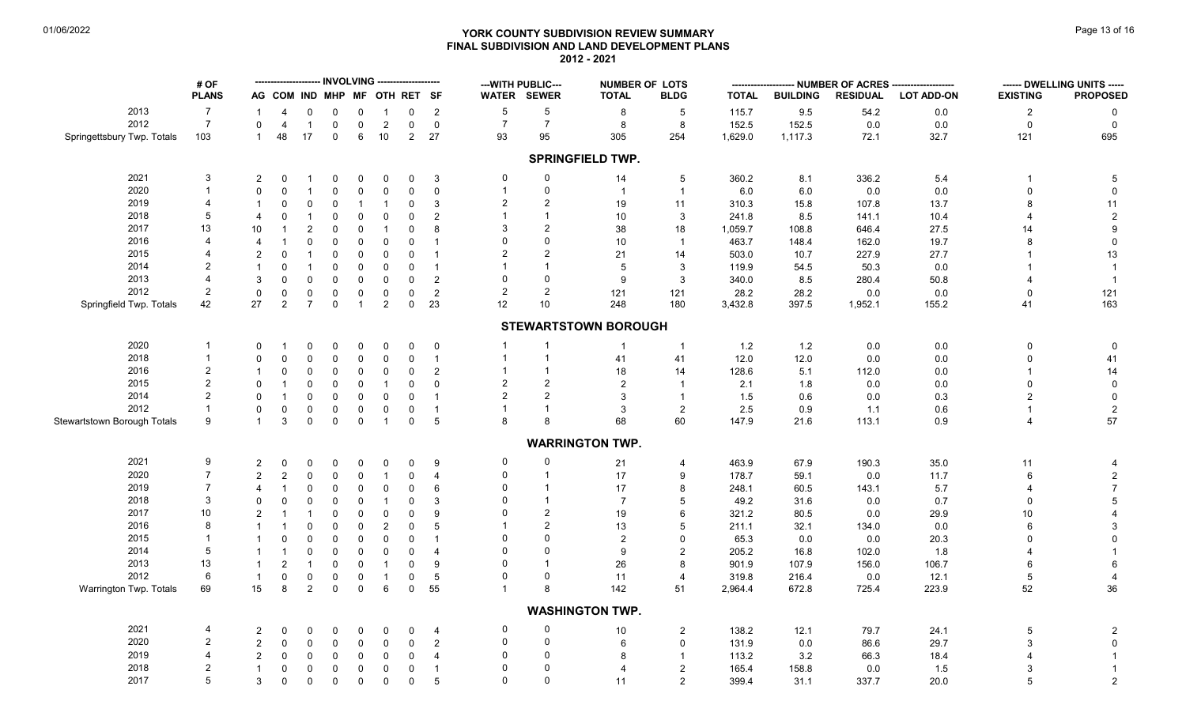# **YORK COUNTY SUBDIVISION REVIEW SUMMARY Page 13 of 16** Page 13 of 16 **FINAL SUBDIVISION AND LAND DEVELOPMENT PLANS 2012 - 2021**

|                             | # OF           |                |                              |                               |              |                         |                          |                |                  |                | --- WITH PUBLIC---  | <b>NUMBER OF LOTS</b>       |                |              | NUMBER OF ACRES | ------ DWELLING UNITS ----- |                   |                 |                  |
|-----------------------------|----------------|----------------|------------------------------|-------------------------------|--------------|-------------------------|--------------------------|----------------|------------------|----------------|---------------------|-----------------------------|----------------|--------------|-----------------|-----------------------------|-------------------|-----------------|------------------|
|                             | <b>PLANS</b>   |                | AG COM IND MHP MF OTH RET SF |                               |              |                         |                          |                |                  |                | WATER SEWER         | <b>TOTAL</b>                | <b>BLDG</b>    | <b>TOTAL</b> | <b>BUILDING</b> | <b>RESIDUAL</b>             | <b>LOT ADD-ON</b> | <b>EXISTING</b> | <b>PROPOSED</b>  |
| 2013                        | $\overline{7}$ | $\mathbf{1}$   | $\overline{4}$               | $\mathbf 0$                   | 0            | 0                       | $\mathbf{1}$             | 0              | $\overline{2}$   | $\sqrt{5}$     | $\,$ 5 $\,$         | 8                           | -5             | 115.7        | 9.5             | 54.2                        | $0.0\,$           | $\overline{2}$  | 0                |
| 2012                        | $\overline{7}$ | $\mathsf{O}$   | $\overline{4}$               | $\overline{1}$                | 0            | $\mathbf 0$             | $\overline{2}$           | 0              | $\mathbf 0$      | $\overline{7}$ | $\overline{7}$      | 8                           | 8              | 152.5        | 152.5           | 0.0                         | 0.0               | $\mathsf{O}$    | $\mathbf 0$      |
| Springettsbury Twp. Totals  | 103            | $\mathbf{1}$   | 48                           | 17                            | 0            | 6                       | 10                       | $\overline{2}$ | 27               | 93             | 95                  | 305                         | 254            | 1,629.0      | 1,117.3         | 72.1                        | 32.7              | 121             | 695              |
|                             |                |                |                              |                               |              |                         |                          |                |                  |                |                     | <b>SPRINGFIELD TWP.</b>     |                |              |                 |                             |                   |                 |                  |
| 2021                        | 3              | 2              | $\mathbf 0$                  | $\overline{1}$                | 0            | $\mathbf 0$             |                          | $\mathbf 0$    |                  | 0              | 0                   |                             | 5              | 360.2        |                 | 336.2                       |                   | -1              |                  |
| 2020                        | $\mathbf{1}$   | $\mathbf 0$    | $\Omega$                     | $\overline{1}$                | $\Omega$     |                         | $\mathbf 0$<br>$\pmb{0}$ | $\mathbf 0$    | $\mathbf{3}$     | -1             | $\mathbf 0$         | 14                          | $\overline{1}$ | $6.0\,$      | 8.1<br>$6.0\,$  | 0.0                         | 5.4<br>$0.0\,$    | $\mathbf{0}$    | $\sqrt{5}$       |
| 2019                        | $\overline{4}$ |                | $\Omega$                     |                               |              | $\mathbf 0$             | $\mathbf{1}$             |                | $\mathbf 0$      |                | $\overline{2}$      | $\overline{1}$              |                |              |                 |                             |                   |                 | $\mathbf 0$      |
|                             |                |                |                              | $\mathbf 0$                   | 0            | $\overline{\mathbf{1}}$ |                          | 0              | 3                |                | $\overline{1}$      | 19                          | 11             | 310.3        | 15.8            | 107.8                       | 13.7              | 8               | 11               |
| 2018                        | $\sqrt{5}$     | $\overline{4}$ | $\overline{0}$               | $\overline{1}$                | 0            | 0                       | $\mathbf 0$              | $\mathbf 0$    | $\overline{2}$   |                | 2                   | 10                          | $\mathbf{3}$   | 241.8        | 8.5             | 141.1                       | 10.4              |                 | $\sqrt{2}$       |
| 2017                        | 13             | 10             | -1                           | $\overline{2}$                | 0            | $\Omega$                | $\mathbf{1}$             | $\mathbf 0$    | 8                |                |                     | 38                          | 18             | 1,059.7      | 108.8           | 646.4                       | 27.5              | 14              | $\boldsymbol{9}$ |
| 2016                        | $\overline{4}$ | $\overline{4}$ |                              | $\mathbf 0$                   | 0            | 0                       | $\mathbf 0$              | 0              | $\overline{1}$   |                | $\Omega$            | 10                          | $\overline{1}$ | 463.7        | 148.4           | 162.0                       | 19.7              |                 | $\pmb{0}$        |
| 2015                        | $\overline{4}$ | $\overline{2}$ | $\Omega$                     |                               | $\Omega$     | $\Omega$                | $\mathbf 0$              | $\Omega$       | $\overline{1}$   |                | 2                   | 21                          | 14             | 503.0        | 10.7            | 227.9                       | 27.7              |                 | 13               |
| 2014                        | $\overline{2}$ | $\mathbf{1}$   | $\Omega$                     | $\overline{1}$                | 0            | $\mathbf 0$             | $\mathbf 0$              | $\mathbf 0$    | $\overline{1}$   |                | $\overline{1}$      | 5                           | 3              | 119.9        | 54.5            | 50.3                        | 0.0               |                 |                  |
| 2013                        | $\overline{4}$ | $\mathbf{3}$   | $\Omega$                     | $\mathbf 0$                   | 0            | $\mathbf 0$             | $\mathbf 0$              | $\Omega$       | $\overline{2}$   | $\Omega$       | $\mathbf 0$         | 9                           | 3              | 340.0        | 8.5             | 280.4                       | 50.8              |                 |                  |
| 2012                        | $\overline{2}$ | $\mathbf 0$    | $\mathbf 0$                  | $\mathbf 0$                   | 0            | $\mathbf 0$             | $\mathbf 0$              | 0              | $\overline{2}$   | $\overline{2}$ | $\sqrt{2}$          | 121                         | 121            | 28.2         | 28.2            | 0.0                         | 0.0               | 0               | 121              |
| Springfield Twp. Totals     | 42             | 27             | $\overline{2}$               | $\overline{7}$                | $\mathsf{O}$ | $\overline{1}$          | $\overline{2}$           | $\mathbf 0$    | 23               | 12             | 10                  | 248                         | 180            | 3,432.8      | 397.5           | 1,952.1                     | 155.2             | 41              | 163              |
|                             |                |                |                              |                               |              |                         |                          |                |                  |                |                     | <b>STEWARTSTOWN BOROUGH</b> |                |              |                 |                             |                   |                 |                  |
| 2020                        | $\mathbf{1}$   | $\mathbf 0$    |                              | 0                             | 0            | $\mathbf 0$             | $\mathbf 0$              | $\mathbf 0$    | $\overline{0}$   |                | $\overline{1}$      | $\overline{1}$              | $\overline{1}$ | 1.2          | $1.2$           | 0.0                         | 0.0               | 0               | $\mathbf 0$      |
| 2018                        | $\mathbf{1}$   | $\Omega$       | $\Omega$                     | $\Omega$                      | $\Omega$     | $\Omega$                | $\mathbf 0$              | $\mathbf 0$    | $\overline{1}$   | $\overline{1}$ | $\overline{1}$      | 41                          | 41             | 12.0         | 12.0            | 0.0                         | $0.0\,$           | $\Omega$        | 41               |
| 2016                        | $\overline{2}$ | $\mathbf{1}$   | 0                            | $\mathbf 0$                   | 0            | $\mathbf 0$             | $\mathbf 0$              | $\mathbf 0$    | 2                |                | $\overline{1}$      | 18                          | 14             | 128.6        | 5.1             | 112.0                       | 0.0               |                 | 14               |
| 2015                        | $\sqrt{2}$     | $\mathbf 0$    |                              | $\Omega$                      | $\Omega$     | $\Omega$                | $\mathbf{1}$             | $\mathbf 0$    | $\mathbf 0$      | $\overline{2}$ | $\overline{2}$      | $\overline{2}$              | $\overline{1}$ | 2.1          | 1.8             | 0.0                         | 0.0               | $\Omega$        | $\pmb{0}$        |
| 2014                        | $\overline{2}$ | $\mathbf 0$    |                              | $\mathbf 0$                   | 0            | 0                       | 0                        | $\mathbf 0$    | $\overline{1}$   |                | $\overline{2}$      | 3                           | $\overline{1}$ | 1.5          | 0.6             | 0.0                         | 0.3               | 2               | $\mathbf 0$      |
| 2012                        | $\mathbf{1}$   | $\mathbf 0$    | $\Omega$                     | $\mathbf 0$                   | $\mathbf 0$  | $\mathbf 0$             | $\mathsf{O}\xspace$      | $\pmb{0}$      | $\overline{1}$   |                | $\overline{1}$      | $\ensuremath{\mathsf{3}}$   | $\sqrt{2}$     | 2.5          | 0.9             | 1.1                         | $0.6\,$           |                 | $\overline{c}$   |
| Stewartstown Borough Totals | 9              | $\mathbf{1}$   | 3                            | $\mathbf 0$                   | $\mathbf 0$  | $\mathbf 0$             | $\mathbf{1}$             | $\mathbf 0$    | $5\phantom{.0}$  | 8              | 8                   | 68                          | 60             | 147.9        | 21.6            | 113.1                       | 0.9               | 4               | 57               |
|                             |                |                |                              |                               |              |                         |                          |                |                  |                |                     | <b>WARRINGTON TWP.</b>      |                |              |                 |                             |                   |                 |                  |
| 2021                        | 9              | $\overline{2}$ | $\Omega$                     | 0                             | 0            | 0                       | 0                        | 0              | 9                | 0              | 0                   | 21                          | $\overline{4}$ | 463.9        | 67.9            | 190.3                       | 35.0              | 11              | 4                |
| 2020                        | $\overline{7}$ | $\overline{2}$ | $\overline{2}$               | $\mathbf 0$                   | 0            | 0                       | $\mathbf{1}$             | $\mathbf 0$    | $\overline{4}$   | $\mathbf 0$    | $\overline{1}$      | $17$                        | 9              | 178.7        | 59.1            | 0.0                         | 11.7              | 6               | $\sqrt{2}$       |
| 2019                        | $\overline{7}$ | $\overline{4}$ | $\overline{\mathbf{1}}$      | $\mathbf 0$                   | 0            | 0                       | $\mathbf 0$              | 0              | 6                | $\Omega$       | $\overline{1}$      | 17                          | 8              |              |                 |                             |                   |                 | $\overline{7}$   |
| 2018                        | 3              |                | $\mathbf{0}$                 |                               |              |                         | $\mathbf{1}$             | $\mathbf 0$    |                  | $\Omega$       | $\overline{1}$      | $\overline{7}$              | 5              | 248.1        | 60.5            | 143.1                       | 5.7               |                 | 5                |
|                             |                | $\mathbf 0$    |                              | $\mathbf 0$<br>$\overline{1}$ | 0            | $\mathbf 0$             |                          | $\Omega$       | 3                |                |                     |                             | 6              | 49.2         | 31.6            | 0.0                         | 0.7               | $\Omega$        |                  |
| 2017<br>2016                | 10<br>8        | $\overline{2}$ |                              |                               | 0            | $\Omega$                | $\mathsf{O}\xspace$      |                | $\boldsymbol{9}$ |                | $\overline{2}$<br>2 | 19                          |                | 321.2        | 80.5            | 0.0                         | 29.9              | 10              | $\overline{4}$   |
|                             |                | $\overline{1}$ |                              | $\pmb{0}$                     | 0            | $\mathbf 0$             | $\overline{c}$           | 0              | 5                |                |                     | 13                          | 5              | 211.1        | 32.1            | 134.0                       | 0.0               |                 | 3                |
| 2015                        | $\overline{1}$ | $\mathbf{1}$   | $\Omega$                     | $\Omega$                      | $\Omega$     | $\Omega$                | $\mathbf 0$              | $\mathbf 0$    | $\overline{1}$   |                | $\mathbf{0}$        | $\sqrt{2}$                  | $\Omega$       | 65.3         | 0.0             | 0.0                         | 20.3              | $\Omega$        | $\mathbf{0}$     |
| 2014                        | 5              | $\mathbf{1}$   |                              | $\mathbf 0$                   | 0            | $\mathbf 0$             | $\mathbf 0$              | $\mathbf 0$    | $\overline{4}$   |                | $\mathbf{0}$        | 9                           | $\overline{2}$ | 205.2        | 16.8            | 102.0                       | 1.8               |                 |                  |
| 2013                        | 13             | $\mathbf{1}$   | $\overline{2}$               | $\overline{1}$                | $\Omega$     | $\mathbf 0$             | $\overline{1}$           | $\mathbf 0$    | 9                | $\Omega$       | $\overline{1}$      | 26                          | 8              | 901.9        | 107.9           | 156.0                       | 106.7             | 6               | 6                |
| 2012                        | 6              | $\mathbf{1}$   | $\Omega$                     | $\mathsf 0$                   | $\mathbf 0$  | $\mathbf 0$             | $\mathbf{1}$             | $\mathbf 0$    | $\overline{5}$   | $\Omega$       | $\mathbf 0$         | 11                          | $\overline{4}$ | 319.8        | 216.4           | 0.0                         | 12.1              | 5               | $\overline{4}$   |
| Warrington Twp. Totals      | 69             | 15             | 8                            | $\overline{2}$                | $\mathbf 0$  | $\mathsf{0}$            | 6                        | $\mathbf 0$    | 55               |                | 8                   | 142                         | 51             | 2,964.4      | 672.8           | 725.4                       | 223.9             | 52              | 36               |
|                             |                |                |                              |                               |              |                         |                          |                |                  |                |                     | <b>WASHINGTON TWP.</b>      |                |              |                 |                             |                   |                 |                  |
| 2021                        | $\overline{4}$ | $\overline{2}$ | 0                            | 0                             | 0            | 0                       | 0                        | 0              | 4                | 0              | 0                   | $10\,$                      | $\sqrt{2}$     | 138.2        | 12.1            | 79.7                        | 24.1              | 5               | $\overline{2}$   |
| 2020                        | 2              | $\overline{2}$ | $\Omega$                     | $\mathbf 0$                   | 0            | 0                       | $\mathbf 0$              | 0              | $\overline{2}$   | $\Omega$       | $\mathbf 0$         | 6                           | $\mathbf 0$    | 131.9        | $0.0\,$         | 86.6                        | 29.7              | 3               | $\mathbf 0$      |
| 2019                        | 4              | 2              | $\Omega$                     | $\mathbf 0$                   | 0            | $\mathbf 0$             | $\mathbf 0$              | $\mathbf 0$    | $\overline{4}$   | $\Omega$       | $\mathbf 0$         | 8                           | $\overline{1}$ | 113.2        | 3.2             | 66.3                        | 18.4              |                 |                  |
| 2018                        | $\overline{2}$ | $\mathbf{1}$   | 0                            | $\mathbf 0$                   | 0            | 0                       | $\mathsf{O}\xspace$      | $\mathbf 0$    | $\overline{1}$   | $\Omega$       | $\Omega$            | $\overline{4}$              | $\overline{2}$ | 165.4        | 158.8           | 0.0                         | 1.5               |                 | $\overline{1}$   |
| 2017                        | 5              | $\mathbf{3}$   | $\Omega$                     | $\mathbf 0$                   | $\mathbf 0$  | $\mathbf 0$             | $\mathbf 0$              | $\Omega$       | 5                | $\Omega$       | $\Omega$            | 11                          | 2              | 399.4        | 31.1            | 337.7                       | 20.0              | 5               | $\overline{2}$   |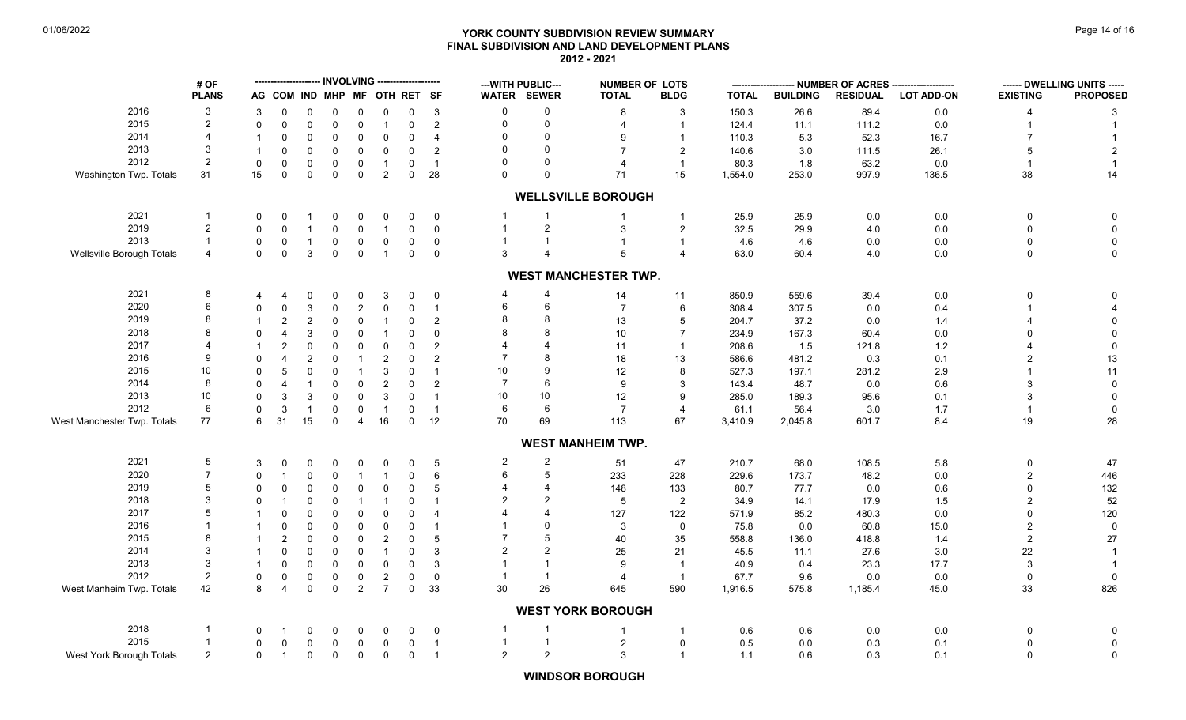# **YORK COUNTY SUBDIVISION REVIEW SUMMARY Page 14 of 16** Page 14 of 16 **FINAL SUBDIVISION AND LAND DEVELOPMENT PLANS 2012 - 2021**

|                             | # OF                    |              |                              |                |                  | <b>INVOLVING</b><br>-------------------- |                    |                            |                      |                | --- WITH PUBLIC---    |                             | <b>NUMBER OF LOTS</b>   |                 | - NUMBER OF ACRES - |                 |                   | ------ DWELLING UNITS ----- |                   |
|-----------------------------|-------------------------|--------------|------------------------------|----------------|------------------|------------------------------------------|--------------------|----------------------------|----------------------|----------------|-----------------------|-----------------------------|-------------------------|-----------------|---------------------|-----------------|-------------------|-----------------------------|-------------------|
|                             | <b>PLANS</b>            |              | AG COM IND MHP MF OTH RET SF |                |                  |                                          |                    |                            |                      |                | <b>WATER SEWER</b>    | <b>TOTAL</b>                | <b>BLDG</b>             | <b>TOTAL</b>    | <b>BUILDING</b>     | <b>RESIDUAL</b> | <b>LOT ADD-ON</b> | <b>EXISTING</b>             | <b>PROPOSED</b>   |
| 2016                        | -3                      | 3            | $\Omega$                     | 0              | 0                | $\Omega$                                 | 0                  | $\Omega$                   | $\mathbf{3}$         | $\mathbf 0$    | 0                     | 8                           | 3                       | 150.3           | 26.6                | 89.4            | 0.0               | 4                           | 3                 |
| 2015                        | $\overline{2}$          | $\Omega$     | $\mathbf 0$                  | $\Omega$       | $\mathbf 0$      | $\mathbf 0$                              | $\mathbf{1}$       | $\mathbf 0$                | $\overline{2}$       | $\Omega$       | $\mathbf 0$           |                             | $\overline{1}$          | 124.4           | 11.1                | 111.2           | 0.0               |                             |                   |
| 2014                        | $\overline{4}$          |              | $\Omega$                     | $\Omega$       | $\mathbf 0$      | $\Omega$                                 | $\pmb{0}$          | $\mathbf 0$                | $\overline{4}$       | $\mathbf{0}$   | $\Omega$              | 9                           | $\mathbf{1}$            | 110.3           | 5.3                 | 52.3            | 16.7              |                             |                   |
| 2013                        | 3                       | $\mathbf{1}$ | $\Omega$                     | $\Omega$       | 0                | 0                                        | $\mathbf 0$        | $\mathbf 0$                | $\overline{2}$       | $\Omega$       | $\Omega$              | $\overline{7}$              | $\overline{2}$          | 140.6           | 3.0                 | 111.5           | 26.1              | 5                           | $\overline{2}$    |
| 2012                        | $\overline{2}$          | $\mathbf 0$  | $\mathbf 0$                  | $\mathbf 0$    | $\mathbf 0$      | 0                                        | $\mathbf{1}$       | $\mathbf 0$                | $\overline{1}$       | $\Omega$       | $\Omega$              | $\overline{4}$              | $\overline{1}$          | 80.3            | 1.8                 | 63.2            | 0.0               |                             |                   |
| Washington Twp. Totals      | 31                      | 15           | $\Omega$                     | $\Omega$       | $\mathbf{0}$     | $\mathbf{0}$                             | $\overline{2}$     | $\mathbf 0$                | 28                   | $\Omega$       | $\Omega$              | 71                          | 15                      | 1,554.0         | 253.0               | 997.9           | 136.5             | 38                          | 14                |
|                             |                         |              |                              |                |                  |                                          |                    |                            |                      |                |                       | <b>WELLSVILLE BOROUGH</b>   |                         |                 |                     |                 |                   |                             |                   |
| 2021                        | $\overline{\mathbf{1}}$ | 0            | 0                            |                | 0                | $\mathbf 0$                              | 0                  | 0                          | $\mathbf 0$          |                |                       | -1                          | $\mathbf{1}$            | 25.9            | 25.9                | 0.0             | 0.0               | 0                           | 0                 |
| 2019                        | $\overline{2}$          | $\mathbf 0$  | $\Omega$                     |                | $\mathbf 0$      | 0                                        | $\mathbf{1}$       | $\mathbf 0$                | $\overline{0}$       |                | $\overline{c}$        | 3                           | $\overline{c}$          | 32.5            | 29.9                | 4.0             | 0.0               | $\Omega$                    | 0                 |
| 2013                        | $\overline{1}$          | 0            | 0                            |                | 0                | 0                                        | $\pmb{0}$          | $\mathbf 0$                | $\overline{0}$       |                |                       | $\overline{1}$              | $\overline{1}$          | 4.6             | 4.6                 | $0.0\,$         | $0.0\,$           | 0                           | $\pmb{0}$         |
| Wellsville Borough Totals   | $\overline{4}$          | $\mathbf{0}$ | $\Omega$                     | 3              | $\mathbf 0$      | $\mathbf 0$                              | $\mathbf{1}$       | $\mathbf 0$                | $\overline{0}$       | 3              | $\boldsymbol{\Delta}$ | $5\phantom{.0}$             | $\overline{4}$          | 63.0            | 60.4                | 4.0             | $0.0\,$           | 0                           | $\mathbf 0$       |
|                             |                         |              |                              |                |                  |                                          |                    |                            |                      |                |                       | <b>WEST MANCHESTER TWP.</b> |                         |                 |                     |                 |                   |                             |                   |
| 2021                        | 8                       | 4            | 4                            | 0              | 0                | $\mathbf 0$                              | 3                  | 0                          | $\mathbf 0$          |                | 4                     | 14                          | 11                      | 850.9           | 559.6               | 39.4            | 0.0               | 0                           | 0                 |
| 2020                        | 6                       | $\Omega$     | $\Omega$                     | 3              | $\mathbf 0$      | $\overline{c}$                           | $\pmb{0}$          | $\mathbf 0$                | $\overline{1}$       | 6              | 6                     | $\overline{7}$              | 6                       | 308.4           | 307.5               | 0.0             | 0.4               |                             |                   |
| 2019                        | 8                       | $\mathbf 1$  | $\overline{2}$               | 2              | $\mathbf 0$      | $\mathbf 0$                              | $\overline{1}$     | $\Omega$                   | $\overline{c}$       | 8              |                       | 13                          | 5                       | 204.7           | 37.2                | 0.0             | 1.4               |                             | $\Omega$          |
| 2018                        | 8                       | $\Omega$     | $\overline{\mathbf{4}}$      | 3              | $\mathbf 0$      | $\mathbf{0}$                             | $\overline{1}$     | $\Omega$                   | $\mathbf 0$          |                |                       | 10                          | $\overline{7}$          | 234.9           | 167.3               | 60.4            | $0.0\,$           | U                           | 0                 |
| 2017                        | 4                       |              | $\overline{2}$               | $\Omega$       | $\mathbf 0$      | $\mathbf 0$                              | $\mathbf 0$        | $\Omega$                   | $\overline{2}$       |                |                       | 11                          | $\overline{\mathbf{1}}$ | 208.6           | 1.5                 | 121.8           | $1.2$             |                             | $\mathbf 0$       |
| 2016                        | 9                       | $\Omega$     | 4                            | $\overline{2}$ | $\mathbf 0$      | -1                                       | $\overline{2}$     | $\mathbf 0$                | $\overline{2}$       |                |                       | 18                          | 13                      | 586.6           | 481.2               | 0.3             | 0.1               | 2                           | 13                |
| 2015                        | 10                      | $\Omega$     | 5                            | $\Omega$       | $\mathbf 0$      | $\overline{1}$                           | $\mathbf{3}$       | $\mathbf 0$                | $\overline{1}$       | 10             | $\mathbf{Q}$          | 12                          | 8                       | 527.3           | 197.1               | 281.2           | 2.9               |                             | 11                |
| 2014                        | 8                       | $\mathbf 0$  | $\overline{4}$               |                | $\mathbf 0$      | 0                                        | $\sqrt{2}$         | $\mathbf 0$                | $\overline{2}$       | $\overline{7}$ | 6                     | 9                           |                         | 143.4           | 48.7                | 0.0             | $0.6\,$           | 3                           | $\mathbf 0$       |
| 2013                        | 10                      | $\Omega$     |                              |                |                  |                                          |                    |                            |                      | 10             | 10                    |                             | 9                       |                 |                     |                 |                   | 3                           |                   |
| 2012                        | 6                       |              | 3                            | 3              | $\mathbf 0$      | $\mathbf 0$                              | $\mathbf{3}$       | $\mathbf 0$                | $\overline{1}$       | 6              | 6                     | 12                          |                         | 285.0           | 189.3               | 95.6            | 0.1               |                             | $\mathbf 0$       |
| West Manchester Twp. Totals | 77                      | 0<br>6       | 3<br>31                      | -1<br>15       | 0<br>$\mathbf 0$ | 0<br>$\overline{4}$                      | $\mathbf{1}$<br>16 | $\mathbf 0$<br>$\mathbf 0$ | $\overline{1}$<br>12 | 70             | 69                    | $\overline{7}$<br>113       | $\overline{4}$<br>67    | 61.1<br>3,410.9 | 56.4<br>2,045.8     | 3.0<br>601.7    | 1.7<br>8.4        | $\mathbf{1}$<br>19          | $\mathbf 0$<br>28 |
|                             |                         |              |                              |                |                  |                                          |                    |                            |                      |                |                       | <b>WEST MANHEIM TWP.</b>    |                         |                 |                     |                 |                   |                             |                   |
|                             |                         |              |                              |                |                  |                                          |                    |                            |                      |                |                       |                             |                         |                 |                     |                 |                   |                             |                   |
| 2021                        | 5                       | 3            | 0                            | 0              | 0                | 0                                        | 0                  | 0                          | 5                    | $\overline{c}$ | 2                     | 51                          | 47                      | 210.7           | 68.0                | 108.5           | 5.8               | 0                           | 47                |
| 2020                        | $\overline{7}$          | $\Omega$     | $\overline{1}$               | $\Omega$       | $\mathbf 0$      | -1                                       | $\mathbf{1}$       | 0                          | 6                    | 6              | 5                     | 233                         | 228                     | 229.6           | 173.7               | 48.2            | $0.0\,$           | $\overline{2}$              | 446               |
| 2019                        | 5                       | 0            | $\Omega$                     | $\Omega$       | $\mathbf 0$      | $\mathbf 0$                              | $\mathbf 0$        | $\mathbf 0$                | 5                    |                | 4                     | 148                         | 133                     | 80.7            | 77.7                | 0.0             | 0.6               | 0                           | 132               |
| 2018                        | 3                       | $\Omega$     | -1                           | $\Omega$       | $\mathbf 0$      |                                          | -1                 | $\Omega$                   | $\overline{1}$       | 2              | $\overline{2}$        | 5                           | $\overline{2}$          | 34.9            | 14.1                | 17.9            | 1.5               | 2                           | 52                |
| 2017                        | 5                       |              | $\Omega$                     | $\Omega$       | $\Omega$         | $\Omega$                                 | $\mathbf 0$        | $\Omega$                   | $\overline{4}$       |                |                       | 127                         | 122                     | 571.9           | 85.2                | 480.3           | 0.0               | $\Omega$                    | 120               |
| 2016                        | -1                      |              | $\Omega$                     | $\Omega$       | $\mathbf 0$      | $\mathbf 0$                              | $\mathbf 0$        | $\mathbf 0$                | $\overline{1}$       |                | $\Omega$              | 3                           | $\mathbf 0$             | 75.8            | 0.0                 | 60.8            | 15.0              | 2                           | $\overline{0}$    |
| 2015                        | 8                       | $\mathbf{1}$ | $\overline{2}$               | $\Omega$       | $\mathbf 0$      | $\Omega$                                 | $\overline{2}$     | $\mathbf 0$                | 5                    |                | 5                     | 40                          | 35                      | 558.8           | 136.0               | 418.8           | 1.4               | $\overline{a}$              | $27\,$            |
| 2014                        | 3                       |              | $\Omega$                     | $\Omega$       | $\mathbf 0$      | $\mathbf 0$                              | $\mathbf{1}$       | $\Omega$                   | 3                    | 2              | $\overline{2}$        | 25                          | 21                      | 45.5            | 11.1                | 27.6            | 3.0               | 22                          |                   |
| 2013                        | 3                       | $\mathbf{1}$ | $\mathbf 0$                  | $\Omega$       | $\mathbf 0$      | 0                                        | $\pmb{0}$          | $\mathbf 0$                | 3                    |                |                       | 9                           | $\overline{1}$          | 40.9            | 0.4                 | 23.3            | 17.7              | 3                           |                   |
| 2012                        | 2                       | 0            | $\mathbf 0$                  | $\mathbf 0$    | $\mathbf 0$      | 0                                        | $\sqrt{2}$         | $\mathbf 0$                | $\mathbf 0$          |                | $\overline{1}$        | $\overline{4}$              | $\overline{1}$          | 67.7            | 9.6                 | 0.0             | 0.0               | $\Omega$                    | $\mathbf 0$       |
| West Manheim Twp. Totals    | 42                      | 8            | $\overline{4}$               | $\mathbf 0$    | $\mathbf 0$      | $\overline{2}$                           | $\overline{7}$     | $\mathbf 0$                | 33                   | 30             | 26                    | 645                         | 590                     | 1,916.5         | 575.8               | 1,185.4         | 45.0              | 33                          | 826               |
|                             |                         |              |                              |                |                  |                                          |                    |                            |                      |                |                       | <b>WEST YORK BOROUGH</b>    |                         |                 |                     |                 |                   |                             |                   |
| 2018                        | -1                      | $\Omega$     | -1                           | 0              | 0                | $\Omega$                                 | 0                  | 0                          | $\mathbf 0$          | -1             |                       | -1                          | $\mathbf 1$             | 0.6             | 0.6                 | 0.0             | 0.0               | 0                           | 0                 |
| 2015                        | -1                      | 0            | 0                            | 0              | 0                | 0                                        | $\mathsf 0$        | $\mathbf 0$                | $\overline{1}$       | $\mathbf{1}$   | -1                    | $\overline{c}$              | 0                       | 0.5             | $0.0\,$             | 0.3             | 0.1               | 0                           | 0                 |
| West York Borough Totals    | $\overline{2}$          | $\mathbf 0$  | $\overline{1}$               | $\mathbf 0$    | $\mathbf 0$      | $\mathbf 0$                              | $\pmb{0}$          | $\pmb{0}$                  | $\overline{1}$       | $\overline{2}$ | $\sqrt{2}$            | $\mathbf{3}$                | $\mathbf{1}$            | 1.1             | 0.6                 | 0.3             | 0.1               | $\Omega$                    | $\mathbf 0$       |

**WINDSOR BOROUGH**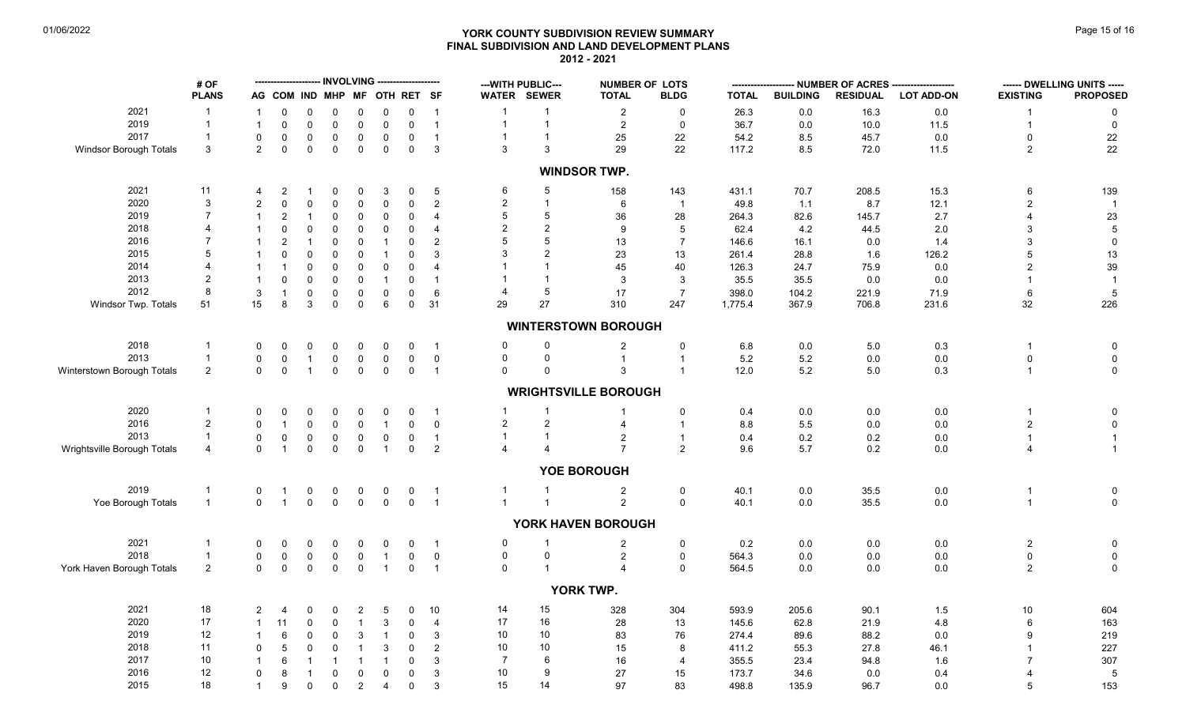# **YORK COUNTY SUBDIVISION REVIEW SUMMARY Page 15 of 16** Page 15 of 16 **FINAL SUBDIVISION AND LAND DEVELOPMENT PLANS 2012 - 2021**

|                             | # OF           |                |                               |                  |                     |                            |                   | <b>INVOLVING --------------------</b> |                   | --- WITH PUBLIC---<br><b>NUMBER OF LOTS</b> |                |                             |                           |              |                 | ---- NUMBER OF ACRES ------ | ------ DWELLING UNITS ----- |                     |                                         |
|-----------------------------|----------------|----------------|-------------------------------|------------------|---------------------|----------------------------|-------------------|---------------------------------------|-------------------|---------------------------------------------|----------------|-----------------------------|---------------------------|--------------|-----------------|-----------------------------|-----------------------------|---------------------|-----------------------------------------|
|                             | <b>PLANS</b>   |                | AG COM IND MHP MF OTH RET SF  |                  |                     |                            |                   |                                       |                   | WATER SEWER                                 |                | <b>TOTAL</b>                | <b>BLDG</b>               | <b>TOTAL</b> | <b>BUILDING</b> | <b>RESIDUAL</b>             | <b>LOT ADD-ON</b>           | <b>EXISTING</b>     | <b>PROPOSED</b>                         |
| 2021                        |                |                | $\Omega$                      | 0                | 0                   | 0                          | 0                 | $\mathbf 0$                           | $\overline{1}$    | $\mathbf 1$                                 | $\mathbf{1}$   | $\overline{2}$              | 0                         | 26.3         | 0.0             | 16.3                        | 0.0                         |                     | $\Omega$                                |
| 2019                        | $\overline{1}$ |                | $\Omega$                      | $\mathbf 0$      | $\mathbf 0$         | $\mathbf 0$                | $\mathbf 0$       | $\mathbf 0$                           | $\mathbf{1}$      | $\mathbf{1}$                                | $\mathbf{1}$   | $\overline{2}$              | $\pmb{0}$                 | 36.7         | 0.0             | 10.0                        | 11.5                        |                     | $\mathbf 0$                             |
| 2017                        |                | $\Omega$       | $\mathbf 0$                   | $\mathbf 0$      | $\mathsf{O}\xspace$ | 0                          | $\mathbf 0$       | $\mathsf{O}\xspace$                   | $\mathbf{1}$      | $\mathbf{1}$                                | $\mathbf{1}$   | 25                          | 22                        | 54.2         | 8.5             | 45.7                        | $0.0\,$                     | $\Omega$            |                                         |
| Windsor Borough Totals      | 3              | $\overline{2}$ | $\mathbf 0$                   | $\mathbf 0$      | $\mathbf 0$         | $\mathbf 0$                | $\mathbf 0$       | $\mathbf 0$                           | 3                 | 3                                           | 3              | 29                          | 22                        | 117.2        | 8.5             | 72.0                        | 11.5                        | $\overline{2}$      | $\begin{array}{c} 22 \\ 22 \end{array}$ |
|                             |                |                |                               |                  |                     |                            |                   |                                       |                   |                                             |                | <b>WINDSOR TWP.</b>         |                           |              |                 |                             |                             |                     |                                         |
| 2021                        | 11             |                | $\overline{2}$                |                  | 0                   | 0                          | 3                 | 0                                     | $\sqrt{5}$        | 6                                           | $\overline{5}$ | 158                         | 143                       | 431.1        | 70.7            | 208.5                       | 15.3                        | 6                   | 139                                     |
| 2020                        | 3              | $\overline{2}$ | $\Omega$                      | 0                | $\mathbf 0$         | $\mathsf 0$                | $\mathbf 0$       | $\mathsf{O}\xspace$                   | $\sqrt{2}$        | $\sqrt{2}$                                  | $\mathbf{1}$   | 6                           | $\overline{1}$            | 49.8         | 1.1             | 8.7                         | 12.1                        | $\overline{2}$      |                                         |
| 2019                        | $\overline{7}$ |                | $\overline{2}$                |                  | $\mathbf 0$         | 0                          | $\mathbf 0$       | $\mathsf 0$                           | 4                 | 5                                           | 5              | 36                          | 28                        | 264.3        | 82.6            | 145.7                       | 2.7                         |                     | 23                                      |
| 2018                        |                |                | $\Omega$                      | 0                | $\mathbf 0$         | 0                          | 0                 | $\mathbf 0$                           | 4                 | $\overline{2}$                              | $\overline{2}$ | 9                           | 5                         | 62.4         | 4.2             | 44.5                        | 2.0                         | 3                   | $\overline{5}$                          |
| 2016                        |                |                | $\overline{2}$                |                  | 0                   | 0                          | $\mathbf{1}$      | 0                                     | $\overline{2}$    | 5                                           | 5              | 13                          | $\overline{7}$            | 146.6        | 16.1            | 0.0                         | 1.4                         |                     | $\mathbf 0$                             |
| 2015                        | 5              |                | $\Omega$                      | 0                | 0                   | 0                          | $\overline{1}$    | $\mathbf 0$                           | 3                 | 3                                           | $\overline{2}$ | 23                          | 13                        | 261.4        | 28.8            | 1.6                         | 126.2                       |                     | 13                                      |
| 2014                        |                |                |                               | 0                | $\mathbf 0$         | 0                          | $\mathbf 0$       | $\mathbf 0$                           | 4                 |                                             |                | 45                          | 40                        | 126.3        | 24.7            | 75.9                        | $0.0\,$                     |                     | 39                                      |
| 2013                        | $\overline{2}$ |                | $\Omega$                      | 0                | $\mathbf 0$         | 0                          | $\overline{1}$    | $\mathbf 0$                           |                   |                                             | $\mathbf{1}$   | 3                           | 3                         | 35.5         | 35.5            | 0.0                         | 0.0                         |                     | $\overline{1}$                          |
| 2012                        | 8              | 3              | $\overline{1}$                | 0                | 0                   | 0                          | $\mathbf 0$       | $\mathbf 0$                           | 6                 | $\overline{4}$                              | 5              | 17                          | $\overline{7}$            | 398.0        | 104.2           | 221.9                       | 71.9                        | 6                   | $\sqrt{5}$                              |
| Windsor Twp. Totals         | 51             | 15             | 8                             | 3                | $\mathbf 0$         | $\mathsf 0$                | 6                 | $\mathbf 0$                           | 31                | 29                                          | 27             | 310                         | 247                       | 1,775.4      | 367.9           | 706.8                       | 231.6                       | 32                  | 226                                     |
|                             |                |                |                               |                  |                     |                            |                   |                                       |                   |                                             |                | <b>WINTERSTOWN BOROUGH</b>  |                           |              |                 |                             |                             |                     |                                         |
| 2018                        | $\mathbf 1$    | 0              | $\Omega$                      | 0                | $\mathbf 0$         | 0                          | 0                 | 0                                     | $\overline{1}$    | 0                                           | 0              | $\mathbf{2}$                | $\pmb{0}$                 | $6.8\,$      | 0.0             | $5.0\,$                     | 0.3                         | -1                  | 0                                       |
| 2013                        | $\overline{1}$ | 0              | $\mathbf 0$                   | $\mathbf{1}$     | $\mathbf 0$         | $\pmb{0}$                  | 0                 | $\mathsf{O}\xspace$                   | $\pmb{0}$         | 0                                           | $\mathbf 0$    | $\mathbf{1}$                | $\mathbf{1}$              | $5.2\,$      | $5.2\,$         | 0.0                         | 0.0                         | $\mathbf 0$         | $\mathbf 0$                             |
| Winterstown Borough Totals  | $\overline{2}$ | $\Omega$       | $\mathsf 0$                   | $\mathbf{1}$     | $\mathbf 0$         | $\mathbf 0$                | $\mathsf 0$       | $\mathsf 0$                           | $\overline{1}$    | $\Omega$                                    | $\Omega$       | 3                           | $\mathbf{1}$              | 12.0         | 5.2             | 5.0                         | 0.3                         | $\overline{1}$      | $\mathsf 0$                             |
|                             |                |                |                               |                  |                     |                            |                   |                                       |                   |                                             |                | <b>WRIGHTSVILLE BOROUGH</b> |                           |              |                 |                             |                             |                     |                                         |
| 2020                        | $\mathbf{1}$   | $\Omega$       | $\Omega$                      | 0                | $\mathbf 0$         | 0                          | $\mathbf 0$       | $\mathbf 0$                           | $\overline{1}$    | $\mathbf{1}$                                | $\mathbf{1}$   |                             |                           |              |                 |                             | $0.0\,$                     |                     |                                         |
| 2016                        | $\overline{2}$ | $\Omega$       | $\overline{1}$                |                  |                     |                            |                   |                                       |                   | $\overline{c}$                              | $\overline{2}$ |                             | $\pmb{0}$<br>$\mathbf{1}$ | 0.4          | 0.0             | 0.0                         |                             |                     | 0                                       |
| 2013                        | $\mathbf{1}$   |                |                               | 0                | $\mathbf 0$         | $\mathsf 0$                | $\mathbf{1}$      | $\mathsf 0$                           | $\mathsf 0$       |                                             | $\mathbf{1}$   |                             |                           | 8.8          | 5.5             | 0.0                         | $0.0\,$                     | $\overline{2}$      | $\pmb{0}$                               |
| Wrightsville Borough Totals | $\overline{4}$ | 0<br>$\Omega$  | $\mathbf 0$<br>$\overline{1}$ | 0<br>$\mathbf 0$ | 0<br>$\mathbf 0$    | $\mathbf 0$<br>$\mathbf 0$ | 0<br>$\mathbf{1}$ | $\mathsf{O}\xspace$<br>$\mathbf 0$    | $\mathbf{1}$<br>2 | $\mathbf{1}$<br>$\overline{4}$              |                | 2<br>$\overline{7}$         | $\mathbf{1}$<br>2         | 0.4<br>9.6   | 0.2<br>5.7      | 0.2<br>0.2                  | 0.0<br>0.0                  | $\overline{1}$<br>4 | $\overline{1}$<br>$\overline{1}$        |
|                             |                |                |                               |                  |                     |                            |                   |                                       |                   |                                             |                |                             |                           |              |                 |                             |                             |                     |                                         |
|                             |                |                |                               |                  |                     |                            |                   |                                       |                   |                                             |                | YOE BOROUGH                 |                           |              |                 |                             |                             |                     |                                         |
| 2019                        | $\mathbf{1}$   | $\mathbf 0$    | $\overline{1}$                | $\mathbf 0$      | $\mathbf 0$         | $0$ 0                      | $\mathbf 0$       | $\mathbf 0$                           | $\overline{1}$    | $\mathbf{1}$                                | $\mathbf{1}$   | $\overline{c}$              | 0                         | 40.1         | 0.0             | 35.5                        | $0.0\,$                     |                     | $\boldsymbol{0}$                        |
| Yoe Borough Totals          | $\mathbf{1}$   | $\Omega$       | $\overline{1}$                | $\mathbf 0$      | $\mathbf 0$         |                            | $\mathbf 0$       | $\mathbf 0$                           | $\overline{1}$    | $\mathbf{1}$                                | $\mathbf{1}$   | $\overline{2}$              | $\mathsf 0$               | 40.1         | 0.0             | 35.5                        | $0.0\,$                     | $\overline{1}$      | $\mathsf 0$                             |
|                             |                |                |                               |                  |                     |                            |                   |                                       |                   |                                             |                | YORK HAVEN BOROUGH          |                           |              |                 |                             |                             |                     |                                         |
| 2021                        | $\overline{1}$ | 0              | $\Omega$                      | 0                | 0                   | 0                          | 0                 | 0                                     | $\overline{1}$    | 0                                           | -1             | $\overline{2}$              | 0                         | 0.2          | 0.0             | 0.0                         | $0.0\,$                     | $\overline{c}$      | $\boldsymbol{0}$                        |
| 2018                        | $\mathbf{1}$   | 0              | $\mathbf 0$                   | $\mathbf 0$      | $\mathsf{O}\xspace$ | $\mathbf 0$                | $\overline{1}$    | $\mathsf{O}\xspace$                   | $\mathbf 0$       | 0                                           | $\mathsf 0$    | $\overline{c}$              | $\pmb{0}$                 | 564.3        | 0.0             | 0.0                         | 0.0                         | $\mathbf 0$         | $\mathbf 0$                             |
| York Haven Borough Totals   | $\overline{2}$ | $\mathbf 0$    | $\mathbf 0$                   | $\mathbf 0$      | $\mathbf 0$         | $\pmb{0}$                  | $\mathbf{1}$      | $\mathbf 0$                           | $\overline{1}$    | $\mathbf 0$                                 | $\mathbf{1}$   | 4                           | $\mathbf 0$               | 564.5        | 0.0             | 0.0                         | 0.0                         | $\overline{c}$      | $\mathsf 0$                             |
|                             |                |                |                               |                  |                     |                            |                   |                                       |                   |                                             |                | YORK TWP.                   |                           |              |                 |                             |                             |                     |                                         |
| 2021                        | $18\,$         | $\overline{2}$ | 4                             | 0                | 0                   | $\overline{2}$             | 5                 | 0                                     | 10                | 14                                          | 15             | 328                         | 304                       | 593.9        | 205.6           | 90.1                        | 1.5                         | 10                  | 604                                     |
| 2020                        | $17$           |                | 11                            | 0                | 0                   | $\mathbf{1}$               | 3                 | $\mathbf 0$                           | $\overline{4}$    | 17                                          | 16             | 28                          | 13                        | 145.6        | 62.8            | 21.9                        | 4.8                         |                     | 163                                     |
| 2019                        | 12             |                | 6                             | 0                | $\mathbf 0$         | $\mathsf 3$                | $\overline{1}$    | $\mathsf 0$                           | 3                 | 10                                          | 10             | 83                          | 76                        | 274.4        | 89.6            | 88.2                        | 0.0                         | 9                   | 219                                     |
| 2018                        | 11             | $\Omega$       | 5                             | 0                | $\mathbf 0$         | $\mathbf{1}$               | $\mathbf{3}$      | $\mathbf 0$                           | 2                 | 10                                          | 10             | 15                          | 8                         | 411.2        | 55.3            | 27.8                        | 46.1                        |                     | 227                                     |
| 2017                        | 10             |                | 6                             |                  | -1                  | $\overline{1}$             | $\mathbf{1}$      | $\mathsf 0$                           | 3                 | $\overline{7}$                              | 6              | 16                          | $\overline{4}$            | 355.5        | 23.4            | 94.8                        | 1.6                         |                     | 307                                     |
| 2016                        | 12             | $\mathbf 0$    | 8                             |                  | 0                   | 0                          | $\mathbf 0$       | $\mathbf 0$                           | 3                 | 10                                          | 9              | 27                          | 15                        | 173.7        | 34.6            | 0.0                         | 0.4                         |                     | 5                                       |
| 2015                        | 18             | $\mathbf{1}$   | 9                             | $\mathbf 0$      | $\mathbf 0$         | $\overline{2}$             | $\overline{4}$    | $\mathbf 0$                           | 3                 | 15                                          | 14             | 97                          | 83                        | 498.8        | 135.9           | 96.7                        | 0.0                         | 5                   | 153                                     |
|                             |                |                |                               |                  |                     |                            |                   |                                       |                   |                                             |                |                             |                           |              |                 |                             |                             |                     |                                         |